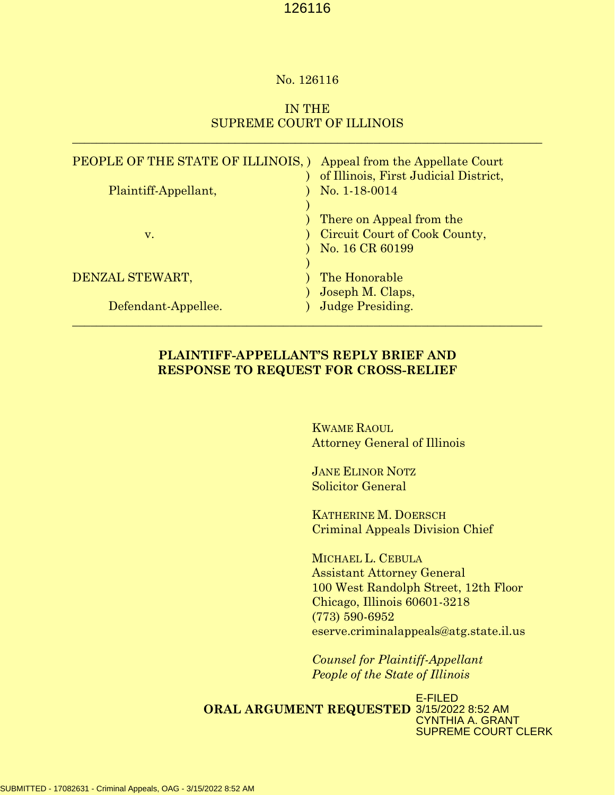#### No. 126116

# IN THE SUPREME COURT OF ILLINOIS

 $\mathcal{L}_\mathcal{L} = \mathcal{L}_\mathcal{L} = \mathcal{L}_\mathcal{L} = \mathcal{L}_\mathcal{L} = \mathcal{L}_\mathcal{L} = \mathcal{L}_\mathcal{L} = \mathcal{L}_\mathcal{L} = \mathcal{L}_\mathcal{L} = \mathcal{L}_\mathcal{L} = \mathcal{L}_\mathcal{L} = \mathcal{L}_\mathcal{L} = \mathcal{L}_\mathcal{L} = \mathcal{L}_\mathcal{L} = \mathcal{L}_\mathcal{L} = \mathcal{L}_\mathcal{L} = \mathcal{L}_\mathcal{L} = \mathcal{L}_\mathcal{L}$ 

| PEOPLE OF THE STATE OF ILLINOIS, )<br>Plaintiff-Appellant, | Appeal from the Appellate Court<br>of Illinois, First Judicial District,<br>No. 1-18-0014 |
|------------------------------------------------------------|-------------------------------------------------------------------------------------------|
| v.                                                         | There on Appeal from the<br>Circuit Court of Cook County,<br>No. 16 CR 60199              |
| DENZAL STEWART,                                            | The Honorable                                                                             |
| Defendant-Appellee.                                        | Joseph M. Claps,<br>Judge Presiding.                                                      |

### **PLAINTIFF-APPELLANT'S REPLY BRIEF AND RESPONSE TO REQUEST FOR CROSS-RELIEF**

KWAME RAOUL Attorney General of Illinois

JANE ELINOR NOTZ Solicitor General

KATHERINE M. DOERSCH Criminal Appeals Division Chief

MICHAEL L. CEBULA Assistant Attorney General 100 West Randolph Street, 12th Floor Chicago, Illinois 60601-3218 (773) 590-6952 eserve.criminalappeals@atg.state.il.us

*Counsel for Plaintiff-Appellant People of the State of Illinois*

**ORAL ARGUMENT REQUESTED** 3/15/2022 8:52 AM E-FILED CYNTHIA A. GRANT SUPREME COURT CLERK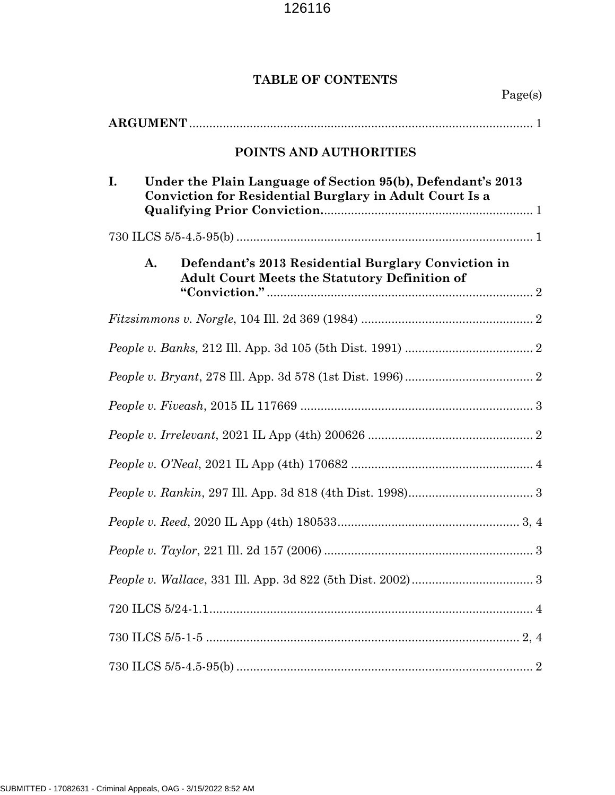# **TABLE OF CONTENTS**

|    |    | POINTS AND AUTHORITIES                                                                                                 |
|----|----|------------------------------------------------------------------------------------------------------------------------|
| I. |    | Under the Plain Language of Section 95(b), Defendant's 2013<br>Conviction for Residential Burglary in Adult Court Is a |
|    |    |                                                                                                                        |
|    | A. | Defendant's 2013 Residential Burglary Conviction in<br><b>Adult Court Meets the Statutory Definition of</b>            |
|    |    |                                                                                                                        |
|    |    |                                                                                                                        |
|    |    |                                                                                                                        |
|    |    |                                                                                                                        |
|    |    |                                                                                                                        |
|    |    |                                                                                                                        |
|    |    |                                                                                                                        |
|    |    |                                                                                                                        |
|    |    |                                                                                                                        |
|    |    |                                                                                                                        |
|    |    |                                                                                                                        |
|    |    |                                                                                                                        |
|    |    |                                                                                                                        |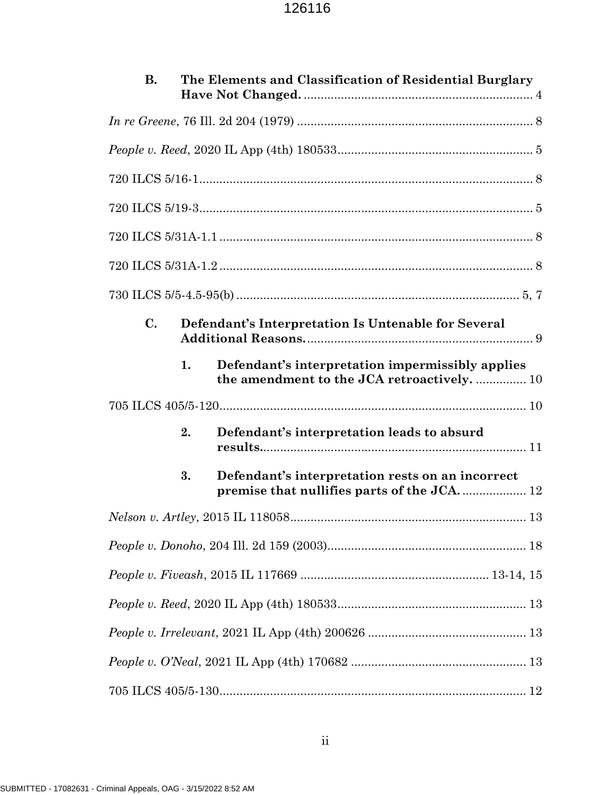| В.             |    | The Elements and Classification of Residential Burglary                                         |  |
|----------------|----|-------------------------------------------------------------------------------------------------|--|
|                |    |                                                                                                 |  |
|                |    |                                                                                                 |  |
|                |    |                                                                                                 |  |
|                |    |                                                                                                 |  |
|                |    |                                                                                                 |  |
|                |    |                                                                                                 |  |
|                |    |                                                                                                 |  |
| $\mathbf{C}$ . |    | Defendant's Interpretation Is Untenable for Several                                             |  |
|                | 1. | Defendant's interpretation impermissibly applies<br>the amendment to the JCA retroactively.  10 |  |
|                |    |                                                                                                 |  |
|                | 2. | Defendant's interpretation leads to absurd                                                      |  |
|                | 3. | Defendant's interpretation rests on an incorrect                                                |  |
|                |    |                                                                                                 |  |
|                |    |                                                                                                 |  |
|                |    |                                                                                                 |  |
|                |    |                                                                                                 |  |
|                |    |                                                                                                 |  |
|                |    |                                                                                                 |  |
|                |    |                                                                                                 |  |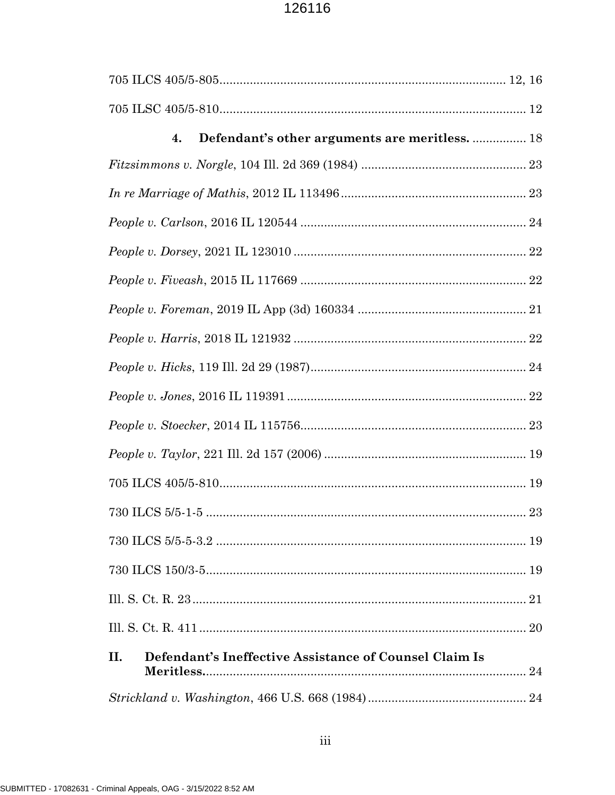| Defendant's other arguments are meritless.  18<br>4.          |  |
|---------------------------------------------------------------|--|
|                                                               |  |
|                                                               |  |
|                                                               |  |
|                                                               |  |
|                                                               |  |
|                                                               |  |
|                                                               |  |
|                                                               |  |
|                                                               |  |
|                                                               |  |
|                                                               |  |
|                                                               |  |
|                                                               |  |
|                                                               |  |
|                                                               |  |
|                                                               |  |
|                                                               |  |
| Defendant's Ineffective Assistance of Counsel Claim Is<br>II. |  |
|                                                               |  |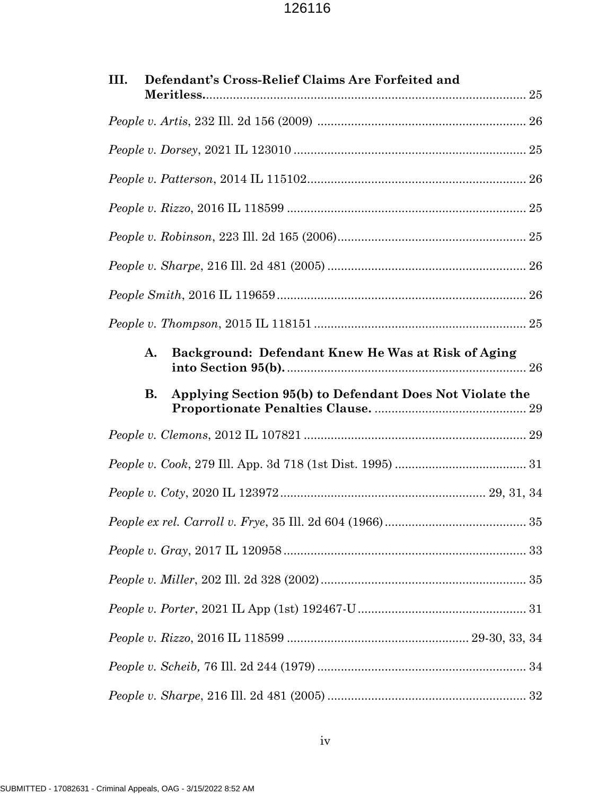| Defendant's Cross-Relief Claims Are Forfeited and<br>III. |
|-----------------------------------------------------------|
|                                                           |
|                                                           |
|                                                           |
|                                                           |
|                                                           |
|                                                           |
|                                                           |
|                                                           |
| A.<br>Background: Defendant Knew He Was at Risk of Aging  |
| <b>B.</b>                                                 |
| Applying Section 95(b) to Defendant Does Not Violate the  |
|                                                           |
|                                                           |
|                                                           |
|                                                           |
|                                                           |
|                                                           |
|                                                           |
|                                                           |
|                                                           |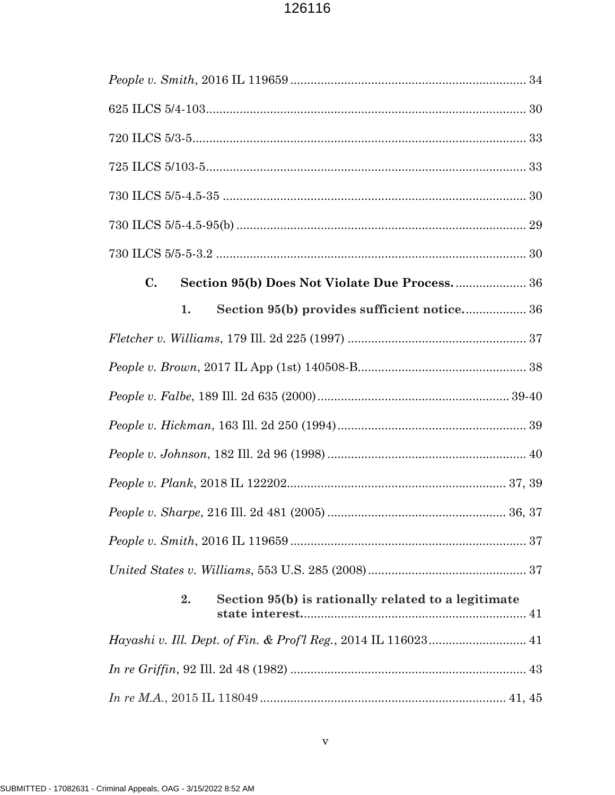| $\mathbf{C}$ .<br>Section 95(b) Does Not Violate Due Process 36 |
|-----------------------------------------------------------------|
| Section 95(b) provides sufficient notice 36<br>1.               |
|                                                                 |
|                                                                 |
|                                                                 |
|                                                                 |
|                                                                 |
|                                                                 |
|                                                                 |
|                                                                 |
|                                                                 |
| Section 95(b) is rationally related to a legitimate<br>2.       |
|                                                                 |
|                                                                 |
|                                                                 |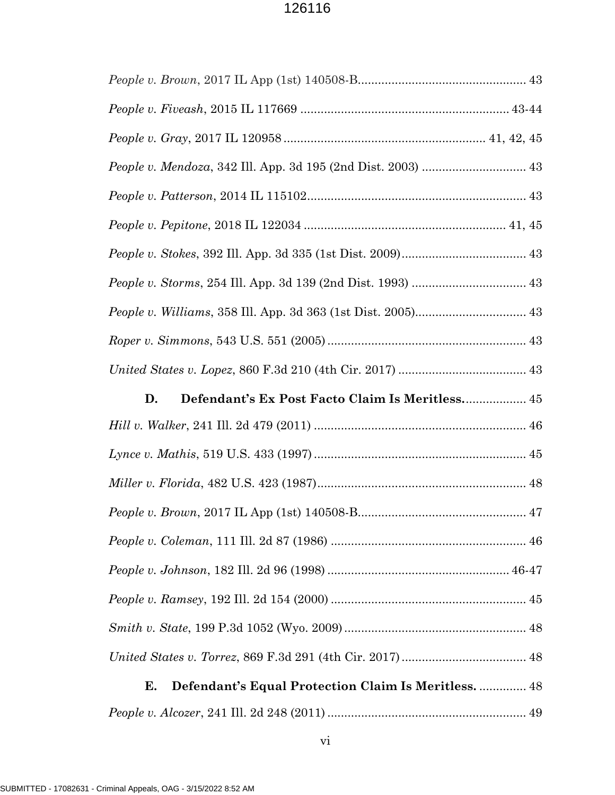| Defendant's Ex Post Facto Claim Is Meritless 45<br>D.      |
|------------------------------------------------------------|
|                                                            |
|                                                            |
|                                                            |
|                                                            |
|                                                            |
|                                                            |
|                                                            |
|                                                            |
|                                                            |
|                                                            |
| Defendant's Equal Protection Claim Is Meritless.  48<br>Е. |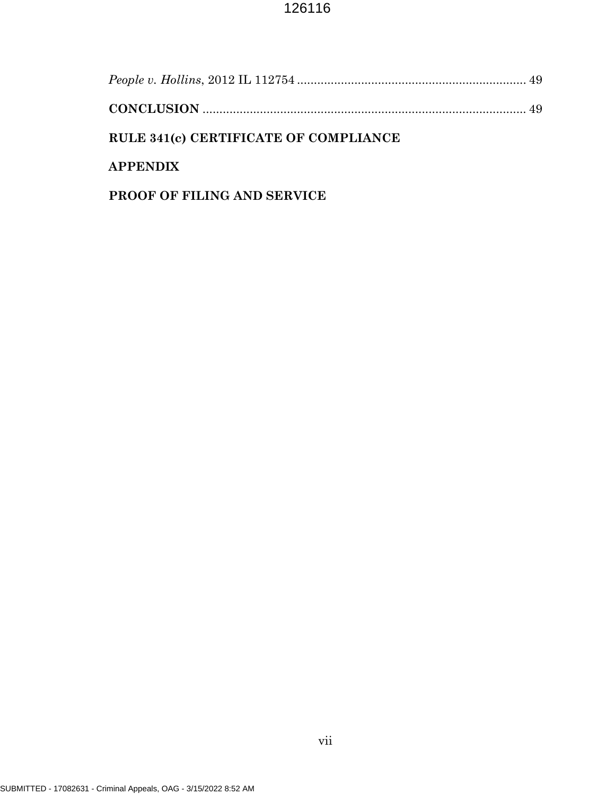| RULE 341(c) CERTIFICATE OF COMPLIANCE |  |
|---------------------------------------|--|
| <b>APPENDIX</b>                       |  |
|                                       |  |

# **PROOF OF FILING AND SERVICE**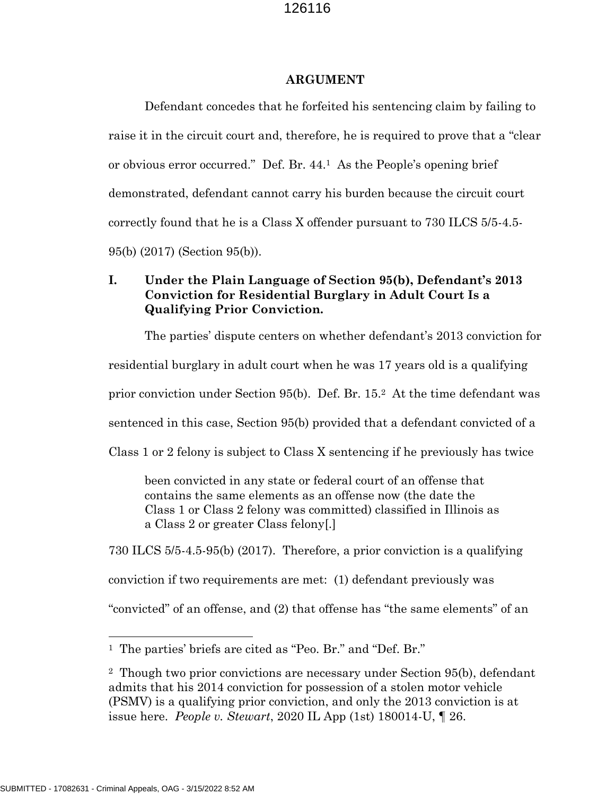#### **ARGUMENT**

Defendant concedes that he forfeited his sentencing claim by failing to raise it in the circuit court and, therefore, he is required to prove that a "clear or obvious error occurred." Def. Br. 44. <sup>1</sup> As the People's opening brief demonstrated, defendant cannot carry his burden because the circuit court correctly found that he is a Class X offender pursuant to 730 ILCS 5/5-4.5- 95(b) (2017) (Section 95(b)).

## **I. Under the Plain Language of Section 95(b), Defendant's 2013 Conviction for Residential Burglary in Adult Court Is a Qualifying Prior Conviction.**

The parties' dispute centers on whether defendant's 2013 conviction for residential burglary in adult court when he was 17 years old is a qualifying prior conviction under Section 95(b). Def. Br. 15.<sup>2</sup> At the time defendant was sentenced in this case, Section 95(b) provided that a defendant convicted of a Class 1 or 2 felony is subject to Class X sentencing if he previously has twice

been convicted in any state or federal court of an offense that contains the same elements as an offense now (the date the Class 1 or Class 2 felony was committed) classified in Illinois as a Class 2 or greater Class felony[.]

730 ILCS 5/5-4.5-95(b) (2017). Therefore, a prior conviction is a qualifying conviction if two requirements are met: (1) defendant previously was "convicted" of an offense, and (2) that offense has "the same elements" of an

<sup>1</sup> The parties' briefs are cited as "Peo. Br." and "Def. Br."

<sup>2</sup> Though two prior convictions are necessary under Section 95(b), defendant admits that his 2014 conviction for possession of a stolen motor vehicle (PSMV) is a qualifying prior conviction, and only the 2013 conviction is at issue here. *People v. Stewart*, 2020 IL App (1st) 180014-U, ¶ 26.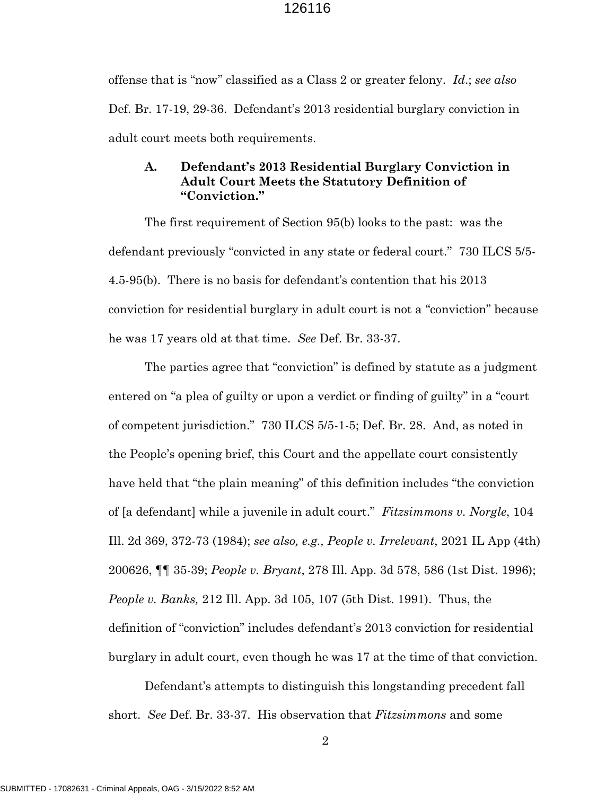offense that is "now" classified as a Class 2 or greater felony. *Id*.; *see also* Def. Br. 17-19, 29-36. Defendant's 2013 residential burglary conviction in adult court meets both requirements.

### **A. Defendant's 2013 Residential Burglary Conviction in Adult Court Meets the Statutory Definition of "Conviction."**

The first requirement of Section 95(b) looks to the past: was the defendant previously "convicted in any state or federal court." 730 ILCS 5/5- 4.5-95(b). There is no basis for defendant's contention that his 2013 conviction for residential burglary in adult court is not a "conviction" because he was 17 years old at that time. *See* Def. Br. 33-37.

The parties agree that "conviction" is defined by statute as a judgment entered on "a plea of guilty or upon a verdict or finding of guilty" in a "court of competent jurisdiction." 730 ILCS 5/5-1-5; Def. Br. 28. And, as noted in the People's opening brief, this Court and the appellate court consistently have held that "the plain meaning" of this definition includes "the conviction of [a defendant] while a juvenile in adult court." *Fitzsimmons v. Norgle*, 104 Ill. 2d 369, 372-73 (1984); *see also, e.g., People v. Irrelevant*, 2021 IL App (4th) 200626, ¶¶ 35-39; *People v. Bryant*, 278 Ill. App. 3d 578, 586 (1st Dist. 1996); *People v. Banks,* 212 Ill. App. 3d 105, 107 (5th Dist. 1991). Thus, the definition of "conviction" includes defendant's 2013 conviction for residential burglary in adult court, even though he was 17 at the time of that conviction.

Defendant's attempts to distinguish this longstanding precedent fall short. *See* Def. Br. 33-37. His observation that *Fitzsimmons* and some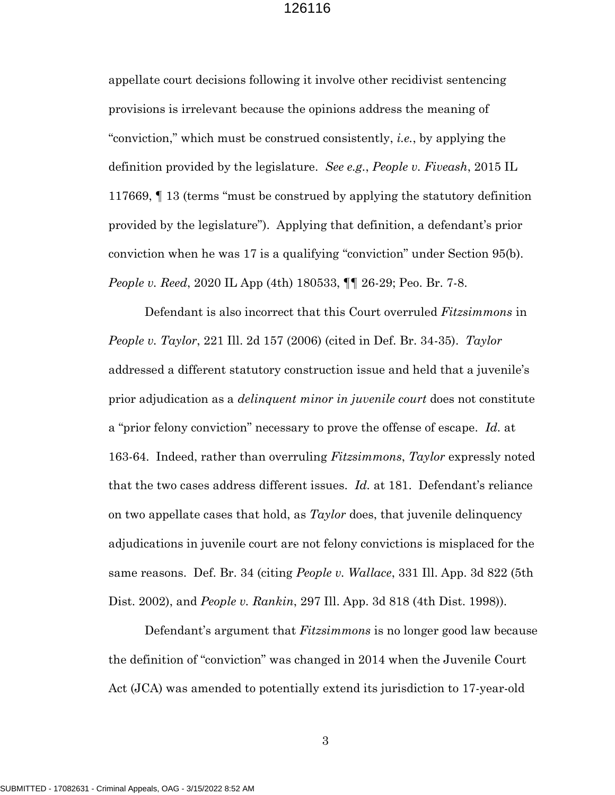appellate court decisions following it involve other recidivist sentencing provisions is irrelevant because the opinions address the meaning of "conviction," which must be construed consistently, *i.e.*, by applying the definition provided by the legislature. *See e.g.*, *People v. Fiveash*, 2015 IL 117669, ¶ 13 (terms "must be construed by applying the statutory definition provided by the legislature"). Applying that definition, a defendant's prior conviction when he was 17 is a qualifying "conviction" under Section 95(b). *People v. Reed*, 2020 IL App (4th) 180533, ¶¶ 26-29; Peo. Br. 7-8.

Defendant is also incorrect that this Court overruled *Fitzsimmons* in *People v. Taylor*, 221 Ill. 2d 157 (2006) (cited in Def. Br. 34-35). *Taylor* addressed a different statutory construction issue and held that a juvenile's prior adjudication as a *delinquent minor in juvenile court* does not constitute a "prior felony conviction" necessary to prove the offense of escape. *Id.* at 163-64. Indeed, rather than overruling *Fitzsimmons*, *Taylor* expressly noted that the two cases address different issues. *Id.* at 181. Defendant's reliance on two appellate cases that hold, as *Taylor* does, that juvenile delinquency adjudications in juvenile court are not felony convictions is misplaced for the same reasons. Def. Br. 34 (citing *People v. Wallace*, 331 Ill. App. 3d 822 (5th Dist. 2002), and *People v. Rankin*, 297 Ill. App. 3d 818 (4th Dist. 1998)).

Defendant's argument that *Fitzsimmons* is no longer good law because the definition of "conviction" was changed in 2014 when the Juvenile Court Act (JCA) was amended to potentially extend its jurisdiction to 17-year-old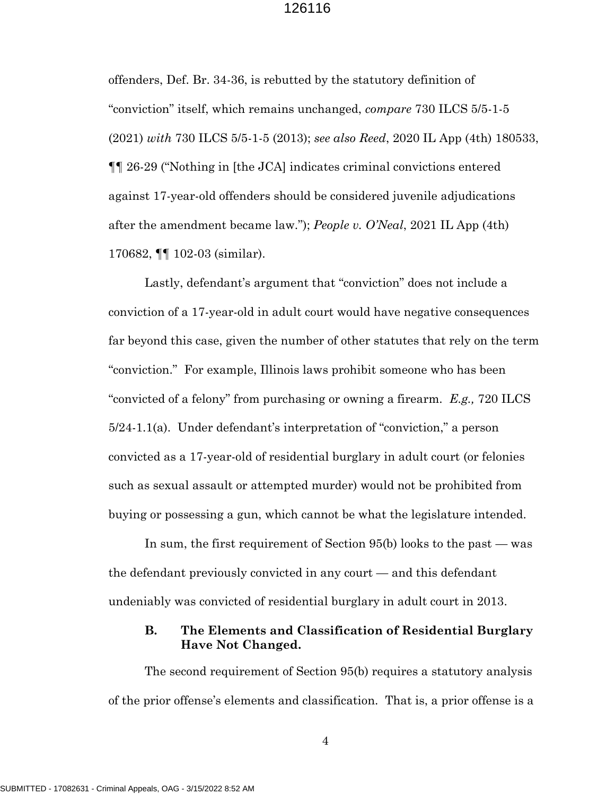offenders, Def. Br. 34-36, is rebutted by the statutory definition of "conviction" itself, which remains unchanged, *compare* 730 ILCS 5/5-1-5 (2021) *with* 730 ILCS 5/5-1-5 (2013); *see also Reed*, 2020 IL App (4th) 180533, ¶¶ 26-29 ("Nothing in [the JCA] indicates criminal convictions entered against 17-year-old offenders should be considered juvenile adjudications after the amendment became law."); *People v. O'Neal*, 2021 IL App (4th) 170682, ¶¶ 102-03 (similar).

Lastly, defendant's argument that "conviction" does not include a conviction of a 17-year-old in adult court would have negative consequences far beyond this case, given the number of other statutes that rely on the term "conviction." For example, Illinois laws prohibit someone who has been "convicted of a felony" from purchasing or owning a firearm. *E.g.,* 720 ILCS 5/24-1.1(a). Under defendant's interpretation of "conviction," a person convicted as a 17-year-old of residential burglary in adult court (or felonies such as sexual assault or attempted murder) would not be prohibited from buying or possessing a gun, which cannot be what the legislature intended.

In sum, the first requirement of Section 95(b) looks to the past — was the defendant previously convicted in any court — and this defendant undeniably was convicted of residential burglary in adult court in 2013.

### **B. The Elements and Classification of Residential Burglary Have Not Changed.**

The second requirement of Section 95(b) requires a statutory analysis of the prior offense's elements and classification. That is, a prior offense is a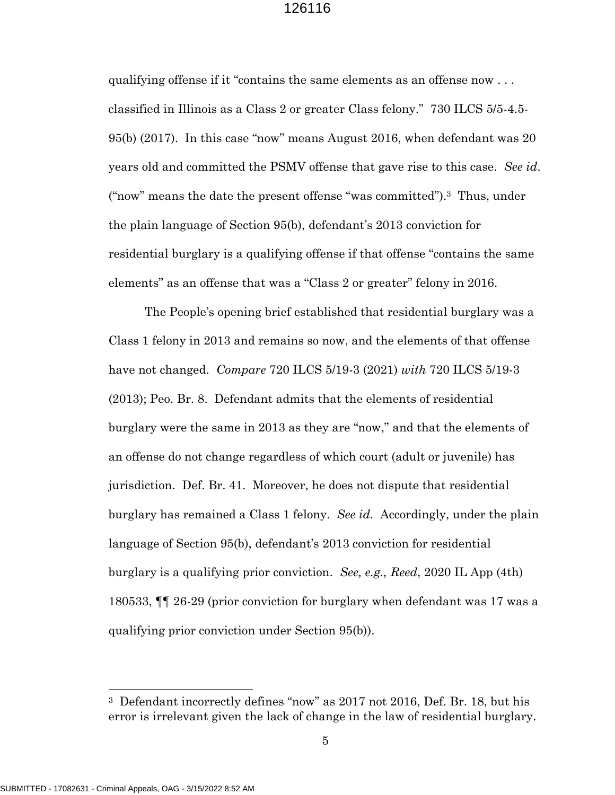qualifying offense if it "contains the same elements as an offense now . . . classified in Illinois as a Class 2 or greater Class felony." 730 ILCS 5/5-4.5- 95(b) (2017). In this case "now" means August 2016, when defendant was 20 years old and committed the PSMV offense that gave rise to this case. *See id*. ("now" means the date the present offense "was committed").3 Thus, under the plain language of Section 95(b), defendant's 2013 conviction for residential burglary is a qualifying offense if that offense "contains the same elements" as an offense that was a "Class 2 or greater" felony in 2016.

The People's opening brief established that residential burglary was a Class 1 felony in 2013 and remains so now, and the elements of that offense have not changed. *Compare* 720 ILCS 5/19-3 (2021) *with* 720 ILCS 5/19-3 (2013); Peo. Br. 8. Defendant admits that the elements of residential burglary were the same in 2013 as they are "now," and that the elements of an offense do not change regardless of which court (adult or juvenile) has jurisdiction. Def. Br. 41. Moreover, he does not dispute that residential burglary has remained a Class 1 felony. *See id.* Accordingly, under the plain language of Section 95(b), defendant's 2013 conviction for residential burglary is a qualifying prior conviction. *See, e.g., Reed*, 2020 IL App (4th) 180533, ¶¶ 26-29 (prior conviction for burglary when defendant was 17 was a qualifying prior conviction under Section 95(b)).

<sup>3</sup> Defendant incorrectly defines "now" as 2017 not 2016, Def. Br. 18, but his error is irrelevant given the lack of change in the law of residential burglary.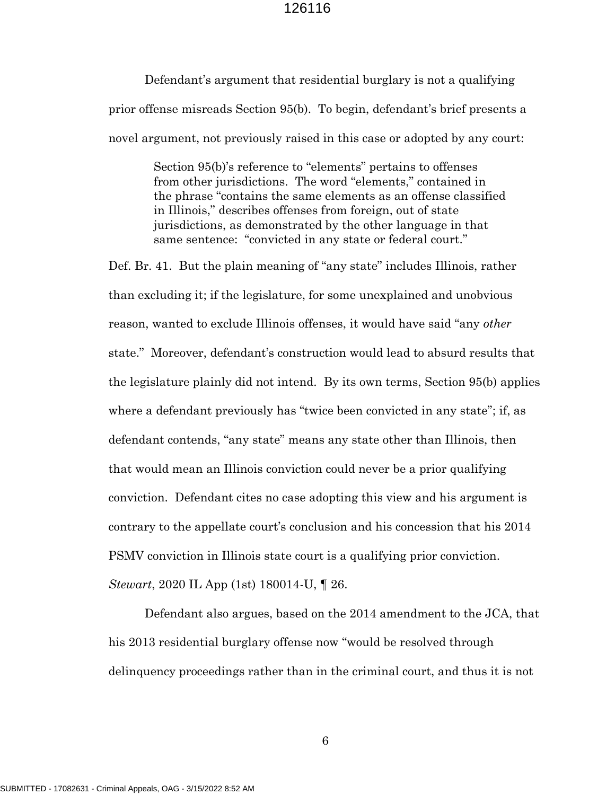Defendant's argument that residential burglary is not a qualifying prior offense misreads Section 95(b). To begin, defendant's brief presents a novel argument, not previously raised in this case or adopted by any court:

> Section 95(b)'s reference to "elements" pertains to offenses from other jurisdictions. The word "elements," contained in the phrase "contains the same elements as an offense classified in Illinois," describes offenses from foreign, out of state jurisdictions, as demonstrated by the other language in that same sentence: "convicted in any state or federal court."

Def. Br. 41. But the plain meaning of "any state" includes Illinois, rather than excluding it; if the legislature, for some unexplained and unobvious reason, wanted to exclude Illinois offenses, it would have said "any *other* state." Moreover, defendant's construction would lead to absurd results that the legislature plainly did not intend. By its own terms, Section 95(b) applies where a defendant previously has "twice been convicted in any state"; if, as defendant contends, "any state" means any state other than Illinois, then that would mean an Illinois conviction could never be a prior qualifying conviction. Defendant cites no case adopting this view and his argument is contrary to the appellate court's conclusion and his concession that his 2014 PSMV conviction in Illinois state court is a qualifying prior conviction. *Stewart*, 2020 IL App (1st) 180014-U, ¶ 26.

Defendant also argues, based on the 2014 amendment to the JCA, that his 2013 residential burglary offense now "would be resolved through delinquency proceedings rather than in the criminal court, and thus it is not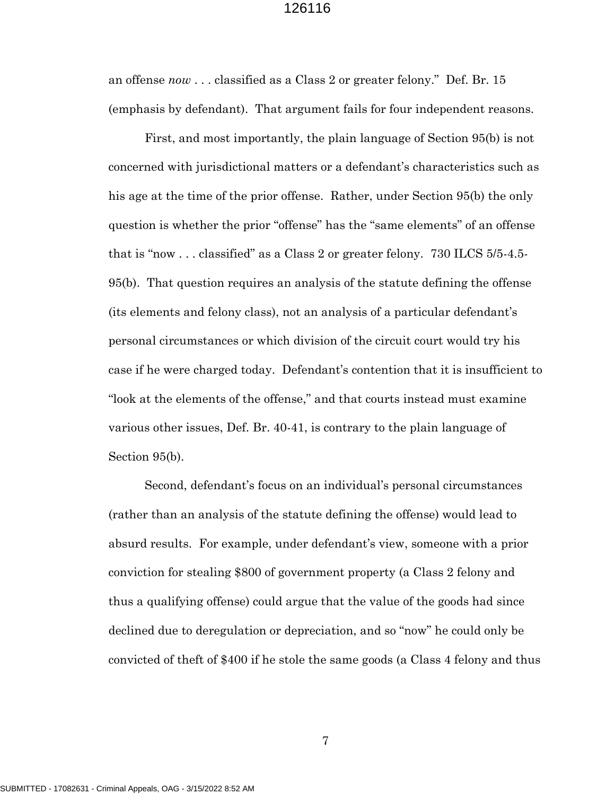an offense *now* . . . classified as a Class 2 or greater felony." Def. Br. 15 (emphasis by defendant). That argument fails for four independent reasons.

First, and most importantly, the plain language of Section 95(b) is not concerned with jurisdictional matters or a defendant's characteristics such as his age at the time of the prior offense. Rather, under Section 95(b) the only question is whether the prior "offense" has the "same elements" of an offense that is "now . . . classified" as a Class 2 or greater felony. 730 ILCS 5/5-4.5- 95(b). That question requires an analysis of the statute defining the offense (its elements and felony class), not an analysis of a particular defendant's personal circumstances or which division of the circuit court would try his case if he were charged today. Defendant's contention that it is insufficient to "look at the elements of the offense," and that courts instead must examine various other issues, Def. Br. 40-41, is contrary to the plain language of Section 95(b).

Second, defendant's focus on an individual's personal circumstances (rather than an analysis of the statute defining the offense) would lead to absurd results. For example, under defendant's view, someone with a prior conviction for stealing \$800 of government property (a Class 2 felony and thus a qualifying offense) could argue that the value of the goods had since declined due to deregulation or depreciation, and so "now" he could only be convicted of theft of \$400 if he stole the same goods (a Class 4 felony and thus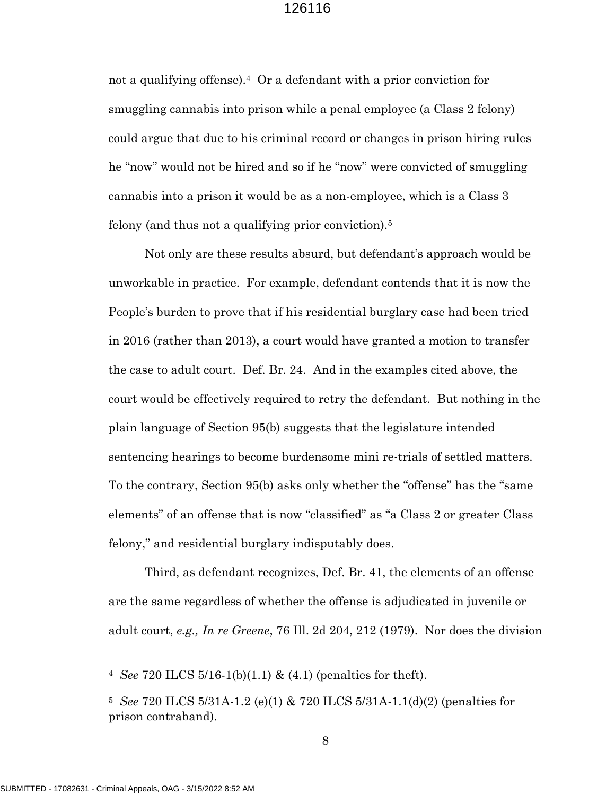not a qualifying offense).4 Or a defendant with a prior conviction for smuggling cannabis into prison while a penal employee (a Class 2 felony) could argue that due to his criminal record or changes in prison hiring rules he "now" would not be hired and so if he "now" were convicted of smuggling cannabis into a prison it would be as a non-employee, which is a Class 3 felony (and thus not a qualifying prior conviction).<sup>5</sup>

Not only are these results absurd, but defendant's approach would be unworkable in practice. For example, defendant contends that it is now the People's burden to prove that if his residential burglary case had been tried in 2016 (rather than 2013), a court would have granted a motion to transfer the case to adult court. Def. Br. 24. And in the examples cited above, the court would be effectively required to retry the defendant. But nothing in the plain language of Section 95(b) suggests that the legislature intended sentencing hearings to become burdensome mini re-trials of settled matters. To the contrary, Section 95(b) asks only whether the "offense" has the "same elements" of an offense that is now "classified" as "a Class 2 or greater Class felony," and residential burglary indisputably does.

Third, as defendant recognizes, Def. Br. 41, the elements of an offense are the same regardless of whether the offense is adjudicated in juvenile or adult court, *e.g., In re Greene*, 76 Ill. 2d 204, 212 (1979). Nor does the division

<sup>4</sup> *See* 720 ILCS 5/16-1(b)(1.1) & (4.1) (penalties for theft).

<sup>5</sup> *See* 720 ILCS 5/31A-1.2 (e)(1) & 720 ILCS 5/31A-1.1(d)(2) (penalties for prison contraband).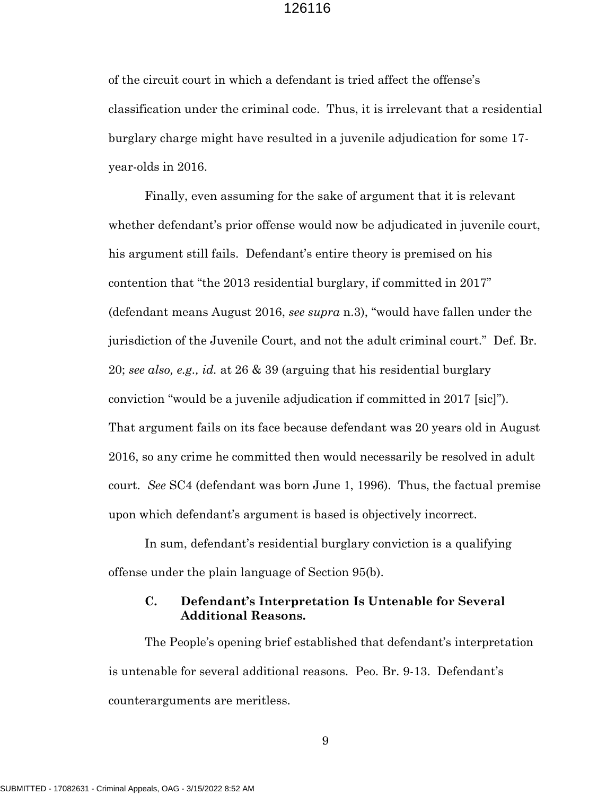of the circuit court in which a defendant is tried affect the offense's classification under the criminal code. Thus, it is irrelevant that a residential burglary charge might have resulted in a juvenile adjudication for some 17 year-olds in 2016.

Finally, even assuming for the sake of argument that it is relevant whether defendant's prior offense would now be adjudicated in juvenile court, his argument still fails. Defendant's entire theory is premised on his contention that "the 2013 residential burglary, if committed in 2017" (defendant means August 2016, *see supra* n.3), "would have fallen under the jurisdiction of the Juvenile Court, and not the adult criminal court." Def. Br. 20; *see also, e.g., id.* at 26 & 39 (arguing that his residential burglary conviction "would be a juvenile adjudication if committed in 2017 [sic]"). That argument fails on its face because defendant was 20 years old in August 2016, so any crime he committed then would necessarily be resolved in adult court. *See* SC4 (defendant was born June 1, 1996). Thus, the factual premise upon which defendant's argument is based is objectively incorrect.

In sum, defendant's residential burglary conviction is a qualifying offense under the plain language of Section 95(b).

## **C. Defendant's Interpretation Is Untenable for Several Additional Reasons.**

The People's opening brief established that defendant's interpretation is untenable for several additional reasons. Peo. Br. 9-13. Defendant's counterarguments are meritless.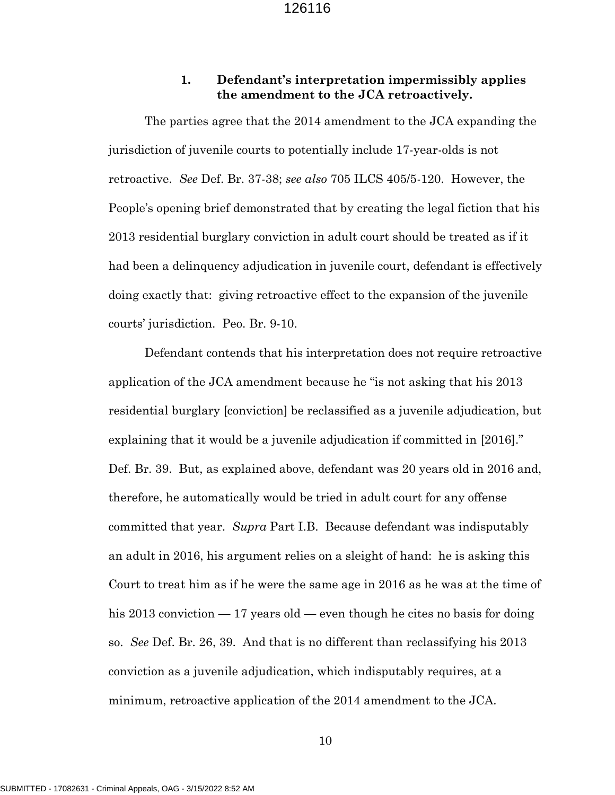#### **1. Defendant's interpretation impermissibly applies the amendment to the JCA retroactively.**

The parties agree that the 2014 amendment to the JCA expanding the jurisdiction of juvenile courts to potentially include 17-year-olds is not retroactive. *See* Def. Br. 37-38; *see also* 705 ILCS 405/5-120. However, the People's opening brief demonstrated that by creating the legal fiction that his 2013 residential burglary conviction in adult court should be treated as if it had been a delinquency adjudication in juvenile court, defendant is effectively doing exactly that: giving retroactive effect to the expansion of the juvenile courts' jurisdiction. Peo. Br. 9-10.

Defendant contends that his interpretation does not require retroactive application of the JCA amendment because he "is not asking that his 2013 residential burglary [conviction] be reclassified as a juvenile adjudication, but explaining that it would be a juvenile adjudication if committed in [2016]." Def. Br. 39. But, as explained above, defendant was 20 years old in 2016 and, therefore, he automatically would be tried in adult court for any offense committed that year. *Supra* Part I.B. Because defendant was indisputably an adult in 2016, his argument relies on a sleight of hand: he is asking this Court to treat him as if he were the same age in 2016 as he was at the time of his 2013 conviction — 17 years old — even though he cites no basis for doing so. *See* Def. Br. 26, 39. And that is no different than reclassifying his 2013 conviction as a juvenile adjudication, which indisputably requires, at a minimum, retroactive application of the 2014 amendment to the JCA.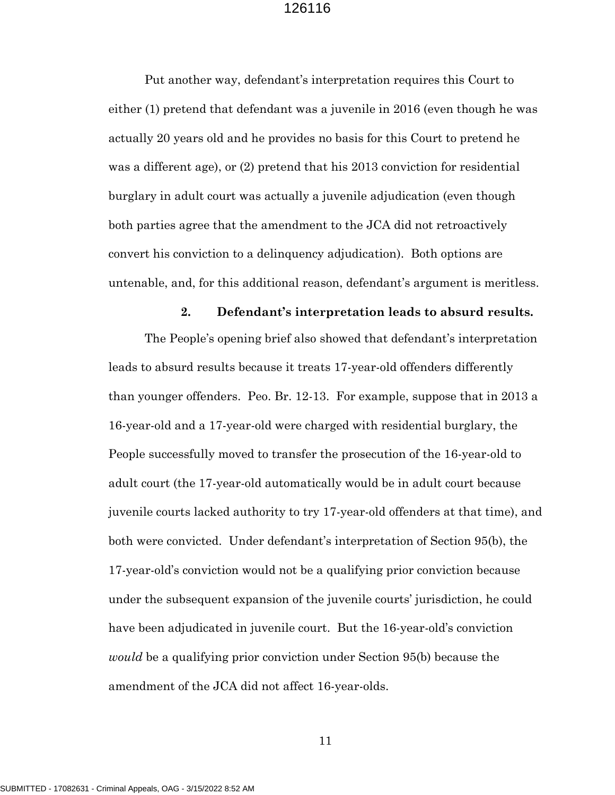Put another way, defendant's interpretation requires this Court to either (1) pretend that defendant was a juvenile in 2016 (even though he was actually 20 years old and he provides no basis for this Court to pretend he was a different age), or (2) pretend that his 2013 conviction for residential burglary in adult court was actually a juvenile adjudication (even though both parties agree that the amendment to the JCA did not retroactively convert his conviction to a delinquency adjudication). Both options are untenable, and, for this additional reason, defendant's argument is meritless.

#### **2. Defendant's interpretation leads to absurd results.**

The People's opening brief also showed that defendant's interpretation leads to absurd results because it treats 17-year-old offenders differently than younger offenders. Peo. Br. 12-13. For example, suppose that in 2013 a 16-year-old and a 17-year-old were charged with residential burglary, the People successfully moved to transfer the prosecution of the 16-year-old to adult court (the 17-year-old automatically would be in adult court because juvenile courts lacked authority to try 17-year-old offenders at that time), and both were convicted. Under defendant's interpretation of Section 95(b), the 17-year-old's conviction would not be a qualifying prior conviction because under the subsequent expansion of the juvenile courts' jurisdiction, he could have been adjudicated in juvenile court. But the 16-year-old's conviction *would* be a qualifying prior conviction under Section 95(b) because the amendment of the JCA did not affect 16-year-olds.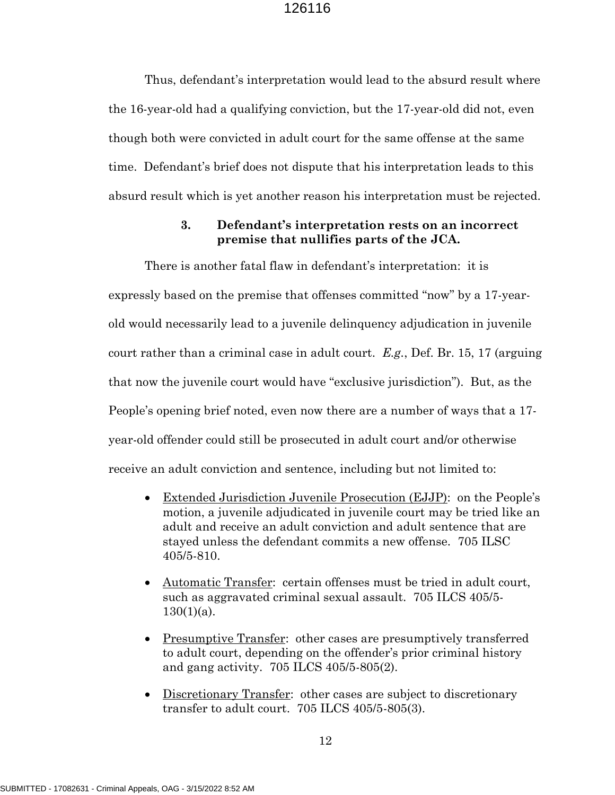Thus, defendant's interpretation would lead to the absurd result where the 16-year-old had a qualifying conviction, but the 17-year-old did not, even though both were convicted in adult court for the same offense at the same time. Defendant's brief does not dispute that his interpretation leads to this absurd result which is yet another reason his interpretation must be rejected.

## **3. Defendant's interpretation rests on an incorrect premise that nullifies parts of the JCA.**

There is another fatal flaw in defendant's interpretation: it is expressly based on the premise that offenses committed "now" by a 17-yearold would necessarily lead to a juvenile delinquency adjudication in juvenile court rather than a criminal case in adult court. *E.g.*, Def. Br. 15, 17 (arguing that now the juvenile court would have "exclusive jurisdiction"). But, as the People's opening brief noted, even now there are a number of ways that a 17 year-old offender could still be prosecuted in adult court and/or otherwise receive an adult conviction and sentence, including but not limited to:

- Extended Jurisdiction Juvenile Prosecution (EJJP): on the People's motion, a juvenile adjudicated in juvenile court may be tried like an adult and receive an adult conviction and adult sentence that are stayed unless the defendant commits a new offense. 705 ILSC 405/5-810.
- Automatic Transfer: certain offenses must be tried in adult court, such as aggravated criminal sexual assault. 705 ILCS 405/5-  $130(1)(a)$ .
- Presumptive Transfer: other cases are presumptively transferred to adult court, depending on the offender's prior criminal history and gang activity.705 ILCS 405/5-805(2).
- Discretionary Transfer: other cases are subject to discretionary transfer to adult court. 705 ILCS 405/5-805(3).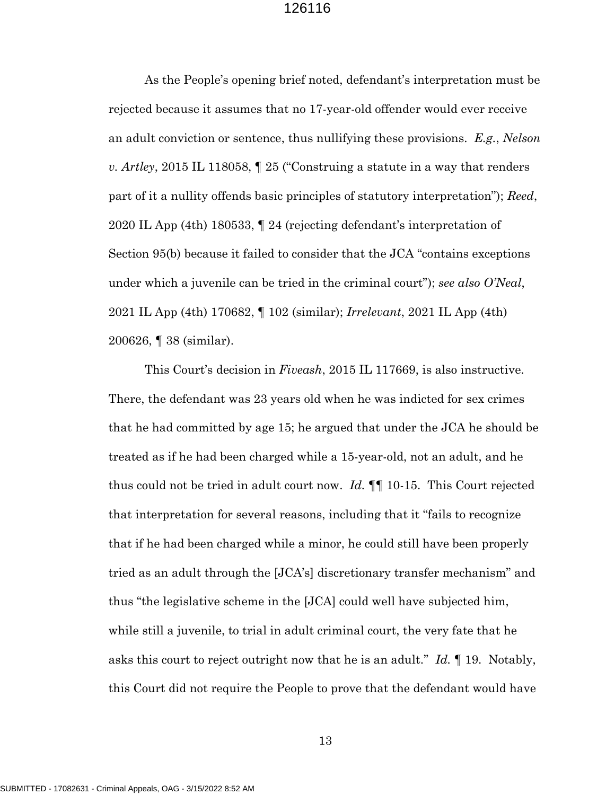As the People's opening brief noted, defendant's interpretation must be rejected because it assumes that no 17-year-old offender would ever receive an adult conviction or sentence, thus nullifying these provisions. *E.g.*, *Nelson v. Artley*, 2015 IL 118058, ¶ 25 ("Construing a statute in a way that renders part of it a nullity offends basic principles of statutory interpretation"); *Reed*, 2020 IL App (4th) 180533, ¶ 24 (rejecting defendant's interpretation of Section 95(b) because it failed to consider that the JCA "contains exceptions under which a juvenile can be tried in the criminal court"); *see also O'Neal*, 2021 IL App (4th) 170682, ¶ 102 (similar); *Irrelevant*, 2021 IL App (4th) 200626, ¶ 38 (similar).

This Court's decision in *Fiveash*, 2015 IL 117669, is also instructive. There, the defendant was 23 years old when he was indicted for sex crimes that he had committed by age 15; he argued that under the JCA he should be treated as if he had been charged while a 15-year-old, not an adult, and he thus could not be tried in adult court now. *Id.* ¶¶ 10-15. This Court rejected that interpretation for several reasons, including that it "fails to recognize that if he had been charged while a minor, he could still have been properly tried as an adult through the [JCA's] discretionary transfer mechanism" and thus "the legislative scheme in the [JCA] could well have subjected him, while still a juvenile, to trial in adult criminal court, the very fate that he asks this court to reject outright now that he is an adult." *Id.* ¶ 19. Notably, this Court did not require the People to prove that the defendant would have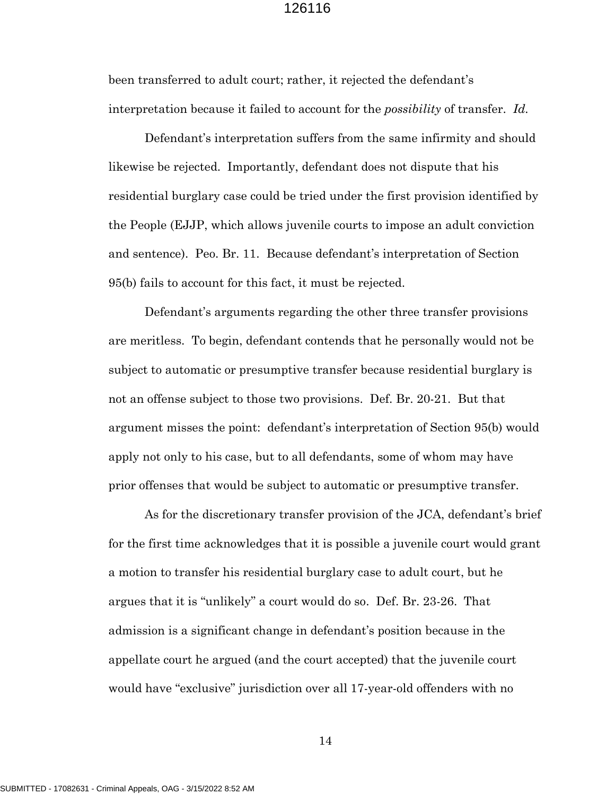been transferred to adult court; rather, it rejected the defendant's interpretation because it failed to account for the *possibility* of transfer. *Id.*

Defendant's interpretation suffers from the same infirmity and should likewise be rejected. Importantly, defendant does not dispute that his residential burglary case could be tried under the first provision identified by the People (EJJP, which allows juvenile courts to impose an adult conviction and sentence). Peo. Br. 11. Because defendant's interpretation of Section 95(b) fails to account for this fact, it must be rejected.

Defendant's arguments regarding the other three transfer provisions are meritless. To begin, defendant contends that he personally would not be subject to automatic or presumptive transfer because residential burglary is not an offense subject to those two provisions. Def. Br. 20-21. But that argument misses the point: defendant's interpretation of Section 95(b) would apply not only to his case, but to all defendants, some of whom may have prior offenses that would be subject to automatic or presumptive transfer.

As for the discretionary transfer provision of the JCA, defendant's brief for the first time acknowledges that it is possible a juvenile court would grant a motion to transfer his residential burglary case to adult court, but he argues that it is "unlikely" a court would do so. Def. Br. 23-26. That admission is a significant change in defendant's position because in the appellate court he argued (and the court accepted) that the juvenile court would have "exclusive" jurisdiction over all 17-year-old offenders with no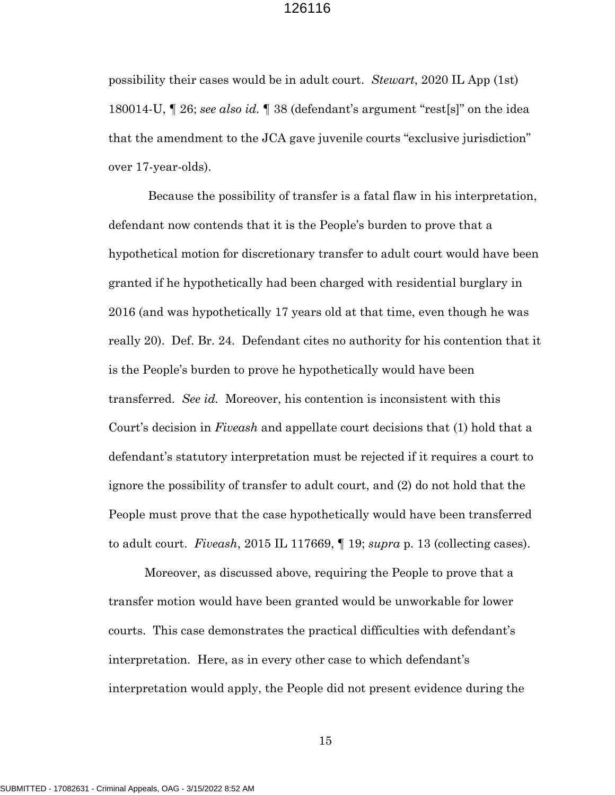possibility their cases would be in adult court. *Stewart*, 2020 IL App (1st) 180014-U, ¶ 26; *see also id.* ¶ 38 (defendant's argument "rest[s]" on the idea that the amendment to the JCA gave juvenile courts "exclusive jurisdiction" over 17-year-olds).

Because the possibility of transfer is a fatal flaw in his interpretation, defendant now contends that it is the People's burden to prove that a hypothetical motion for discretionary transfer to adult court would have been granted if he hypothetically had been charged with residential burglary in 2016 (and was hypothetically 17 years old at that time, even though he was really 20). Def. Br. 24. Defendant cites no authority for his contention that it is the People's burden to prove he hypothetically would have been transferred. *See id.* Moreover, his contention is inconsistent with this Court's decision in *Fiveash* and appellate court decisions that (1) hold that a defendant's statutory interpretation must be rejected if it requires a court to ignore the possibility of transfer to adult court, and (2) do not hold that the People must prove that the case hypothetically would have been transferred to adult court. *Fiveash*, 2015 IL 117669, ¶ 19; *supra* p. 13 (collecting cases).

Moreover, as discussed above, requiring the People to prove that a transfer motion would have been granted would be unworkable for lower courts. This case demonstrates the practical difficulties with defendant's interpretation. Here, as in every other case to which defendant's interpretation would apply, the People did not present evidence during the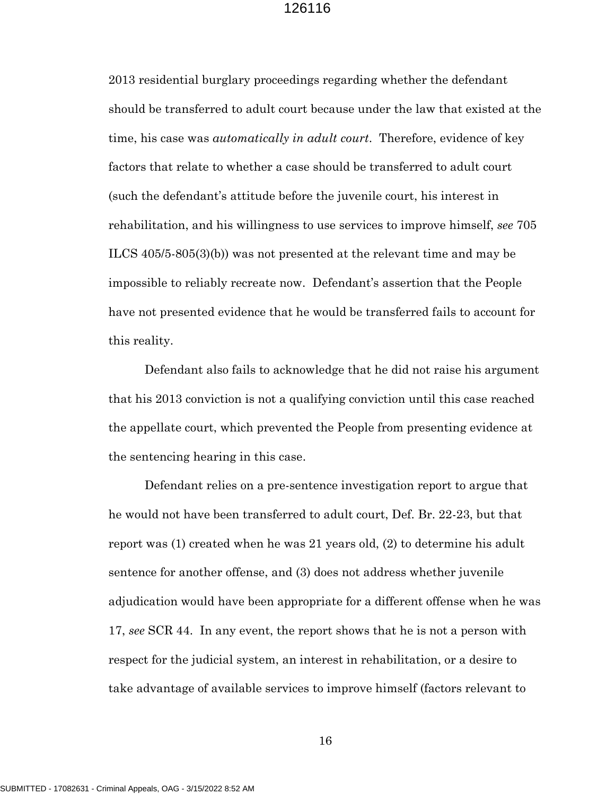2013 residential burglary proceedings regarding whether the defendant should be transferred to adult court because under the law that existed at the time, his case was *automatically in adult court*. Therefore, evidence of key factors that relate to whether a case should be transferred to adult court (such the defendant's attitude before the juvenile court, his interest in rehabilitation, and his willingness to use services to improve himself, *see* 705 ILCS 405/5-805(3)(b)) was not presented at the relevant time and may be impossible to reliably recreate now. Defendant's assertion that the People have not presented evidence that he would be transferred fails to account for this reality.

Defendant also fails to acknowledge that he did not raise his argument that his 2013 conviction is not a qualifying conviction until this case reached the appellate court, which prevented the People from presenting evidence at the sentencing hearing in this case.

Defendant relies on a pre-sentence investigation report to argue that he would not have been transferred to adult court, Def. Br. 22-23, but that report was (1) created when he was 21 years old, (2) to determine his adult sentence for another offense, and (3) does not address whether juvenile adjudication would have been appropriate for a different offense when he was 17, *see* SCR 44. In any event, the report shows that he is not a person with respect for the judicial system, an interest in rehabilitation, or a desire to take advantage of available services to improve himself (factors relevant to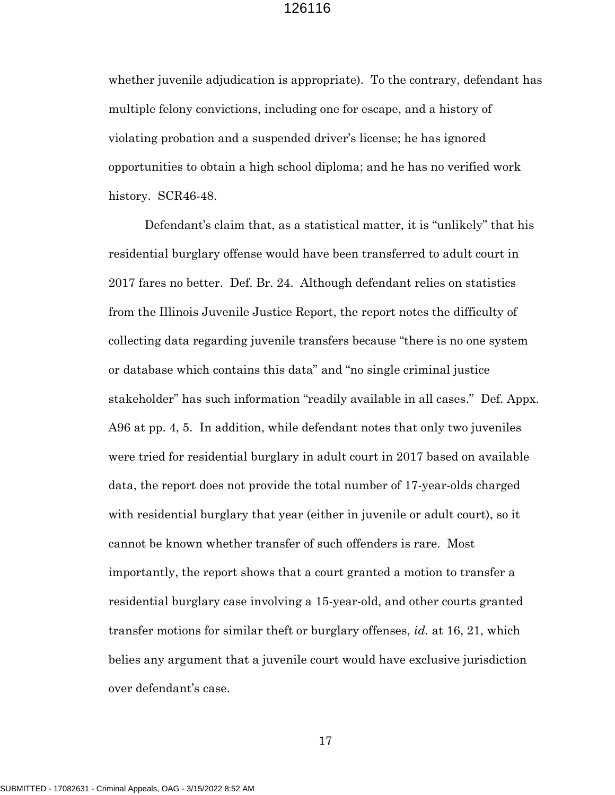whether juvenile adjudication is appropriate). To the contrary, defendant has multiple felony convictions, including one for escape, and a history of violating probation and a suspended driver's license; he has ignored opportunities to obtain a high school diploma; and he has no verified work history. SCR46-48.

Defendant's claim that, as a statistical matter, it is "unlikely" that his residential burglary offense would have been transferred to adult court in 2017 fares no better. Def. Br. 24. Although defendant relies on statistics from the Illinois Juvenile Justice Report, the report notes the difficulty of collecting data regarding juvenile transfers because "there is no one system or database which contains this data" and "no single criminal justice stakeholder" has such information "readily available in all cases." Def. Appx. A96 at pp. 4, 5. In addition, while defendant notes that only two juveniles were tried for residential burglary in adult court in 2017 based on available data, the report does not provide the total number of 17-year-olds charged with residential burglary that year (either in juvenile or adult court), so it cannot be known whether transfer of such offenders is rare. Most importantly, the report shows that a court granted a motion to transfer a residential burglary case involving a 15-year-old, and other courts granted transfer motions for similar theft or burglary offenses, *id.* at 16, 21, which belies any argument that a juvenile court would have exclusive jurisdiction over defendant's case.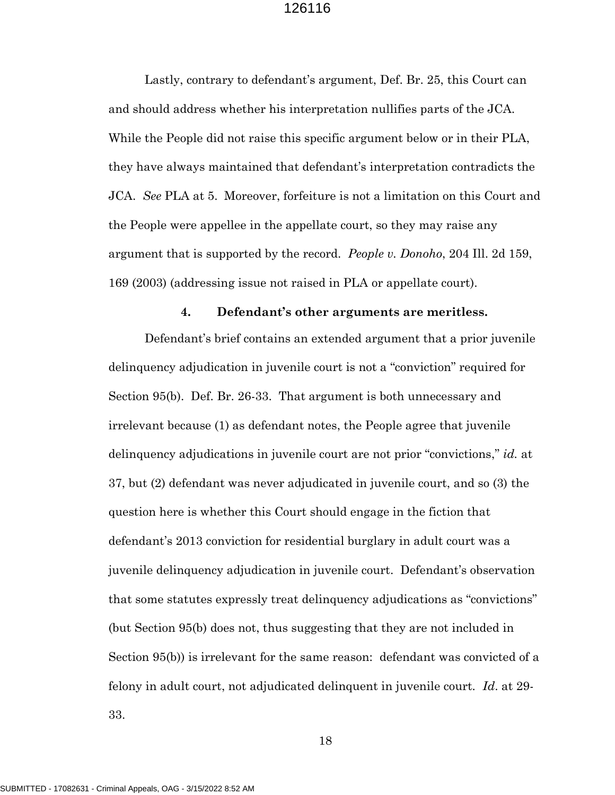Lastly, contrary to defendant's argument, Def. Br. 25, this Court can and should address whether his interpretation nullifies parts of the JCA. While the People did not raise this specific argument below or in their PLA, they have always maintained that defendant's interpretation contradicts the JCA. *See* PLA at 5. Moreover, forfeiture is not a limitation on this Court and the People were appellee in the appellate court, so they may raise any argument that is supported by the record. *People v. Donoho*, 204 Ill. 2d 159, 169 (2003) (addressing issue not raised in PLA or appellate court).

#### **4. Defendant's other arguments are meritless.**

Defendant's brief contains an extended argument that a prior juvenile delinquency adjudication in juvenile court is not a "conviction" required for Section 95(b). Def. Br. 26-33. That argument is both unnecessary and irrelevant because (1) as defendant notes, the People agree that juvenile delinquency adjudications in juvenile court are not prior "convictions," *id.* at 37, but (2) defendant was never adjudicated in juvenile court, and so (3) the question here is whether this Court should engage in the fiction that defendant's 2013 conviction for residential burglary in adult court was a juvenile delinquency adjudication in juvenile court. Defendant's observation that some statutes expressly treat delinquency adjudications as "convictions" (but Section 95(b) does not, thus suggesting that they are not included in Section 95(b)) is irrelevant for the same reason: defendant was convicted of a felony in adult court, not adjudicated delinquent in juvenile court*. Id*. at 29- 33.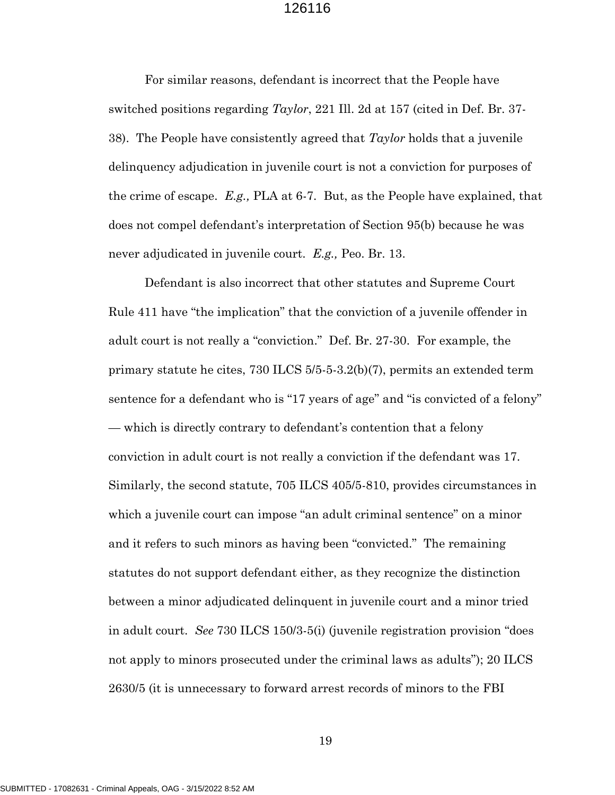For similar reasons, defendant is incorrect that the People have switched positions regarding *Taylor*, 221 Ill. 2d at 157 (cited in Def. Br. 37- 38). The People have consistently agreed that *Taylor* holds that a juvenile delinquency adjudication in juvenile court is not a conviction for purposes of the crime of escape. *E.g.,* PLA at 6-7. But, as the People have explained, that does not compel defendant's interpretation of Section 95(b) because he was never adjudicated in juvenile court. *E.g.,* Peo. Br. 13.

Defendant is also incorrect that other statutes and Supreme Court Rule 411 have "the implication" that the conviction of a juvenile offender in adult court is not really a "conviction." Def. Br. 27-30. For example, the primary statute he cites, 730 ILCS 5/5-5-3.2(b)(7), permits an extended term sentence for a defendant who is "17 years of age" and "is convicted of a felony" — which is directly contrary to defendant's contention that a felony conviction in adult court is not really a conviction if the defendant was 17. Similarly, the second statute, 705 ILCS 405/5-810, provides circumstances in which a juvenile court can impose "an adult criminal sentence" on a minor and it refers to such minors as having been "convicted." The remaining statutes do not support defendant either, as they recognize the distinction between a minor adjudicated delinquent in juvenile court and a minor tried in adult court. *See* 730 ILCS 150/3-5(i) (juvenile registration provision "does not apply to minors prosecuted under the criminal laws as adults"); 20 ILCS 2630/5 (it is unnecessary to forward arrest records of minors to the FBI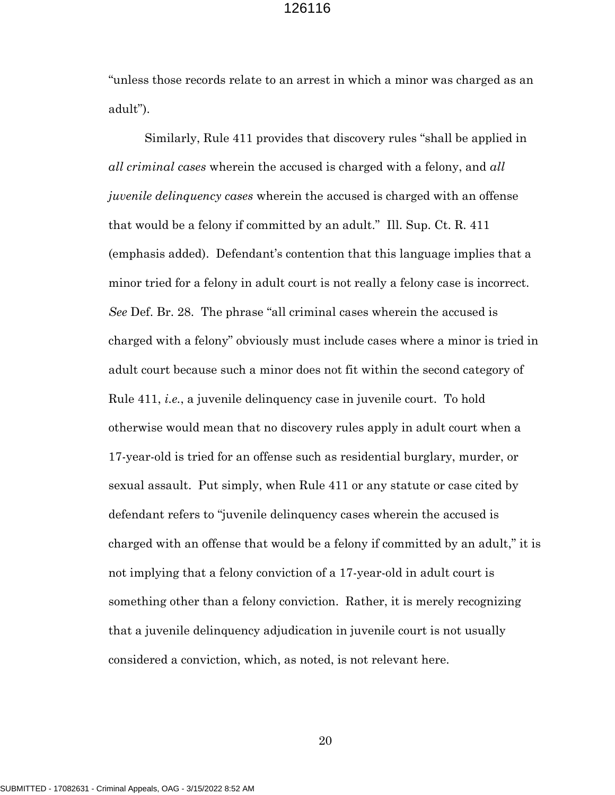"unless those records relate to an arrest in which a minor was charged as an adult").

Similarly, Rule 411 provides that discovery rules "shall be applied in *all criminal cases* wherein the accused is charged with a felony, and *all juvenile delinquency cases* wherein the accused is charged with an offense that would be a felony if committed by an adult." Ill. Sup. Ct. R. 411 (emphasis added). Defendant's contention that this language implies that a minor tried for a felony in adult court is not really a felony case is incorrect. *See* Def. Br. 28. The phrase "all criminal cases wherein the accused is charged with a felony" obviously must include cases where a minor is tried in adult court because such a minor does not fit within the second category of Rule 411, *i.e.*, a juvenile delinquency case in juvenile court. To hold otherwise would mean that no discovery rules apply in adult court when a 17-year-old is tried for an offense such as residential burglary, murder, or sexual assault. Put simply, when Rule 411 or any statute or case cited by defendant refers to "juvenile delinquency cases wherein the accused is charged with an offense that would be a felony if committed by an adult," it is not implying that a felony conviction of a 17-year-old in adult court is something other than a felony conviction. Rather, it is merely recognizing that a juvenile delinquency adjudication in juvenile court is not usually considered a conviction, which, as noted, is not relevant here.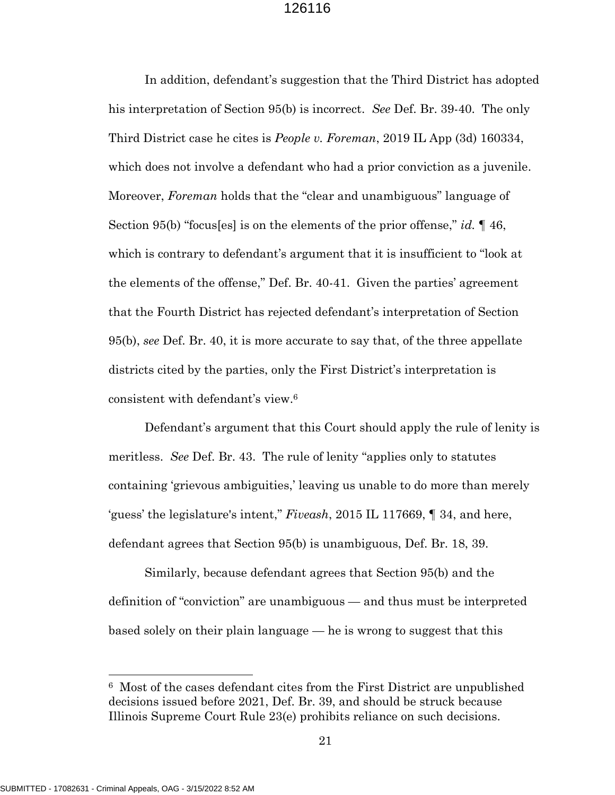In addition, defendant's suggestion that the Third District has adopted his interpretation of Section 95(b) is incorrect. *See* Def. Br. 39-40. The only Third District case he cites is *People v. Foreman*, 2019 IL App (3d) 160334, which does not involve a defendant who had a prior conviction as a juvenile. Moreover, *Foreman* holds that the "clear and unambiguous" language of Section 95(b) "focus[es] is on the elements of the prior offense," *id.* ¶ 46, which is contrary to defendant's argument that it is insufficient to "look at the elements of the offense," Def. Br. 40-41. Given the parties' agreement that the Fourth District has rejected defendant's interpretation of Section 95(b), *see* Def. Br. 40, it is more accurate to say that, of the three appellate districts cited by the parties, only the First District's interpretation is consistent with defendant's view. 6

Defendant's argument that this Court should apply the rule of lenity is meritless. *See* Def. Br. 43. The rule of lenity "applies only to statutes containing 'grievous ambiguities,' leaving us unable to do more than merely 'guess' the legislature's intent," *Fiveash*, 2015 IL 117669, ¶ 34, and here, defendant agrees that Section 95(b) is unambiguous, Def. Br. 18, 39.

Similarly, because defendant agrees that Section 95(b) and the definition of "conviction" are unambiguous — and thus must be interpreted based solely on their plain language — he is wrong to suggest that this

<sup>6</sup> Most of the cases defendant cites from the First District are unpublished decisions issued before 2021, Def. Br. 39, and should be struck because Illinois Supreme Court Rule 23(e) prohibits reliance on such decisions.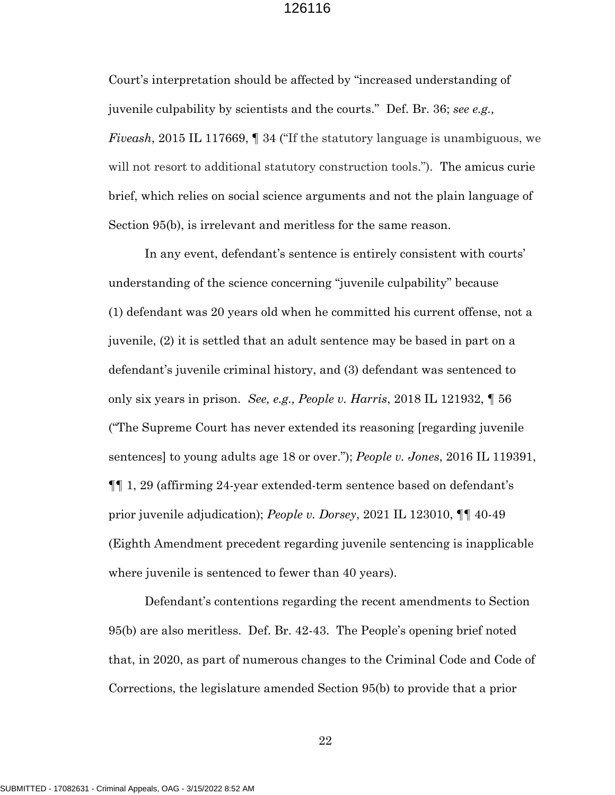Court's interpretation should be affected by "increased understanding of juvenile culpability by scientists and the courts." Def. Br. 36; *see e.g., Fiveash*, 2015 IL 117669, ¶ 34 ("If the statutory language is unambiguous, we will not resort to additional statutory construction tools."). The amicus curie brief, which relies on social science arguments and not the plain language of Section 95(b), is irrelevant and meritless for the same reason.

In any event, defendant's sentence is entirely consistent with courts' understanding of the science concerning "juvenile culpability" because (1) defendant was 20 years old when he committed his current offense, not a juvenile, (2) it is settled that an adult sentence may be based in part on a defendant's juvenile criminal history, and (3) defendant was sentenced to only six years in prison. *See, e.g., People v. Harris*, 2018 IL 121932, ¶ 56 ("The Supreme Court has never extended its reasoning [regarding juvenile sentences] to young adults age 18 or over."); *People v. Jones*, 2016 IL 119391, ¶¶ 1, 29 (affirming 24-year extended-term sentence based on defendant's prior juvenile adjudication); *People v. Dorsey*, 2021 IL 123010, ¶¶ 40-49 (Eighth Amendment precedent regarding juvenile sentencing is inapplicable where juvenile is sentenced to fewer than 40 years).

Defendant's contentions regarding the recent amendments to Section 95(b) are also meritless. Def. Br. 42-43. The People's opening brief noted that, in 2020, as part of numerous changes to the Criminal Code and Code of Corrections, the legislature amended Section 95(b) to provide that a prior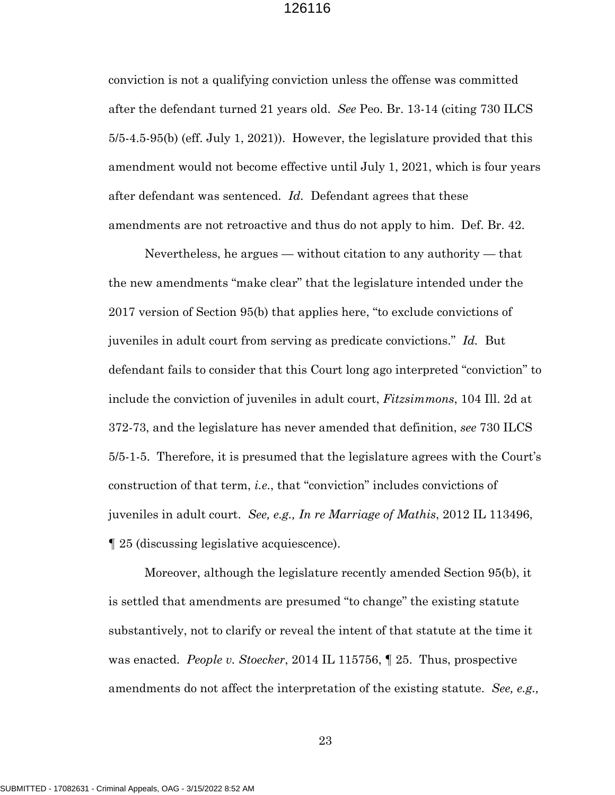conviction is not a qualifying conviction unless the offense was committed after the defendant turned 21 years old. *See* Peo. Br. 13-14 (citing 730 ILCS 5/5-4.5-95(b) (eff. July 1, 2021)). However, the legislature provided that this amendment would not become effective until July 1, 2021, which is four years after defendant was sentenced. *Id.* Defendant agrees that these amendments are not retroactive and thus do not apply to him. Def. Br. 42.

Nevertheless, he argues — without citation to any authority — that the new amendments "make clear" that the legislature intended under the 2017 version of Section 95(b) that applies here, "to exclude convictions of juveniles in adult court from serving as predicate convictions." *Id.* But defendant fails to consider that this Court long ago interpreted "conviction" to include the conviction of juveniles in adult court, *Fitzsimmons*, 104 Ill. 2d at 372-73, and the legislature has never amended that definition, *see* 730 ILCS 5/5-1-5. Therefore, it is presumed that the legislature agrees with the Court's construction of that term, *i.e*., that "conviction" includes convictions of juveniles in adult court. *See, e.g., In re Marriage of Mathis*, 2012 IL 113496, ¶ 25 (discussing legislative acquiescence).

Moreover, although the legislature recently amended Section 95(b), it is settled that amendments are presumed "to change" the existing statute substantively, not to clarify or reveal the intent of that statute at the time it was enacted. *People v. Stoecker*, 2014 IL 115756, ¶ 25. Thus, prospective amendments do not affect the interpretation of the existing statute. *See, e.g.,*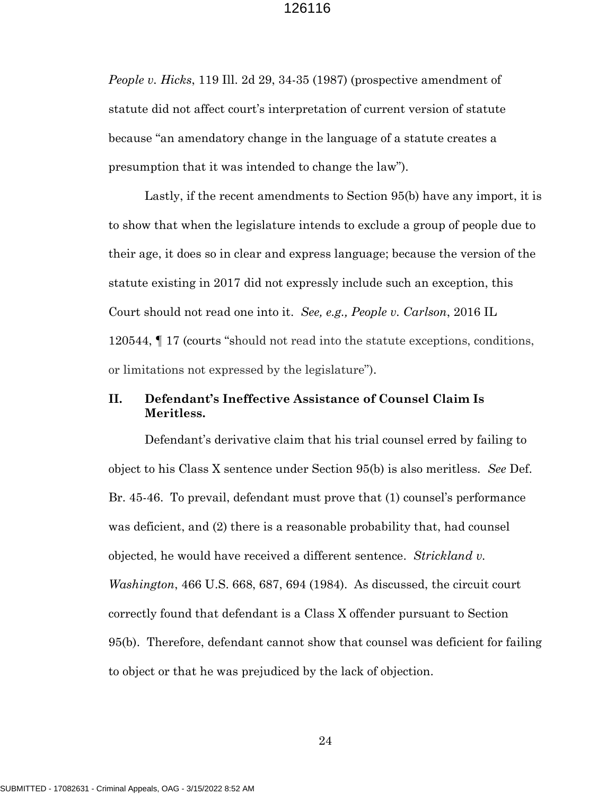*People v. Hicks*, 119 Ill. 2d 29, 34-35 (1987) (prospective amendment of statute did not affect court's interpretation of current version of statute because "an amendatory change in the language of a statute creates a presumption that it was intended to change the law").

Lastly, if the recent amendments to Section 95(b) have any import, it is to show that when the legislature intends to exclude a group of people due to their age, it does so in clear and express language; because the version of the statute existing in 2017 did not expressly include such an exception, this Court should not read one into it. *See, e.g., People v. Carlson*, 2016 IL 120544, ¶ 17 (courts "should not read into the statute exceptions, conditions, or limitations not expressed by the legislature").

### **II. Defendant's Ineffective Assistance of Counsel Claim Is Meritless.**

Defendant's derivative claim that his trial counsel erred by failing to object to his Class X sentence under Section 95(b) is also meritless. *See* Def. Br. 45-46. To prevail, defendant must prove that (1) counsel's performance was deficient, and (2) there is a reasonable probability that, had counsel objected, he would have received a different sentence. *Strickland v. Washington*, 466 U.S. 668, 687, 694 (1984). As discussed, the circuit court correctly found that defendant is a Class X offender pursuant to Section 95(b). Therefore, defendant cannot show that counsel was deficient for failing to object or that he was prejudiced by the lack of objection.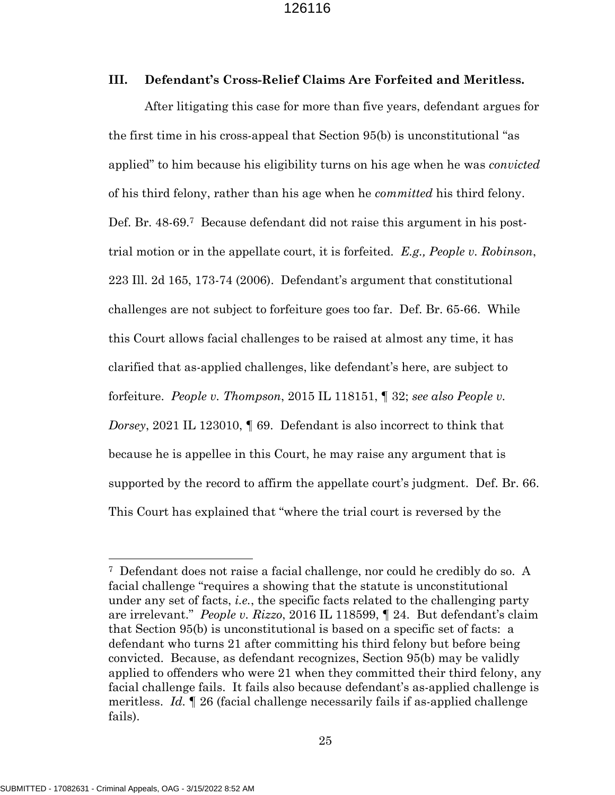#### **III. Defendant's Cross-Relief Claims Are Forfeited and Meritless.**

After litigating this case for more than five years, defendant argues for the first time in his cross-appeal that Section 95(b) is unconstitutional "as applied" to him because his eligibility turns on his age when he was *convicted* of his third felony, rather than his age when he *committed* his third felony. Def. Br. 48-69.<sup>7</sup> Because defendant did not raise this argument in his posttrial motion or in the appellate court, it is forfeited. *E.g., People v. Robinson*, 223 Ill. 2d 165, 173-74 (2006). Defendant's argument that constitutional challenges are not subject to forfeiture goes too far. Def. Br. 65-66. While this Court allows facial challenges to be raised at almost any time, it has clarified that as-applied challenges, like defendant's here, are subject to forfeiture. *People v. Thompson*, 2015 IL 118151, ¶ 32; *see also People v. Dorsey*, 2021 IL 123010, ¶ 69. Defendant is also incorrect to think that because he is appellee in this Court, he may raise any argument that is supported by the record to affirm the appellate court's judgment. Def. Br. 66. This Court has explained that "where the trial court is reversed by the

<sup>7</sup> Defendant does not raise a facial challenge, nor could he credibly do so. A facial challenge "requires a showing that the statute is unconstitutional under any set of facts, *i.e.*, the specific facts related to the challenging party are irrelevant." *People v. Rizzo*, 2016 IL 118599, ¶ 24. But defendant's claim that Section 95(b) is unconstitutional is based on a specific set of facts: a defendant who turns 21 after committing his third felony but before being convicted. Because, as defendant recognizes, Section 95(b) may be validly applied to offenders who were 21 when they committed their third felony, any facial challenge fails. It fails also because defendant's as-applied challenge is meritless. *Id.* ¶ 26 (facial challenge necessarily fails if as-applied challenge fails).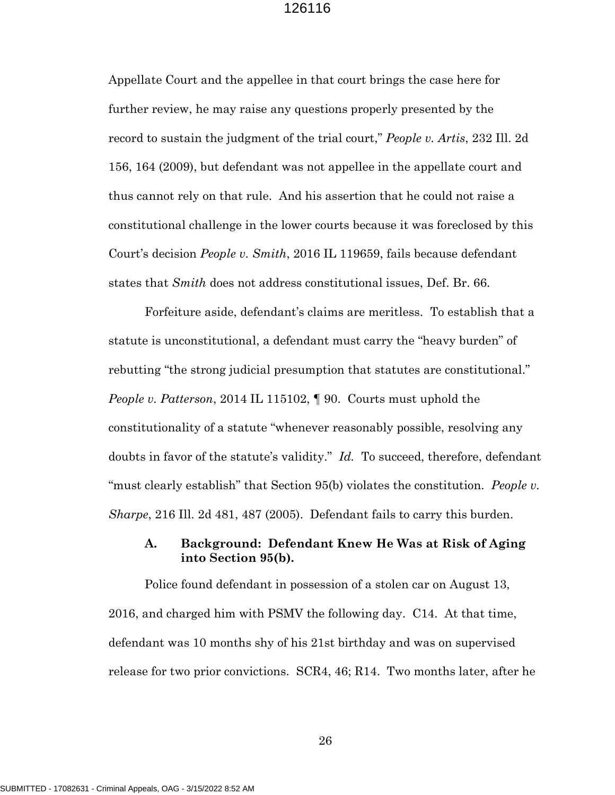Appellate Court and the appellee in that court brings the case here for further review, he may raise any questions properly presented by the record to sustain the judgment of the trial court," *People v. Artis*, 232 Ill. 2d 156, 164 (2009), but defendant was not appellee in the appellate court and thus cannot rely on that rule. And his assertion that he could not raise a constitutional challenge in the lower courts because it was foreclosed by this Court's decision *People v. Smith*, 2016 IL 119659, fails because defendant states that *Smith* does not address constitutional issues, Def. Br. 66.

Forfeiture aside, defendant's claims are meritless. To establish that a statute is unconstitutional, a defendant must carry the "heavy burden" of rebutting "the strong judicial presumption that statutes are constitutional." *People v. Patterson*, 2014 IL 115102, ¶ 90. Courts must uphold the constitutionality of a statute "whenever reasonably possible, resolving any doubts in favor of the statute's validity." *Id.* To succeed, therefore, defendant "must clearly establish" that Section 95(b) violates the constitution. *People v. Sharpe*, 216 Ill. 2d 481, 487 (2005). Defendant fails to carry this burden.

## **A. Background: Defendant Knew He Was at Risk of Aging into Section 95(b).**

Police found defendant in possession of a stolen car on August 13, 2016, and charged him with PSMV the following day. C14. At that time, defendant was 10 months shy of his 21st birthday and was on supervised release for two prior convictions. SCR4, 46; R14. Two months later, after he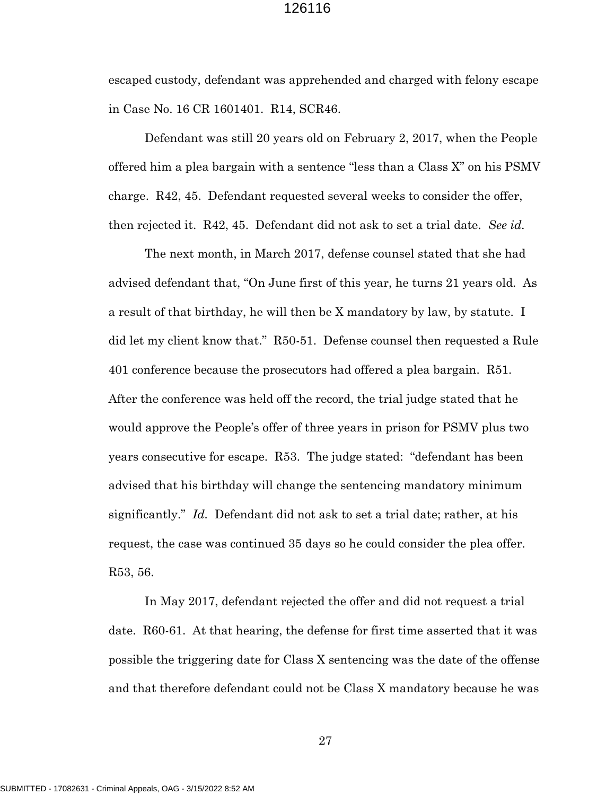escaped custody, defendant was apprehended and charged with felony escape in Case No. 16 CR 1601401. R14, SCR46.

Defendant was still 20 years old on February 2, 2017, when the People offered him a plea bargain with a sentence "less than a Class X" on his PSMV charge. R42, 45. Defendant requested several weeks to consider the offer, then rejected it. R42, 45. Defendant did not ask to set a trial date. *See id.*

The next month, in March 2017, defense counsel stated that she had advised defendant that, "On June first of this year, he turns 21 years old. As a result of that birthday, he will then be X mandatory by law, by statute. I did let my client know that." R50-51. Defense counsel then requested a Rule 401 conference because the prosecutors had offered a plea bargain. R51. After the conference was held off the record, the trial judge stated that he would approve the People's offer of three years in prison for PSMV plus two years consecutive for escape. R53. The judge stated: "defendant has been advised that his birthday will change the sentencing mandatory minimum significantly." *Id.* Defendant did not ask to set a trial date; rather, at his request, the case was continued 35 days so he could consider the plea offer. R53, 56.

In May 2017, defendant rejected the offer and did not request a trial date. R60-61. At that hearing, the defense for first time asserted that it was possible the triggering date for Class X sentencing was the date of the offense and that therefore defendant could not be Class X mandatory because he was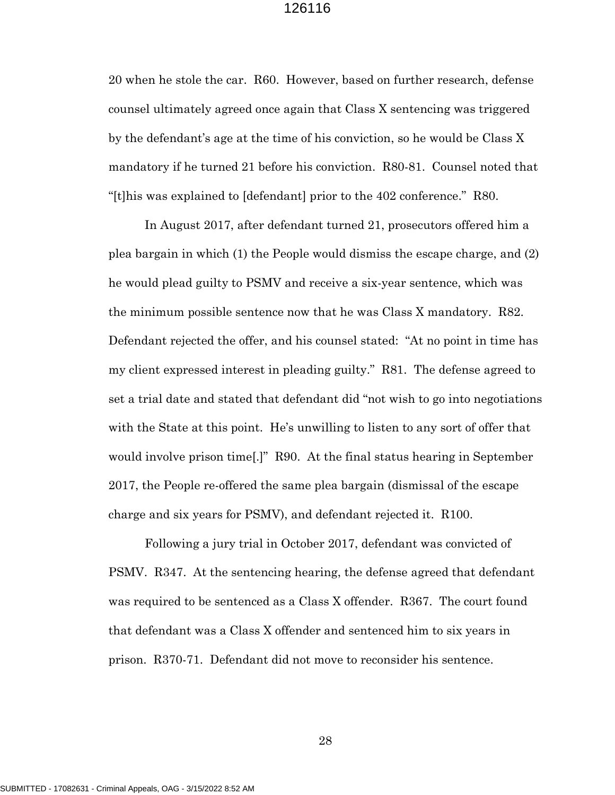20 when he stole the car. R60. However, based on further research, defense counsel ultimately agreed once again that Class X sentencing was triggered by the defendant's age at the time of his conviction, so he would be Class X mandatory if he turned 21 before his conviction. R80-81. Counsel noted that "[t]his was explained to [defendant] prior to the 402 conference." R80.

In August 2017, after defendant turned 21, prosecutors offered him a plea bargain in which (1) the People would dismiss the escape charge, and (2) he would plead guilty to PSMV and receive a six-year sentence, which was the minimum possible sentence now that he was Class X mandatory. R82. Defendant rejected the offer, and his counsel stated: "At no point in time has my client expressed interest in pleading guilty." R81. The defense agreed to set a trial date and stated that defendant did "not wish to go into negotiations with the State at this point. He's unwilling to listen to any sort of offer that would involve prison time[.]" R90. At the final status hearing in September 2017, the People re-offered the same plea bargain (dismissal of the escape charge and six years for PSMV), and defendant rejected it. R100.

Following a jury trial in October 2017, defendant was convicted of PSMV. R347. At the sentencing hearing, the defense agreed that defendant was required to be sentenced as a Class X offender. R367. The court found that defendant was a Class X offender and sentenced him to six years in prison. R370-71. Defendant did not move to reconsider his sentence.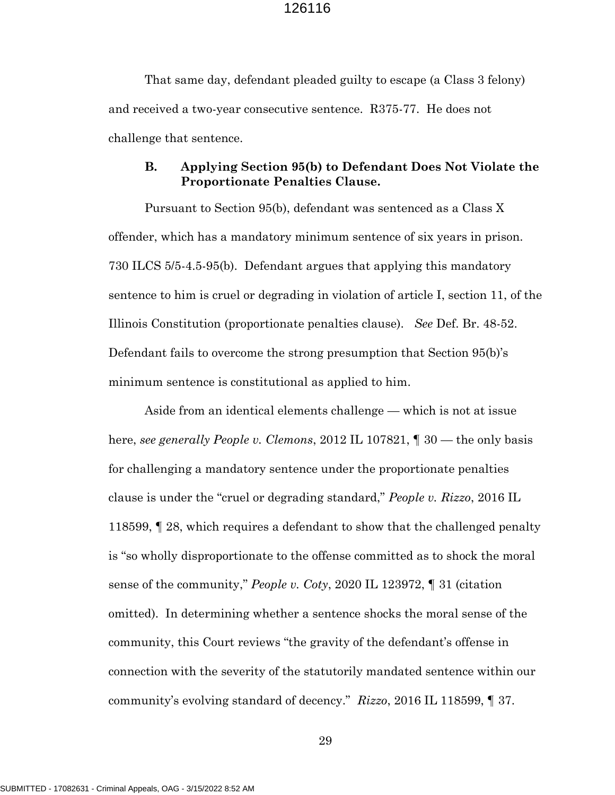That same day, defendant pleaded guilty to escape (a Class 3 felony) and received a two-year consecutive sentence. R375-77. He does not challenge that sentence.

### **B. Applying Section 95(b) to Defendant Does Not Violate the Proportionate Penalties Clause.**

Pursuant to Section 95(b), defendant was sentenced as a Class X offender, which has a mandatory minimum sentence of six years in prison. 730 ILCS 5/5-4.5-95(b). Defendant argues that applying this mandatory sentence to him is cruel or degrading in violation of article I, section 11, of the Illinois Constitution (proportionate penalties clause). *See* Def. Br. 48-52. Defendant fails to overcome the strong presumption that Section 95(b)'s minimum sentence is constitutional as applied to him.

Aside from an identical elements challenge — which is not at issue here, *see generally People v. Clemons*, 2012 IL 107821, ¶ 30 — the only basis for challenging a mandatory sentence under the proportionate penalties clause is under the "cruel or degrading standard," *People v. Rizzo*, 2016 IL 118599, ¶ 28, which requires a defendant to show that the challenged penalty is "so wholly disproportionate to the offense committed as to shock the moral sense of the community," *People v. Coty*, 2020 IL 123972, ¶ 31 (citation omitted). In determining whether a sentence shocks the moral sense of the community, this Court reviews "the gravity of the defendant's offense in connection with the severity of the statutorily mandated sentence within our community's evolving standard of decency." *Rizzo*, 2016 IL 118599, ¶ 37.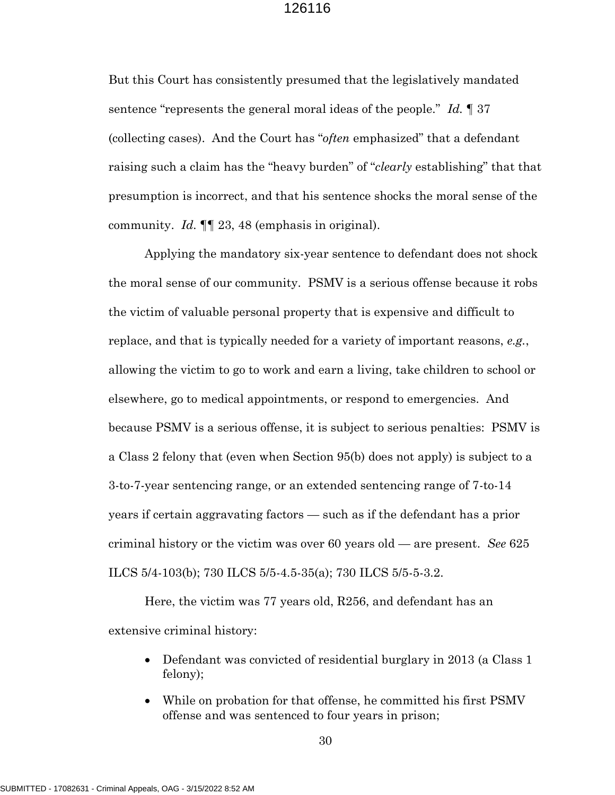But this Court has consistently presumed that the legislatively mandated sentence "represents the general moral ideas of the people." *Id.* ¶ 37 (collecting cases). And the Court has "*often* emphasized" that a defendant raising such a claim has the "heavy burden" of "*clearly* establishing" that that presumption is incorrect, and that his sentence shocks the moral sense of the community. *Id.* ¶¶ 23, 48 (emphasis in original).

Applying the mandatory six-year sentence to defendant does not shock the moral sense of our community. PSMV is a serious offense because it robs the victim of valuable personal property that is expensive and difficult to replace, and that is typically needed for a variety of important reasons, *e.g.*, allowing the victim to go to work and earn a living, take children to school or elsewhere, go to medical appointments, or respond to emergencies. And because PSMV is a serious offense, it is subject to serious penalties: PSMV is a Class 2 felony that (even when Section 95(b) does not apply) is subject to a 3-to-7-year sentencing range, or an extended sentencing range of 7-to-14 years if certain aggravating factors — such as if the defendant has a prior criminal history or the victim was over 60 years old — are present. *See* 625 ILCS 5/4-103(b); 730 ILCS 5/5-4.5-35(a); 730 ILCS 5/5-5-3.2.

Here, the victim was 77 years old, R256, and defendant has an extensive criminal history:

- Defendant was convicted of residential burglary in 2013 (a Class 1) felony);
- While on probation for that offense, he committed his first PSMV offense and was sentenced to four years in prison;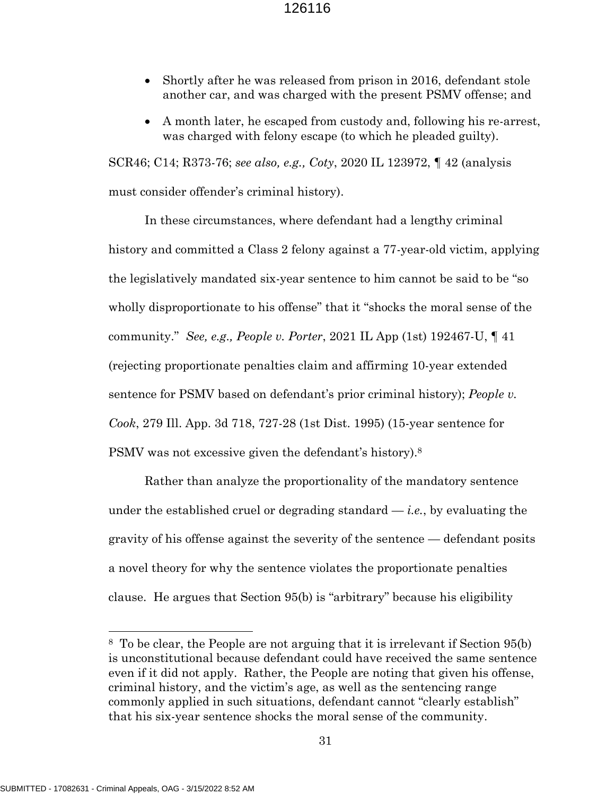- Shortly after he was released from prison in 2016, defendant stole another car, and was charged with the present PSMV offense; and
- A month later, he escaped from custody and, following his re-arrest, was charged with felony escape (to which he pleaded guilty).

SCR46; C14; R373-76; *see also, e.g., Coty*, 2020 IL 123972, ¶ 42 (analysis must consider offender's criminal history).

In these circumstances, where defendant had a lengthy criminal history and committed a Class 2 felony against a 77-year-old victim, applying the legislatively mandated six-year sentence to him cannot be said to be "so wholly disproportionate to his offense" that it "shocks the moral sense of the community." *See, e.g., People v. Porter*, 2021 IL App (1st) 192467-U, ¶ 41 (rejecting proportionate penalties claim and affirming 10-year extended sentence for PSMV based on defendant's prior criminal history); *People v. Cook*, 279 Ill. App. 3d 718, 727-28 (1st Dist. 1995) (15-year sentence for PSMV was not excessive given the defendant's history).<sup>8</sup>

Rather than analyze the proportionality of the mandatory sentence under the established cruel or degrading standard — *i.e.*, by evaluating the gravity of his offense against the severity of the sentence — defendant posits a novel theory for why the sentence violates the proportionate penalties clause. He argues that Section 95(b) is "arbitrary" because his eligibility

<sup>8</sup> To be clear, the People are not arguing that it is irrelevant if Section 95(b) is unconstitutional because defendant could have received the same sentence even if it did not apply. Rather, the People are noting that given his offense, criminal history, and the victim's age, as well as the sentencing range commonly applied in such situations, defendant cannot "clearly establish" that his six-year sentence shocks the moral sense of the community.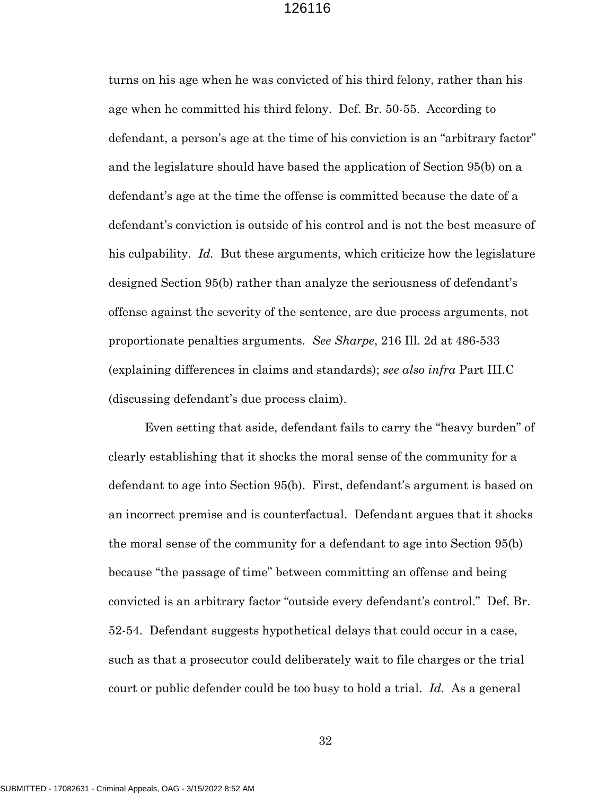turns on his age when he was convicted of his third felony, rather than his age when he committed his third felony. Def. Br. 50-55. According to defendant, a person's age at the time of his conviction is an "arbitrary factor" and the legislature should have based the application of Section 95(b) on a defendant's age at the time the offense is committed because the date of a defendant's conviction is outside of his control and is not the best measure of his culpability. *Id.* But these arguments, which criticize how the legislature designed Section 95(b) rather than analyze the seriousness of defendant's offense against the severity of the sentence, are due process arguments, not proportionate penalties arguments. *See Sharpe*, 216 Ill. 2d at 486-533 (explaining differences in claims and standards); *see also infra* Part III.C (discussing defendant's due process claim).

Even setting that aside, defendant fails to carry the "heavy burden" of clearly establishing that it shocks the moral sense of the community for a defendant to age into Section 95(b). First, defendant's argument is based on an incorrect premise and is counterfactual. Defendant argues that it shocks the moral sense of the community for a defendant to age into Section 95(b) because "the passage of time" between committing an offense and being convicted is an arbitrary factor "outside every defendant's control." Def. Br. 52-54. Defendant suggests hypothetical delays that could occur in a case, such as that a prosecutor could deliberately wait to file charges or the trial court or public defender could be too busy to hold a trial. *Id.* As a general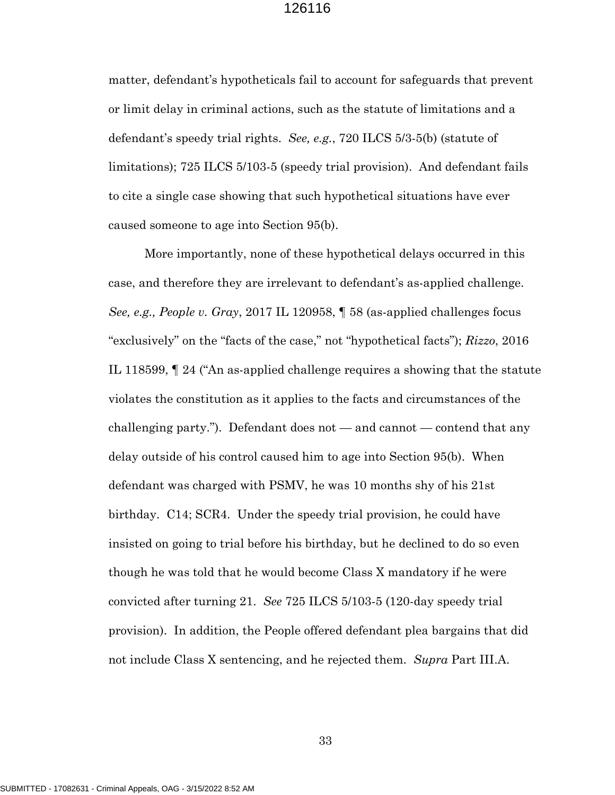matter, defendant's hypotheticals fail to account for safeguards that prevent or limit delay in criminal actions, such as the statute of limitations and a defendant's speedy trial rights. *See, e.g.*, 720 ILCS 5/3-5(b) (statute of limitations); 725 ILCS 5/103-5 (speedy trial provision). And defendant fails to cite a single case showing that such hypothetical situations have ever caused someone to age into Section 95(b).

More importantly, none of these hypothetical delays occurred in this case, and therefore they are irrelevant to defendant's as-applied challenge. *See, e.g., People v. Gray*, 2017 IL 120958, ¶ 58 (as-applied challenges focus "exclusively" on the "facts of the case," not "hypothetical facts"); *Rizzo*, 2016 IL 118599, ¶ 24 ("An as-applied challenge requires a showing that the statute violates the constitution as it applies to the facts and circumstances of the challenging party."). Defendant does not — and cannot — contend that any delay outside of his control caused him to age into Section 95(b). When defendant was charged with PSMV, he was 10 months shy of his 21st birthday. C14; SCR4. Under the speedy trial provision, he could have insisted on going to trial before his birthday, but he declined to do so even though he was told that he would become Class X mandatory if he were convicted after turning 21. *See* 725 ILCS 5/103-5 (120-day speedy trial provision). In addition, the People offered defendant plea bargains that did not include Class X sentencing, and he rejected them. *Supra* Part III.A.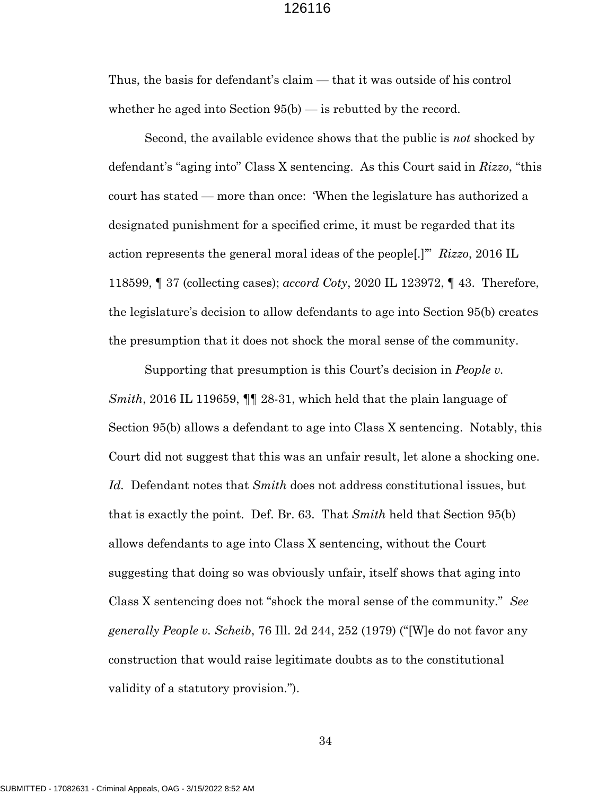Thus, the basis for defendant's claim — that it was outside of his control whether he aged into Section 95(b) — is rebutted by the record.

Second, the available evidence shows that the public is *not* shocked by defendant's "aging into" Class X sentencing. As this Court said in *Rizzo*, "this court has stated — more than once: 'When the legislature has authorized a designated punishment for a specified crime, it must be regarded that its action represents the general moral ideas of the people[.]'" *Rizzo*, 2016 IL 118599, ¶ 37 (collecting cases); *accord Coty*, 2020 IL 123972, ¶ 43. Therefore, the legislature's decision to allow defendants to age into Section 95(b) creates the presumption that it does not shock the moral sense of the community.

Supporting that presumption is this Court's decision in *People v. Smith*, 2016 IL 119659, ¶¶ 28-31, which held that the plain language of Section 95(b) allows a defendant to age into Class X sentencing. Notably, this Court did not suggest that this was an unfair result, let alone a shocking one. *Id.* Defendant notes that *Smith* does not address constitutional issues, but that is exactly the point. Def. Br. 63. That *Smith* held that Section 95(b) allows defendants to age into Class X sentencing, without the Court suggesting that doing so was obviously unfair, itself shows that aging into Class X sentencing does not "shock the moral sense of the community." *See generally People v. Scheib*, 76 Ill. 2d 244, 252 (1979) ("[W]e do not favor any construction that would raise legitimate doubts as to the constitutional validity of a statutory provision*.*").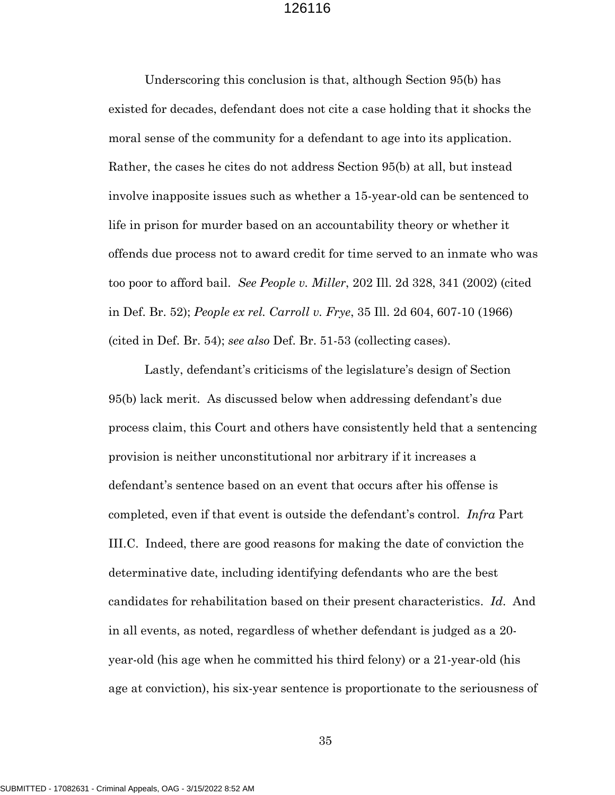Underscoring this conclusion is that, although Section 95(b) has existed for decades, defendant does not cite a case holding that it shocks the moral sense of the community for a defendant to age into its application. Rather, the cases he cites do not address Section 95(b) at all, but instead involve inapposite issues such as whether a 15-year-old can be sentenced to life in prison for murder based on an accountability theory or whether it offends due process not to award credit for time served to an inmate who was too poor to afford bail. *See People v. Miller*, 202 Ill. 2d 328, 341 (2002) (cited in Def. Br. 52); *People ex rel. Carroll v. Frye*, 35 Ill. 2d 604, 607-10 (1966) (cited in Def. Br. 54); *see also* Def. Br. 51-53 (collecting cases).

Lastly, defendant's criticisms of the legislature's design of Section 95(b) lack merit. As discussed below when addressing defendant's due process claim, this Court and others have consistently held that a sentencing provision is neither unconstitutional nor arbitrary if it increases a defendant's sentence based on an event that occurs after his offense is completed, even if that event is outside the defendant's control. *Infra* Part III.C. Indeed, there are good reasons for making the date of conviction the determinative date, including identifying defendants who are the best candidates for rehabilitation based on their present characteristics. *Id*. And in all events, as noted, regardless of whether defendant is judged as a 20 year-old (his age when he committed his third felony) or a 21-year-old (his age at conviction), his six-year sentence is proportionate to the seriousness of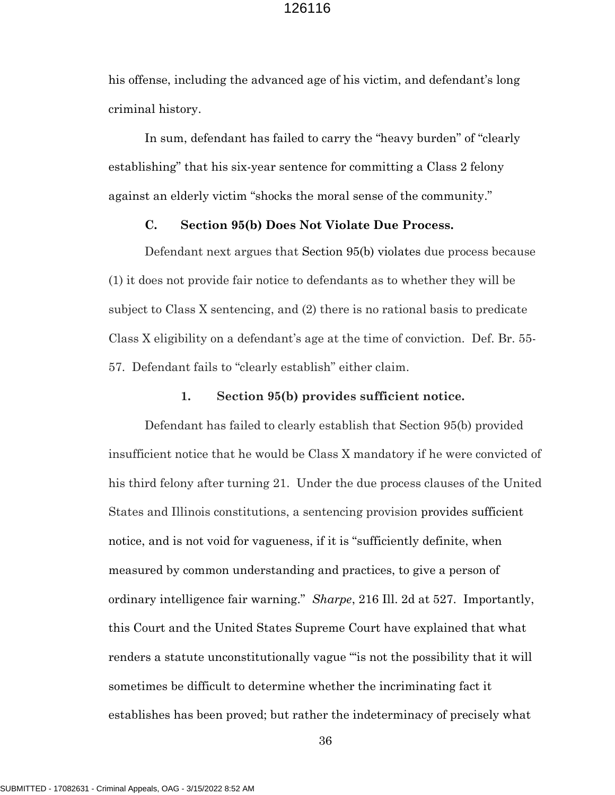his offense, including the advanced age of his victim, and defendant's long criminal history.

In sum, defendant has failed to carry the "heavy burden" of "clearly establishing" that his six-year sentence for committing a Class 2 felony against an elderly victim "shocks the moral sense of the community."

#### **C. Section 95(b) Does Not Violate Due Process.**

Defendant next argues that Section 95(b) violates due process because (1) it does not provide fair notice to defendants as to whether they will be subject to Class X sentencing, and (2) there is no rational basis to predicate Class X eligibility on a defendant's age at the time of conviction. Def. Br. 55- 57. Defendant fails to "clearly establish" either claim.

#### **1. Section 95(b) provides sufficient notice.**

Defendant has failed to clearly establish that Section 95(b) provided insufficient notice that he would be Class X mandatory if he were convicted of his third felony after turning 21. Under the due process clauses of the United States and Illinois constitutions, a sentencing provision provides sufficient notice, and is not void for vagueness, if it is "sufficiently definite, when measured by common understanding and practices, to give a person of ordinary intelligence fair warning." *Sharpe*, 216 Ill. 2d at 527. Importantly, this Court and the United States Supreme Court have explained that what renders a statute unconstitutionally vague "'is not the possibility that it will sometimes be difficult to determine whether the incriminating fact it establishes has been proved; but rather the indeterminacy of precisely what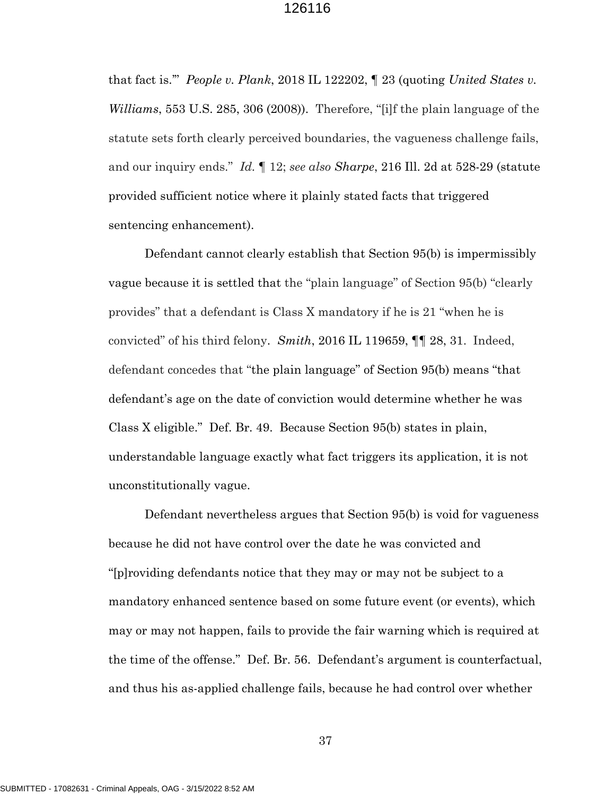that fact is.'" *People v. Plank*, 2018 IL 122202, ¶ 23 (quoting *United States v. Williams*, 553 U.S. 285, 306 (2008)). Therefore, "[i]f the plain language of the statute sets forth clearly perceived boundaries, the vagueness challenge fails, and our inquiry ends." *Id.* ¶ 12; *see also Sharpe*, 216 Ill. 2d at 528-29 (statute provided sufficient notice where it plainly stated facts that triggered sentencing enhancement).

Defendant cannot clearly establish that Section 95(b) is impermissibly vague because it is settled that the "plain language" of Section 95(b) "clearly provides" that a defendant is Class X mandatory if he is 21 "when he is convicted" of his third felony. *Smith*, 2016 IL 119659, ¶¶ 28, 31. Indeed, defendant concedes that "the plain language" of Section 95(b) means "that defendant's age on the date of conviction would determine whether he was Class X eligible." Def. Br. 49. Because Section 95(b) states in plain, understandable language exactly what fact triggers its application, it is not unconstitutionally vague.

Defendant nevertheless argues that Section 95(b) is void for vagueness because he did not have control over the date he was convicted and "[p]roviding defendants notice that they may or may not be subject to a mandatory enhanced sentence based on some future event (or events), which may or may not happen, fails to provide the fair warning which is required at the time of the offense." Def. Br. 56. Defendant's argument is counterfactual, and thus his as-applied challenge fails, because he had control over whether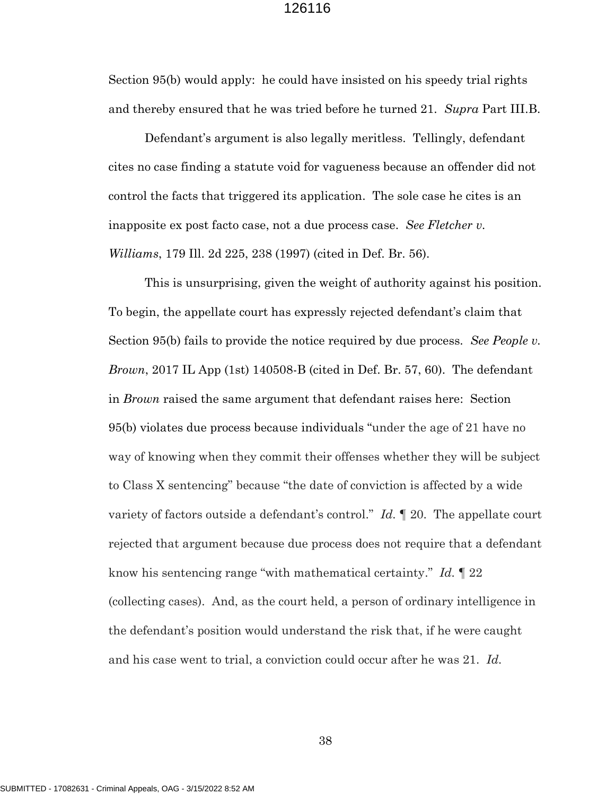Section 95(b) would apply: he could have insisted on his speedy trial rights and thereby ensured that he was tried before he turned 21. *Supra* Part III.B.

Defendant's argument is also legally meritless. Tellingly, defendant cites no case finding a statute void for vagueness because an offender did not control the facts that triggered its application. The sole case he cites is an inapposite ex post facto case, not a due process case. *See Fletcher v. Williams*, 179 Ill. 2d 225, 238 (1997) (cited in Def. Br. 56).

This is unsurprising, given the weight of authority against his position. To begin, the appellate court has expressly rejected defendant's claim that Section 95(b) fails to provide the notice required by due process. *See People v. Brown*, 2017 IL App (1st) 140508-B (cited in Def. Br. 57, 60). The defendant in *Brown* raised the same argument that defendant raises here: Section 95(b) violates due process because individuals "under the age of 21 have no way of knowing when they commit their offenses whether they will be subject to Class X sentencing" because "the date of conviction is affected by a wide variety of factors outside a defendant's control." *Id.* ¶ 20. The appellate court rejected that argument because due process does not require that a defendant know his sentencing range "with mathematical certainty." *Id.* ¶ 22 (collecting cases). And, as the court held, a person of ordinary intelligence in the defendant's position would understand the risk that, if he were caught and his case went to trial, a conviction could occur after he was 21. *Id.*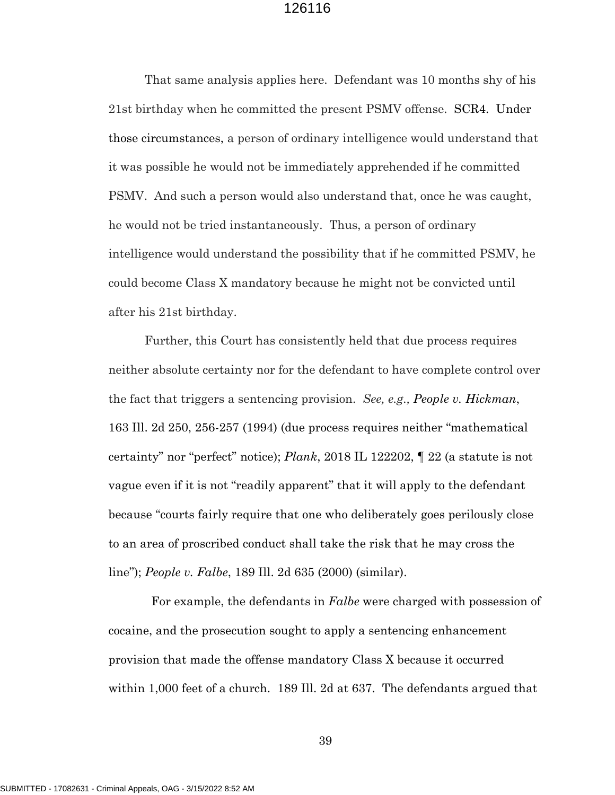That same analysis applies here. Defendant was 10 months shy of his 21st birthday when he committed the present PSMV offense. SCR4. Under those circumstances, a person of ordinary intelligence would understand that it was possible he would not be immediately apprehended if he committed PSMV. And such a person would also understand that, once he was caught, he would not be tried instantaneously. Thus, a person of ordinary intelligence would understand the possibility that if he committed PSMV, he could become Class X mandatory because he might not be convicted until after his 21st birthday.

Further, this Court has consistently held that due process requires neither absolute certainty nor for the defendant to have complete control over the fact that triggers a sentencing provision. *See, e.g., People v. Hickman*, 163 Ill. 2d 250, 256-257 (1994) (due process requires neither "mathematical certainty" nor "perfect" notice); *Plank*, 2018 IL 122202, ¶ 22 (a statute is not vague even if it is not "readily apparent" that it will apply to the defendant because "courts fairly require that one who deliberately goes perilously close to an area of proscribed conduct shall take the risk that he may cross the line"); *People v. Falbe*, 189 Ill. 2d 635 (2000) (similar).

 For example, the defendants in *Falbe* were charged with possession of cocaine, and the prosecution sought to apply a sentencing enhancement provision that made the offense mandatory Class X because it occurred within 1,000 feet of a church. 189 Ill. 2d at 637. The defendants argued that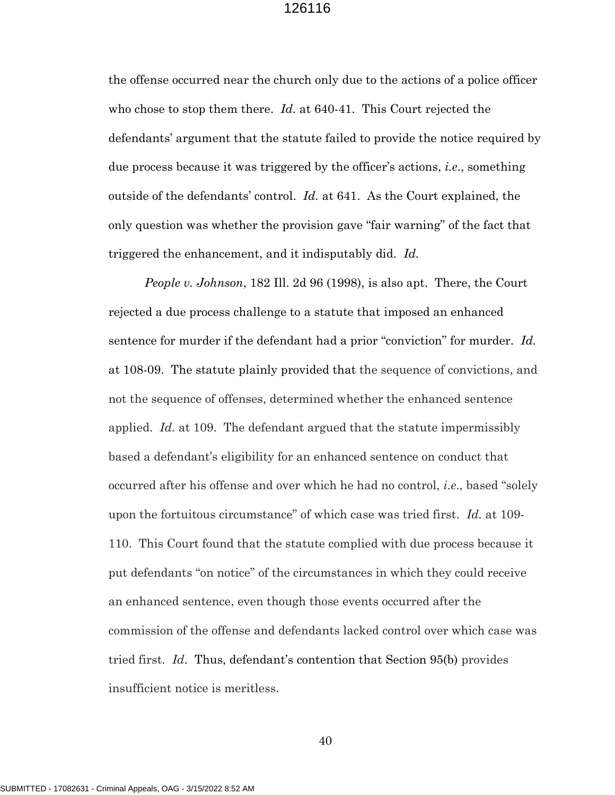the offense occurred near the church only due to the actions of a police officer who chose to stop them there. *Id.* at 640-41. This Court rejected the defendants' argument that the statute failed to provide the notice required by due process because it was triggered by the officer's actions, *i.e*., something outside of the defendants' control. *Id.* at 641. As the Court explained, the only question was whether the provision gave "fair warning" of the fact that triggered the enhancement, and it indisputably did. *Id.*

*People v. Johnson*, 182 Ill. 2d 96 (1998), is also apt. There, the Court rejected a due process challenge to a statute that imposed an enhanced sentence for murder if the defendant had a prior "conviction" for murder. *Id.* at 108-09. The statute plainly provided that the sequence of convictions, and not the sequence of offenses, determined whether the enhanced sentence applied. *Id.* at 109. The defendant argued that the statute impermissibly based a defendant's eligibility for an enhanced sentence on conduct that occurred after his offense and over which he had no control, *i.e*., based "solely upon the fortuitous circumstance" of which case was tried first. *Id.* at 109- 110. This Court found that the statute complied with due process because it put defendants "on notice" of the circumstances in which they could receive an enhanced sentence, even though those events occurred after the commission of the offense and defendants lacked control over which case was tried first. *Id*. Thus, defendant's contention that Section 95(b) provides insufficient notice is meritless.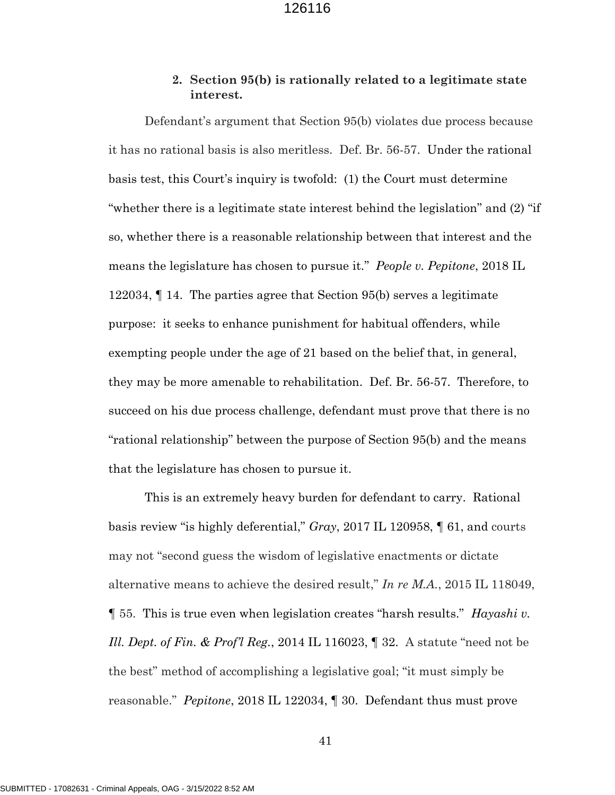### **2. Section 95(b) is rationally related to a legitimate state interest.**

Defendant's argument that Section 95(b) violates due process because it has no rational basis is also meritless. Def. Br. 56-57. Under the rational basis test, this Court's inquiry is twofold: (1) the Court must determine "whether there is a legitimate state interest behind the legislation" and (2) "if so, whether there is a reasonable relationship between that interest and the means the legislature has chosen to pursue it." *People v. Pepitone*, 2018 IL 122034, ¶ 14. The parties agree that Section 95(b) serves a legitimate purpose: it seeks to enhance punishment for habitual offenders, while exempting people under the age of 21 based on the belief that, in general, they may be more amenable to rehabilitation. Def. Br. 56-57. Therefore, to succeed on his due process challenge, defendant must prove that there is no "rational relationship" between the purpose of Section 95(b) and the means that the legislature has chosen to pursue it.

This is an extremely heavy burden for defendant to carry. Rational basis review "is highly deferential," *Gray*, 2017 IL 120958, ¶ 61, and courts may not "second guess the wisdom of legislative enactments or dictate alternative means to achieve the desired result," *In re M.A.*, 2015 IL 118049, ¶ 55. This is true even when legislation creates "harsh results." *Hayashi v. Ill. Dept. of Fin. & Prof'l Reg.*, 2014 IL 116023, ¶ 32. A statute "need not be the best" method of accomplishing a legislative goal; "it must simply be reasonable." *Pepitone*, 2018 IL 122034, ¶ 30. Defendant thus must prove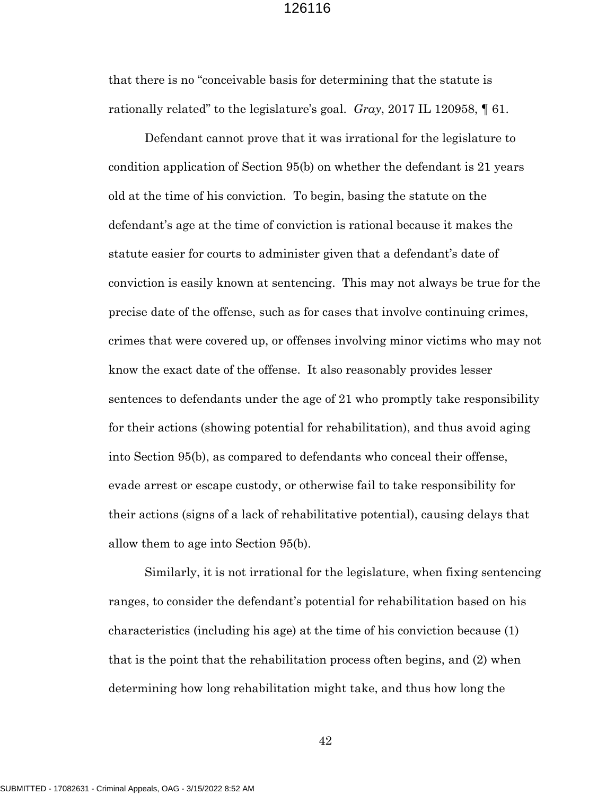that there is no "conceivable basis for determining that the statute is rationally related" to the legislature's goal. *Gray*, 2017 IL 120958, ¶ 61.

Defendant cannot prove that it was irrational for the legislature to condition application of Section 95(b) on whether the defendant is 21 years old at the time of his conviction. To begin, basing the statute on the defendant's age at the time of conviction is rational because it makes the statute easier for courts to administer given that a defendant's date of conviction is easily known at sentencing. This may not always be true for the precise date of the offense, such as for cases that involve continuing crimes, crimes that were covered up, or offenses involving minor victims who may not know the exact date of the offense. It also reasonably provides lesser sentences to defendants under the age of 21 who promptly take responsibility for their actions (showing potential for rehabilitation), and thus avoid aging into Section 95(b), as compared to defendants who conceal their offense, evade arrest or escape custody, or otherwise fail to take responsibility for their actions (signs of a lack of rehabilitative potential), causing delays that allow them to age into Section 95(b).

Similarly, it is not irrational for the legislature, when fixing sentencing ranges, to consider the defendant's potential for rehabilitation based on his characteristics (including his age) at the time of his conviction because (1) that is the point that the rehabilitation process often begins, and (2) when determining how long rehabilitation might take, and thus how long the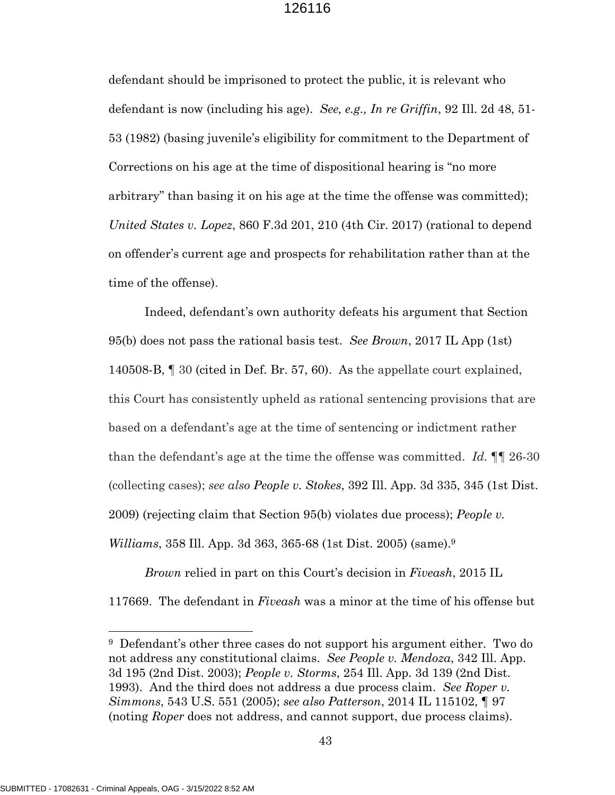defendant should be imprisoned to protect the public, it is relevant who defendant is now (including his age). *See, e.g., In re Griffin*, 92 Ill. 2d 48, 51- 53 (1982) (basing juvenile's eligibility for commitment to the Department of Corrections on his age at the time of dispositional hearing is "no more arbitrary" than basing it on his age at the time the offense was committed); *United States v. Lopez*, 860 F.3d 201, 210 (4th Cir. 2017) (rational to depend on offender's current age and prospects for rehabilitation rather than at the time of the offense).

Indeed, defendant's own authority defeats his argument that Section 95(b) does not pass the rational basis test. *See Brown*, 2017 IL App (1st) 140508-B, ¶ 30 (cited in Def. Br. 57, 60). As the appellate court explained, this Court has consistently upheld as rational sentencing provisions that are based on a defendant's age at the time of sentencing or indictment rather than the defendant's age at the time the offense was committed. *Id.* ¶¶ 26-30 (collecting cases); *see also People v. Stokes*, 392 Ill. App. 3d 335, 345 (1st Dist. 2009) (rejecting claim that Section 95(b) violates due process); *People v. Williams*, 358 Ill. App. 3d 363, 365-68 (1st Dist. 2005) (same).<sup>9</sup>

*Brown* relied in part on this Court's decision in *Fiveash*, 2015 IL 117669. The defendant in *Fiveash* was a minor at the time of his offense but

<sup>&</sup>lt;sup>9</sup> Defendant's other three cases do not support his argument either. Two do not address any constitutional claims. *See People v. Mendoza*, 342 Ill. App. 3d 195 (2nd Dist. 2003); *People v. Storms*, 254 Ill. App. 3d 139 (2nd Dist. 1993). And the third does not address a due process claim. *See Roper v. Simmons*, 543 U.S. 551 (2005); *see also Patterson*, 2014 IL 115102, ¶ 97 (noting *Roper* does not address, and cannot support, due process claims).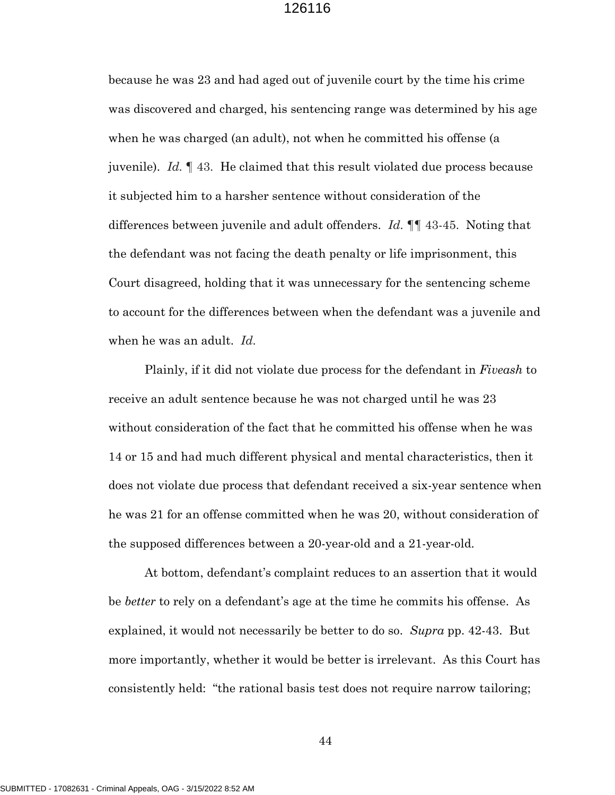because he was 23 and had aged out of juvenile court by the time his crime was discovered and charged, his sentencing range was determined by his age when he was charged (an adult), not when he committed his offense (a juvenile). *Id.* ¶ 43. He claimed that this result violated due process because it subjected him to a harsher sentence without consideration of the differences between juvenile and adult offenders. *Id.* ¶¶ 43-45. Noting that the defendant was not facing the death penalty or life imprisonment, this Court disagreed, holding that it was unnecessary for the sentencing scheme to account for the differences between when the defendant was a juvenile and when he was an adult. *Id.*

Plainly, if it did not violate due process for the defendant in *Fiveash* to receive an adult sentence because he was not charged until he was 23 without consideration of the fact that he committed his offense when he was 14 or 15 and had much different physical and mental characteristics, then it does not violate due process that defendant received a six-year sentence when he was 21 for an offense committed when he was 20, without consideration of the supposed differences between a 20-year-old and a 21-year-old.

At bottom, defendant's complaint reduces to an assertion that it would be *better* to rely on a defendant's age at the time he commits his offense. As explained, it would not necessarily be better to do so. *Supra* pp. 42-43. But more importantly, whether it would be better is irrelevant. As this Court has consistently held: "the rational basis test does not require narrow tailoring;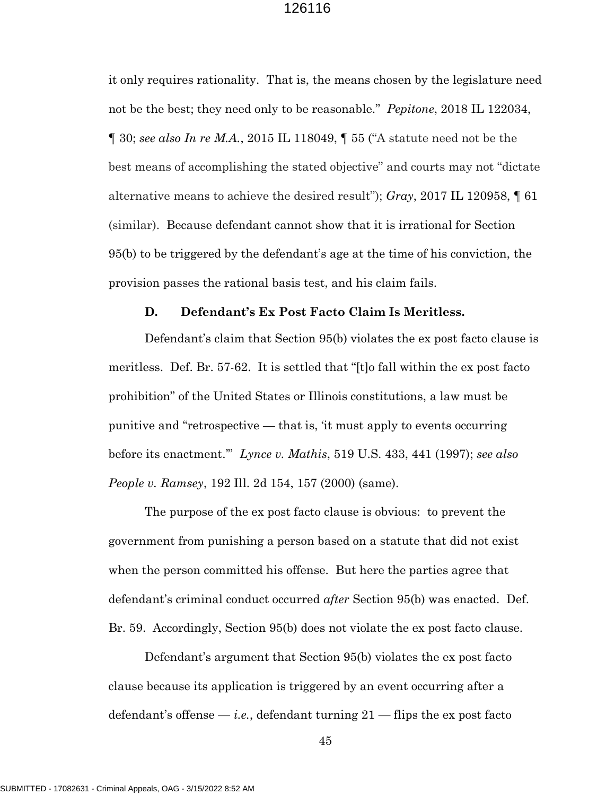it only requires rationality. That is, the means chosen by the legislature need not be the best; they need only to be reasonable." *Pepitone*, 2018 IL 122034, ¶ 30; *see also In re M.A.*, 2015 IL 118049, ¶ 55 ("A statute need not be the best means of accomplishing the stated objective" and courts may not "dictate alternative means to achieve the desired result"); *Gray*, 2017 IL 120958, ¶ 61 (similar). Because defendant cannot show that it is irrational for Section 95(b) to be triggered by the defendant's age at the time of his conviction, the provision passes the rational basis test, and his claim fails.

#### **D. Defendant's Ex Post Facto Claim Is Meritless.**

Defendant's claim that Section 95(b) violates the ex post facto clause is meritless. Def. Br. 57-62. It is settled that "[t]o fall within the ex post facto prohibition" of the United States or Illinois constitutions, a law must be punitive and "retrospective — that is, 'it must apply to events occurring before its enactment.'" *Lynce v. Mathis*, 519 U.S. 433, 441 (1997); *see also People v. Ramsey*, 192 Ill. 2d 154, 157 (2000) (same).

The purpose of the ex post facto clause is obvious: to prevent the government from punishing a person based on a statute that did not exist when the person committed his offense. But here the parties agree that defendant's criminal conduct occurred *after* Section 95(b) was enacted. Def. Br. 59. Accordingly, Section 95(b) does not violate the ex post facto clause.

Defendant's argument that Section 95(b) violates the ex post facto clause because its application is triggered by an event occurring after a defendant's offense  $-i.e.,$  defendant turning  $21$  — flips the expost facto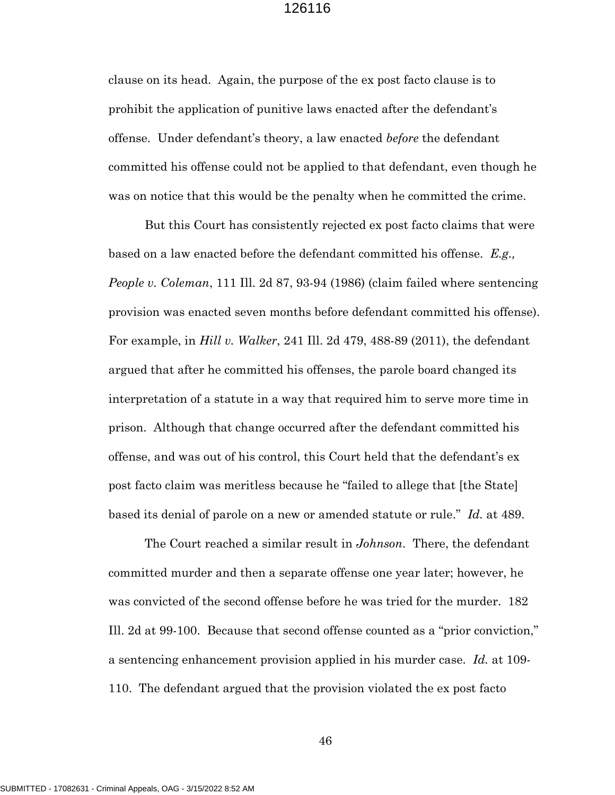clause on its head. Again, the purpose of the ex post facto clause is to prohibit the application of punitive laws enacted after the defendant's offense. Under defendant's theory, a law enacted *before* the defendant committed his offense could not be applied to that defendant, even though he was on notice that this would be the penalty when he committed the crime.

But this Court has consistently rejected ex post facto claims that were based on a law enacted before the defendant committed his offense. *E.g., People v. Coleman*, 111 Ill. 2d 87, 93-94 (1986) (claim failed where sentencing provision was enacted seven months before defendant committed his offense). For example, in *Hill v. Walker*, 241 Ill. 2d 479, 488-89 (2011), the defendant argued that after he committed his offenses, the parole board changed its interpretation of a statute in a way that required him to serve more time in prison. Although that change occurred after the defendant committed his offense, and was out of his control, this Court held that the defendant's ex post facto claim was meritless because he "failed to allege that [the State] based its denial of parole on a new or amended statute or rule." *Id.* at 489.

The Court reached a similar result in *Johnson*. There, the defendant committed murder and then a separate offense one year later; however, he was convicted of the second offense before he was tried for the murder. 182 Ill. 2d at 99-100. Because that second offense counted as a "prior conviction," a sentencing enhancement provision applied in his murder case. *Id.* at 109- 110. The defendant argued that the provision violated the ex post facto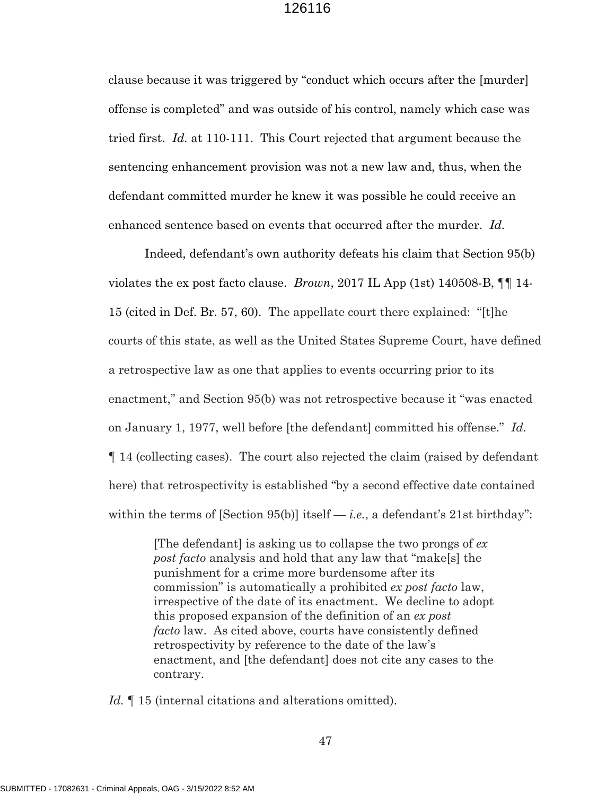clause because it was triggered by "conduct which occurs after the [murder] offense is completed" and was outside of his control, namely which case was tried first. *Id.* at 110-111. This Court rejected that argument because the sentencing enhancement provision was not a new law and, thus, when the defendant committed murder he knew it was possible he could receive an enhanced sentence based on events that occurred after the murder. *Id.*

Indeed, defendant's own authority defeats his claim that Section 95(b) violates the ex post facto clause. *Brown*, 2017 IL App (1st) 140508-B, ¶¶ 14- 15 (cited in Def. Br. 57, 60). The appellate court there explained: "[t]he courts of this state, as well as the United States Supreme Court, have defined a retrospective law as one that applies to events occurring prior to its enactment," and Section 95(b) was not retrospective because it "was enacted on January 1, 1977, well before [the defendant] committed his offense." *Id.* ¶ 14 (collecting cases). The court also rejected the claim (raised by defendant here) that retrospectivity is established "by a second effective date contained within the terms of  $[Section 95(b)]$  itself — *i.e.*, a defendant's 21st birthday":

> [The defendant] is asking us to collapse the two prongs of *ex post facto* analysis and hold that any law that "make[s] the punishment for a crime more burdensome after its commission" is automatically a prohibited *ex post facto* law, irrespective of the date of its enactment. We decline to adopt this proposed expansion of the definition of an *ex post facto* law. As cited above, courts have consistently defined retrospectivity by reference to the date of the law's enactment, and [the defendant] does not cite any cases to the contrary.

*Id.* If 15 (internal citations and alterations omitted).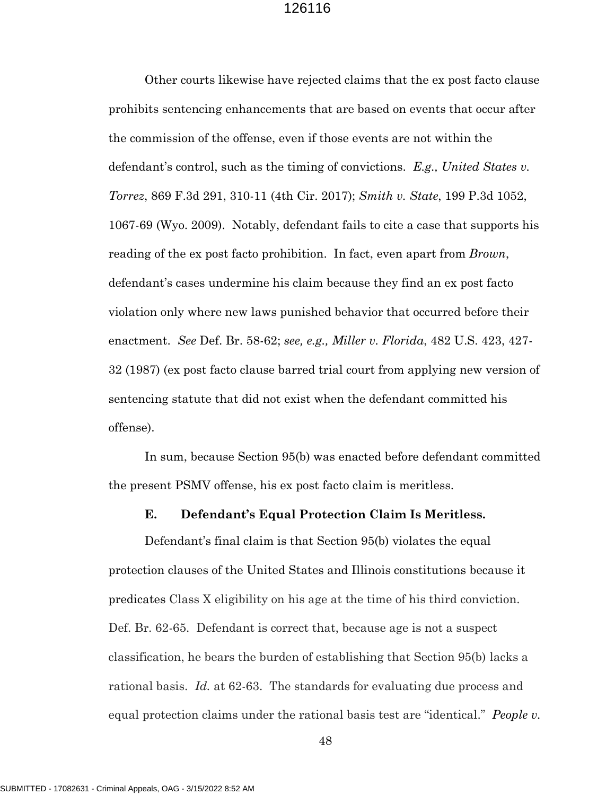Other courts likewise have rejected claims that the ex post facto clause prohibits sentencing enhancements that are based on events that occur after the commission of the offense, even if those events are not within the defendant's control, such as the timing of convictions. *E.g., United States v. Torrez*, 869 F.3d 291, 310-11 (4th Cir. 2017); *Smith v. State*, 199 P.3d 1052, 1067-69 (Wyo. 2009). Notably, defendant fails to cite a case that supports his reading of the ex post facto prohibition. In fact, even apart from *Brown*, defendant's cases undermine his claim because they find an ex post facto violation only where new laws punished behavior that occurred before their enactment. *See* Def. Br. 58-62; *see, e.g., Miller v. Florida*, 482 U.S. 423, 427- 32 (1987) (ex post facto clause barred trial court from applying new version of sentencing statute that did not exist when the defendant committed his offense).

In sum, because Section 95(b) was enacted before defendant committed the present PSMV offense, his ex post facto claim is meritless.

#### **E. Defendant's Equal Protection Claim Is Meritless.**

Defendant's final claim is that Section 95(b) violates the equal protection clauses of the United States and Illinois constitutions because it predicates Class X eligibility on his age at the time of his third conviction. Def. Br. 62-65. Defendant is correct that, because age is not a suspect classification, he bears the burden of establishing that Section 95(b) lacks a rational basis. *Id.* at 62-63. The standards for evaluating due process and equal protection claims under the rational basis test are "identical." *People v.*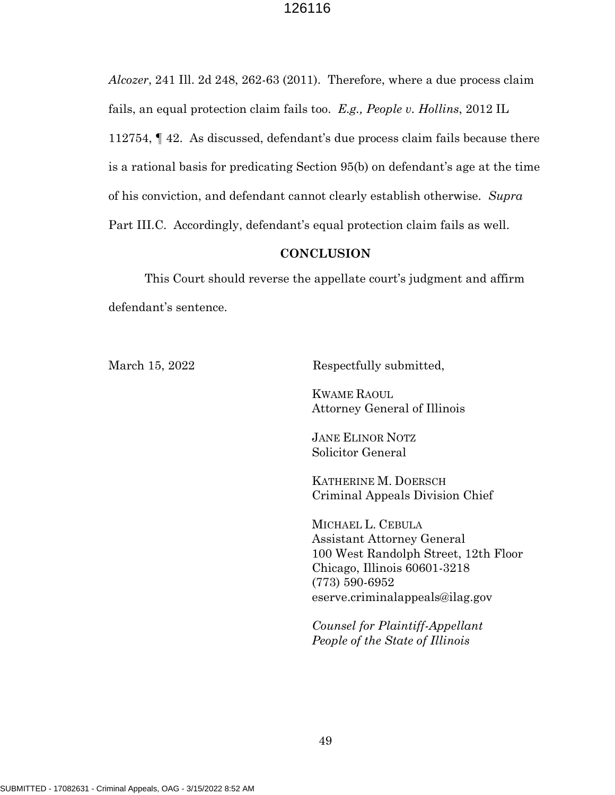*Alcozer*, 241 Ill. 2d 248, 262-63 (2011). Therefore, where a due process claim fails, an equal protection claim fails too. *E.g., People v. Hollins*, 2012 IL 112754, ¶ 42. As discussed, defendant's due process claim fails because there is a rational basis for predicating Section 95(b) on defendant's age at the time of his conviction, and defendant cannot clearly establish otherwise. *Supra* Part III.C. Accordingly, defendant's equal protection claim fails as well.

#### **CONCLUSION**

This Court should reverse the appellate court's judgment and affirm defendant's sentence.

March 15, 2022 Respectfully submitted,

KWAME RAOUL Attorney General of Illinois

JANE ELINOR NOTZ Solicitor General

KATHERINE M. DOERSCH Criminal Appeals Division Chief

MICHAEL L. CEBULA Assistant Attorney General 100 West Randolph Street, 12th Floor Chicago, Illinois 60601-3218 (773) 590-6952 eserve.criminalappeals@ilag.gov

*Counsel for Plaintiff-Appellant People of the State of Illinois*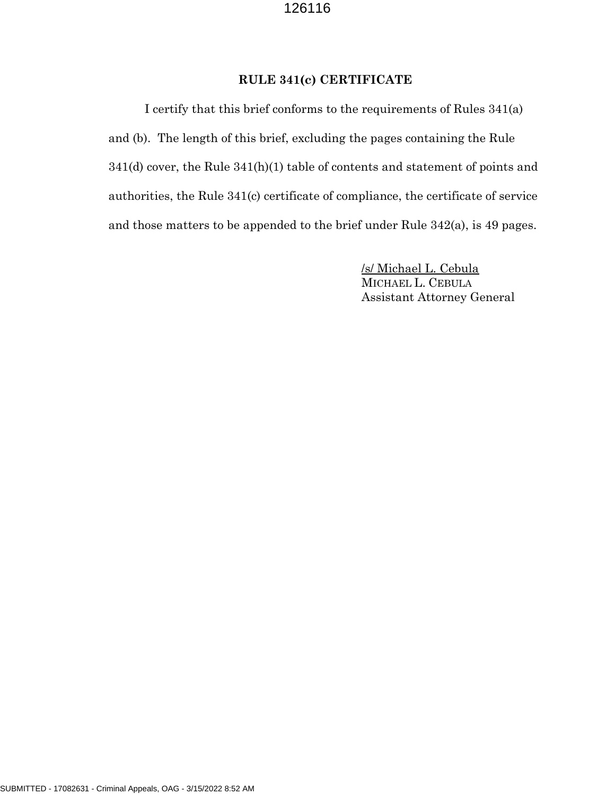## **RULE 341(c) CERTIFICATE**

I certify that this brief conforms to the requirements of Rules 341(a) and (b). The length of this brief, excluding the pages containing the Rule 341(d) cover, the Rule 341(h)(1) table of contents and statement of points and authorities, the Rule 341(c) certificate of compliance, the certificate of service and those matters to be appended to the brief under Rule 342(a), is 49 pages.

> /s/ Michael L. Cebula MICHAEL L. CEBULA Assistant Attorney General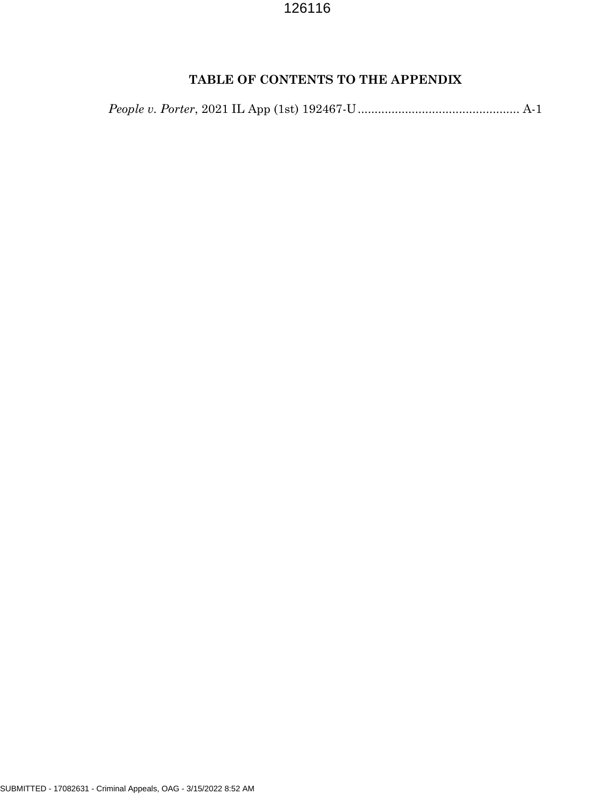# **TABLE OF CONTENTS TO THE APPENDIX**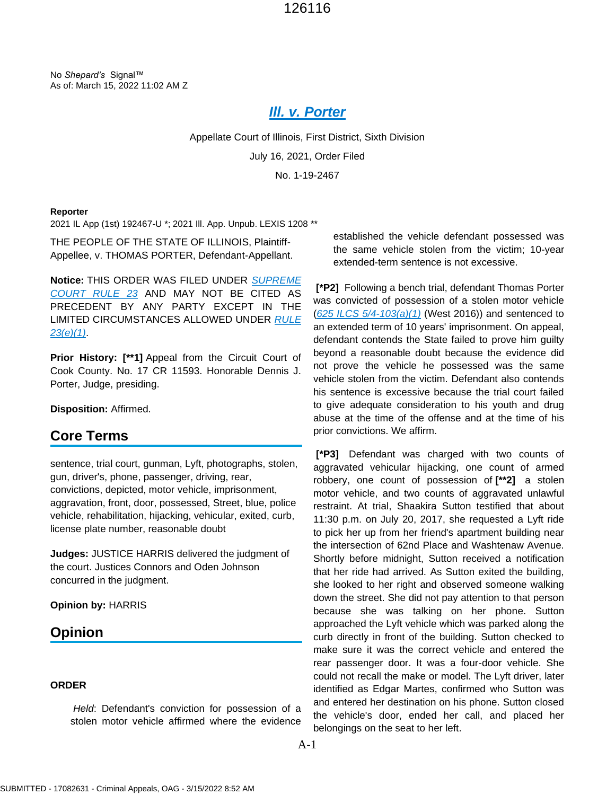No *Shepard's* Signal™ As of: March 15, 2022 11:02 AM Z

# *[Ill. v. Porter](https://plus.lexis.com/api/document?collection=cases&id=urn:contentItem:635R-9PF1-F528-G26B-00000-00&context=1530671)*

Appellate Court of Illinois, First District, Sixth Division July 16, 2021, Order Filed No. 1-19-2467

#### **Reporter**

2021 IL App (1st) 192467-U \*; 2021 Ill. App. Unpub. LEXIS 1208 \*\*

THE PEOPLE OF THE STATE OF ILLINOIS, Plaintiff-Appellee, v. THOMAS PORTER, Defendant-Appellant.

**Notice:** THIS ORDER WAS FILED UNDER *[SUPREME](https://plus.lexis.com/api/document?collection=statutes-legislation&id=urn:contentItem:622W-XKJ3-GXJ9-30NV-00000-00&context=1530671)  [COURT RULE 23](https://plus.lexis.com/api/document?collection=statutes-legislation&id=urn:contentItem:622W-XKJ3-GXJ9-30NV-00000-00&context=1530671)* AND MAY NOT BE CITED AS PRECEDENT BY ANY PARTY EXCEPT IN THE LIMITED CIRCUMSTANCES ALLOWED UNDER *[RULE](https://plus.lexis.com/api/document?collection=statutes-legislation&id=urn:contentItem:622W-XKJ3-GXJ9-30NV-00000-00&context=1530671)  [23\(e\)\(1\)](https://plus.lexis.com/api/document?collection=statutes-legislation&id=urn:contentItem:622W-XKJ3-GXJ9-30NV-00000-00&context=1530671)*.

**Prior History: [\*\*1]** Appeal from the Circuit Court of Cook County. No. 17 CR 11593. Honorable Dennis J. Porter, Judge, presiding.

**Disposition:** Affirmed.

### **Core Terms**

sentence, trial court, gunman, Lyft, photographs, stolen, gun, driver's, phone, passenger, driving, rear, convictions, depicted, motor vehicle, imprisonment, aggravation, front, door, possessed, Street, blue, police vehicle, rehabilitation, hijacking, vehicular, exited, curb, license plate number, reasonable doubt

**Judges:** JUSTICE HARRIS delivered the judgment of the court. Justices Connors and Oden Johnson concurred in the judgment.

**Opinion by:** HARRIS

## **Opinion**

#### **ORDER**

*Held*: Defendant's conviction for possession of a stolen motor vehicle affirmed where the evidence established the vehicle defendant possessed was the same vehicle stolen from the victim; 10-year extended-term sentence is not excessive.

**[\*P2]** Following a bench trial, defendant Thomas Porter was convicted of possession of a stolen motor vehicle (*[625 ILCS 5/4-103\(a\)\(1\)](https://plus.lexis.com/api/document?collection=statutes-legislation&id=urn:contentItem:8SCY-WGN2-8T6X-7512-00000-00&context=1530671)* (West 2016)) and sentenced to an extended term of 10 years' imprisonment. On appeal, defendant contends the State failed to prove him guilty beyond a reasonable doubt because the evidence did not prove the vehicle he possessed was the same vehicle stolen from the victim. Defendant also contends his sentence is excessive because the trial court failed to give adequate consideration to his youth and drug abuse at the time of the offense and at the time of his prior convictions. We affirm.

**[\*P3]** Defendant was charged with two counts of aggravated vehicular hijacking, one count of armed robbery, one count of possession of **[\*\*2]** a stolen motor vehicle, and two counts of aggravated unlawful restraint. At trial, Shaakira Sutton testified that about 11:30 p.m. on July 20, 2017, she requested a Lyft ride to pick her up from her friend's apartment building near the intersection of 62nd Place and Washtenaw Avenue. Shortly before midnight, Sutton received a notification that her ride had arrived. As Sutton exited the building, she looked to her right and observed someone walking down the street. She did not pay attention to that person because she was talking on her phone. Sutton approached the Lyft vehicle which was parked along the curb directly in front of the building. Sutton checked to make sure it was the correct vehicle and entered the rear passenger door. It was a four-door vehicle. She could not recall the make or model. The Lyft driver, later identified as Edgar Martes, confirmed who Sutton was and entered her destination on his phone. Sutton closed the vehicle's door, ended her call, and placed her belongings on the seat to her left.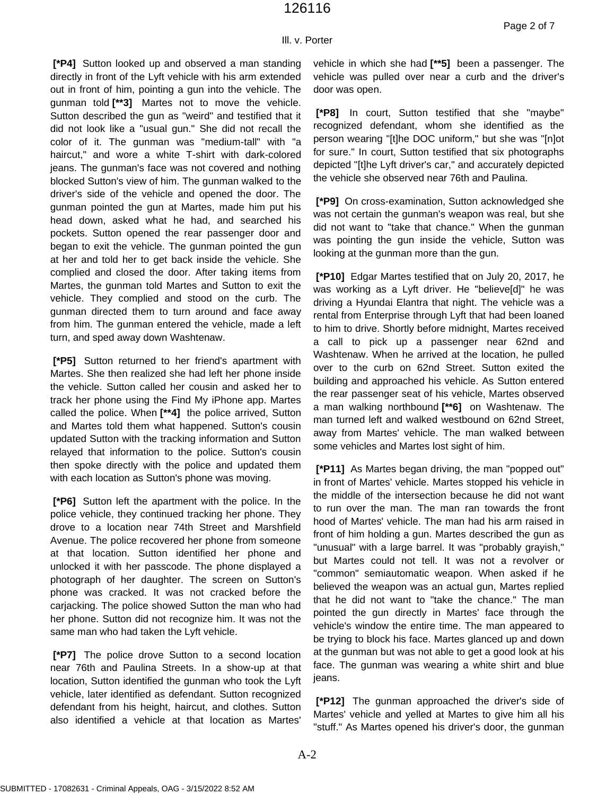#### Ill. v. Porter

**[\*P4]** Sutton looked up and observed a man standing directly in front of the Lyft vehicle with his arm extended out in front of him, pointing a gun into the vehicle. The gunman told **[\*\*3]** Martes not to move the vehicle. Sutton described the gun as "weird" and testified that it did not look like a "usual gun." She did not recall the color of it. The gunman was "medium-tall" with "a haircut," and wore a white T-shirt with dark-colored jeans. The gunman's face was not covered and nothing blocked Sutton's view of him. The gunman walked to the driver's side of the vehicle and opened the door. The gunman pointed the gun at Martes, made him put his head down, asked what he had, and searched his pockets. Sutton opened the rear passenger door and began to exit the vehicle. The gunman pointed the gun at her and told her to get back inside the vehicle. She complied and closed the door. After taking items from Martes, the gunman told Martes and Sutton to exit the vehicle. They complied and stood on the curb. The gunman directed them to turn around and face away from him. The gunman entered the vehicle, made a left turn, and sped away down Washtenaw.

**[\*P5]** Sutton returned to her friend's apartment with Martes. She then realized she had left her phone inside the vehicle. Sutton called her cousin and asked her to track her phone using the Find My iPhone app. Martes called the police. When **[\*\*4]** the police arrived, Sutton and Martes told them what happened. Sutton's cousin updated Sutton with the tracking information and Sutton relayed that information to the police. Sutton's cousin then spoke directly with the police and updated them with each location as Sutton's phone was moving.

**[\*P6]** Sutton left the apartment with the police. In the police vehicle, they continued tracking her phone. They drove to a location near 74th Street and Marshfield Avenue. The police recovered her phone from someone at that location. Sutton identified her phone and unlocked it with her passcode. The phone displayed a photograph of her daughter. The screen on Sutton's phone was cracked. It was not cracked before the carjacking. The police showed Sutton the man who had her phone. Sutton did not recognize him. It was not the same man who had taken the Lyft vehicle.

**[\*P7]** The police drove Sutton to a second location near 76th and Paulina Streets. In a show-up at that location, Sutton identified the gunman who took the Lyft vehicle, later identified as defendant. Sutton recognized defendant from his height, haircut, and clothes. Sutton also identified a vehicle at that location as Martes'

vehicle in which she had **[\*\*5]** been a passenger. The vehicle was pulled over near a curb and the driver's door was open.

**[\*P8]** In court, Sutton testified that she "maybe" recognized defendant, whom she identified as the person wearing "[t]he DOC uniform," but she was "[n]ot for sure." In court, Sutton testified that six photographs depicted "[t]he Lyft driver's car," and accurately depicted the vehicle she observed near 76th and Paulina.

**[\*P9]** On cross-examination, Sutton acknowledged she was not certain the gunman's weapon was real, but she did not want to "take that chance." When the gunman was pointing the gun inside the vehicle, Sutton was looking at the gunman more than the gun.

**[\*P10]** Edgar Martes testified that on July 20, 2017, he was working as a Lyft driver. He "believe[d]" he was driving a Hyundai Elantra that night. The vehicle was a rental from Enterprise through Lyft that had been loaned to him to drive. Shortly before midnight, Martes received a call to pick up a passenger near 62nd and Washtenaw. When he arrived at the location, he pulled over to the curb on 62nd Street. Sutton exited the building and approached his vehicle. As Sutton entered the rear passenger seat of his vehicle, Martes observed a man walking northbound **[\*\*6]** on Washtenaw. The man turned left and walked westbound on 62nd Street, away from Martes' vehicle. The man walked between some vehicles and Martes lost sight of him.

**[\*P11]** As Martes began driving, the man "popped out" in front of Martes' vehicle. Martes stopped his vehicle in the middle of the intersection because he did not want to run over the man. The man ran towards the front hood of Martes' vehicle. The man had his arm raised in front of him holding a gun. Martes described the gun as "unusual" with a large barrel. It was "probably grayish," but Martes could not tell. It was not a revolver or "common" semiautomatic weapon. When asked if he believed the weapon was an actual gun, Martes replied that he did not want to "take the chance." The man pointed the gun directly in Martes' face through the vehicle's window the entire time. The man appeared to be trying to block his face. Martes glanced up and down at the gunman but was not able to get a good look at his face. The gunman was wearing a white shirt and blue jeans.

**[\*P12]** The gunman approached the driver's side of Martes' vehicle and yelled at Martes to give him all his "stuff." As Martes opened his driver's door, the gunman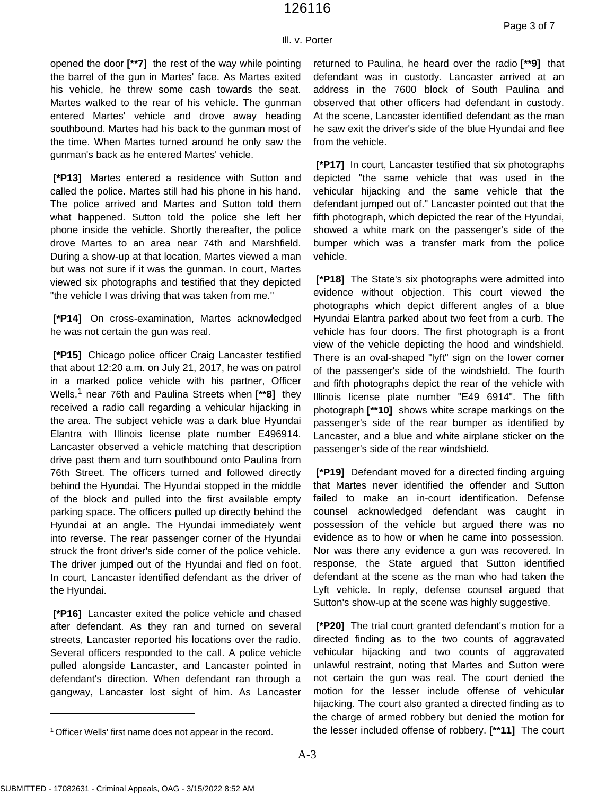#### Ill. v. Porter

opened the door **[\*\*7]** the rest of the way while pointing the barrel of the gun in Martes' face. As Martes exited his vehicle, he threw some cash towards the seat. Martes walked to the rear of his vehicle. The gunman entered Martes' vehicle and drove away heading southbound. Martes had his back to the gunman most of the time. When Martes turned around he only saw the gunman's back as he entered Martes' vehicle.

**[\*P13]** Martes entered a residence with Sutton and called the police. Martes still had his phone in his hand. The police arrived and Martes and Sutton told them what happened. Sutton told the police she left her phone inside the vehicle. Shortly thereafter, the police drove Martes to an area near 74th and Marshfield. During a show-up at that location, Martes viewed a man but was not sure if it was the gunman. In court, Martes viewed six photographs and testified that they depicted "the vehicle I was driving that was taken from me."

**[\*P14]** On cross-examination, Martes acknowledged he was not certain the gun was real.

**[\*P15]** Chicago police officer Craig Lancaster testified that about 12:20 a.m. on July 21, 2017, he was on patrol in a marked police vehicle with his partner, Officer Wells,<sup>1</sup> near 76th and Paulina Streets when **[\*\*8]** they received a radio call regarding a vehicular hijacking in the area. The subject vehicle was a dark blue Hyundai Elantra with Illinois license plate number E496914. Lancaster observed a vehicle matching that description drive past them and turn southbound onto Paulina from 76th Street. The officers turned and followed directly behind the Hyundai. The Hyundai stopped in the middle of the block and pulled into the first available empty parking space. The officers pulled up directly behind the Hyundai at an angle. The Hyundai immediately went into reverse. The rear passenger corner of the Hyundai struck the front driver's side corner of the police vehicle. The driver jumped out of the Hyundai and fled on foot. In court, Lancaster identified defendant as the driver of the Hyundai.

**[\*P16]** Lancaster exited the police vehicle and chased after defendant. As they ran and turned on several streets, Lancaster reported his locations over the radio. Several officers responded to the call. A police vehicle pulled alongside Lancaster, and Lancaster pointed in defendant's direction. When defendant ran through a gangway, Lancaster lost sight of him. As Lancaster returned to Paulina, he heard over the radio **[\*\*9]** that defendant was in custody. Lancaster arrived at an address in the 7600 block of South Paulina and observed that other officers had defendant in custody. At the scene, Lancaster identified defendant as the man he saw exit the driver's side of the blue Hyundai and flee from the vehicle.

**[\*P17]** In court, Lancaster testified that six photographs depicted "the same vehicle that was used in the vehicular hijacking and the same vehicle that the defendant jumped out of." Lancaster pointed out that the fifth photograph, which depicted the rear of the Hyundai, showed a white mark on the passenger's side of the bumper which was a transfer mark from the police vehicle.

**[\*P18]** The State's six photographs were admitted into evidence without objection. This court viewed the photographs which depict different angles of a blue Hyundai Elantra parked about two feet from a curb. The vehicle has four doors. The first photograph is a front view of the vehicle depicting the hood and windshield. There is an oval-shaped "lyft" sign on the lower corner of the passenger's side of the windshield. The fourth and fifth photographs depict the rear of the vehicle with Illinois license plate number "E49 6914". The fifth photograph **[\*\*10]** shows white scrape markings on the passenger's side of the rear bumper as identified by Lancaster, and a blue and white airplane sticker on the passenger's side of the rear windshield.

**[\*P19]** Defendant moved for a directed finding arguing that Martes never identified the offender and Sutton failed to make an in-court identification. Defense counsel acknowledged defendant was caught in possession of the vehicle but argued there was no evidence as to how or when he came into possession. Nor was there any evidence a gun was recovered. In response, the State argued that Sutton identified defendant at the scene as the man who had taken the Lyft vehicle. In reply, defense counsel argued that Sutton's show-up at the scene was highly suggestive.

**[\*P20]** The trial court granted defendant's motion for a directed finding as to the two counts of aggravated vehicular hijacking and two counts of aggravated unlawful restraint, noting that Martes and Sutton were not certain the gun was real. The court denied the motion for the lesser include offense of vehicular hijacking. The court also granted a directed finding as to the charge of armed robbery but denied the motion for the lesser included offense of robbery. **[\*\*11]** The court

<sup>&</sup>lt;sup>1</sup> Officer Wells' first name does not appear in the record.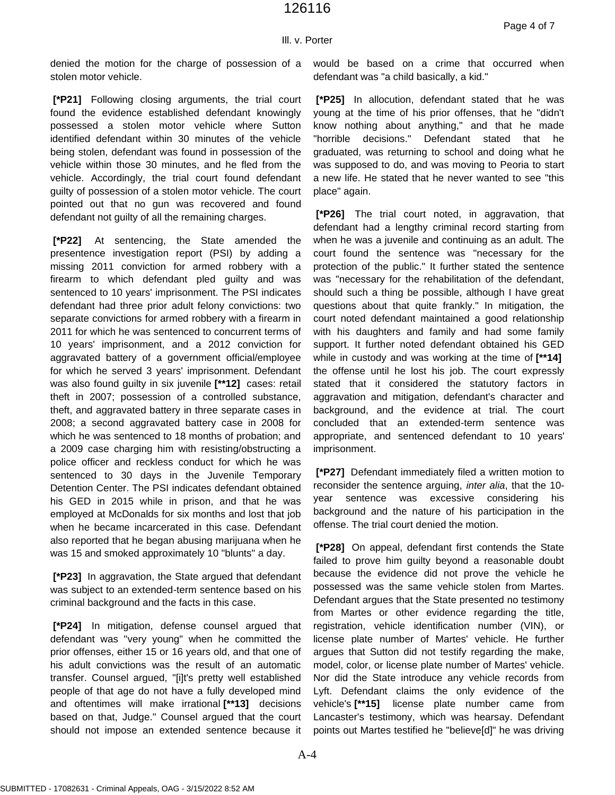#### Ill. v. Porter

denied the motion for the charge of possession of a stolen motor vehicle.

**[\*P21]** Following closing arguments, the trial court found the evidence established defendant knowingly possessed a stolen motor vehicle where Sutton identified defendant within 30 minutes of the vehicle being stolen, defendant was found in possession of the vehicle within those 30 minutes, and he fled from the vehicle. Accordingly, the trial court found defendant guilty of possession of a stolen motor vehicle. The court pointed out that no gun was recovered and found defendant not guilty of all the remaining charges.

**[\*P22]** At sentencing, the State amended the presentence investigation report (PSI) by adding a missing 2011 conviction for armed robbery with a firearm to which defendant pled guilty and was sentenced to 10 years' imprisonment. The PSI indicates defendant had three prior adult felony convictions: two separate convictions for armed robbery with a firearm in 2011 for which he was sentenced to concurrent terms of 10 years' imprisonment, and a 2012 conviction for aggravated battery of a government official/employee for which he served 3 years' imprisonment. Defendant was also found guilty in six juvenile **[\*\*12]** cases: retail theft in 2007; possession of a controlled substance, theft, and aggravated battery in three separate cases in 2008; a second aggravated battery case in 2008 for which he was sentenced to 18 months of probation; and a 2009 case charging him with resisting/obstructing a police officer and reckless conduct for which he was sentenced to 30 days in the Juvenile Temporary Detention Center. The PSI indicates defendant obtained his GED in 2015 while in prison, and that he was employed at McDonalds for six months and lost that job when he became incarcerated in this case. Defendant also reported that he began abusing marijuana when he was 15 and smoked approximately 10 "blunts" a day.

**[\*P23]** In aggravation, the State argued that defendant was subject to an extended-term sentence based on his criminal background and the facts in this case.

**[\*P24]** In mitigation, defense counsel argued that defendant was "very young" when he committed the prior offenses, either 15 or 16 years old, and that one of his adult convictions was the result of an automatic transfer. Counsel argued, "[i]t's pretty well established people of that age do not have a fully developed mind and oftentimes will make irrational **[\*\*13]** decisions based on that, Judge." Counsel argued that the court should not impose an extended sentence because it

would be based on a crime that occurred when defendant was "a child basically, a kid."

**[\*P25]** In allocution, defendant stated that he was young at the time of his prior offenses, that he "didn't know nothing about anything," and that he made "horrible decisions." Defendant stated that he graduated, was returning to school and doing what he was supposed to do, and was moving to Peoria to start a new life. He stated that he never wanted to see "this place" again.

**[\*P26]** The trial court noted, in aggravation, that defendant had a lengthy criminal record starting from when he was a juvenile and continuing as an adult. The court found the sentence was "necessary for the protection of the public." It further stated the sentence was "necessary for the rehabilitation of the defendant, should such a thing be possible, although I have great questions about that quite frankly." In mitigation, the court noted defendant maintained a good relationship with his daughters and family and had some family support. It further noted defendant obtained his GED while in custody and was working at the time of **[\*\*14]** the offense until he lost his job. The court expressly stated that it considered the statutory factors in aggravation and mitigation, defendant's character and background, and the evidence at trial. The court concluded that an extended-term sentence was appropriate, and sentenced defendant to 10 years' imprisonment.

**[\*P27]** Defendant immediately filed a written motion to reconsider the sentence arguing, *inter alia*, that the 10 year sentence was excessive considering his background and the nature of his participation in the offense. The trial court denied the motion.

**[\*P28]** On appeal, defendant first contends the State failed to prove him guilty beyond a reasonable doubt because the evidence did not prove the vehicle he possessed was the same vehicle stolen from Martes. Defendant argues that the State presented no testimony from Martes or other evidence regarding the title, registration, vehicle identification number (VIN), or license plate number of Martes' vehicle. He further argues that Sutton did not testify regarding the make, model, color, or license plate number of Martes' vehicle. Nor did the State introduce any vehicle records from Lyft. Defendant claims the only evidence of the vehicle's **[\*\*15]** license plate number came from Lancaster's testimony, which was hearsay. Defendant points out Martes testified he "believe[d]" he was driving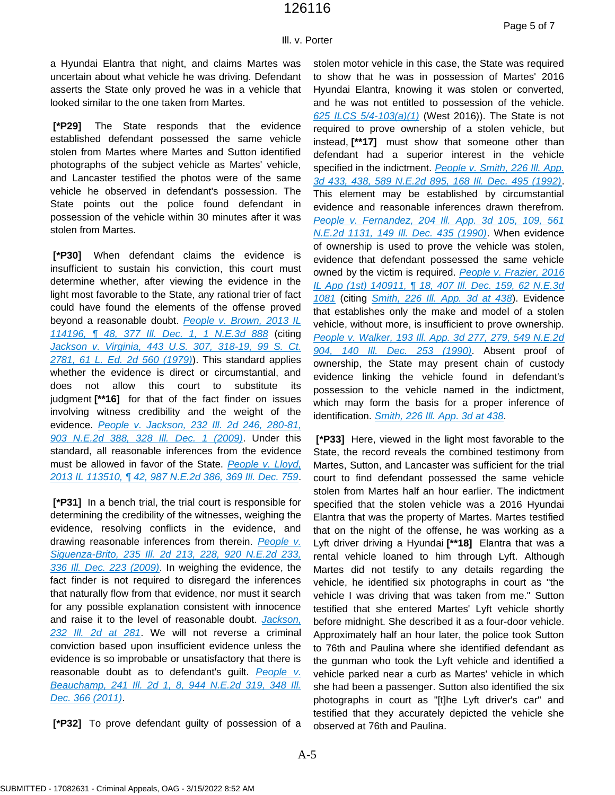Ill. v. Porter

a Hyundai Elantra that night, and claims Martes was uncertain about what vehicle he was driving. Defendant asserts the State only proved he was in a vehicle that looked similar to the one taken from Martes.

**[\*P29]** The State responds that the evidence established defendant possessed the same vehicle stolen from Martes where Martes and Sutton identified photographs of the subject vehicle as Martes' vehicle, and Lancaster testified the photos were of the same vehicle he observed in defendant's possession. The State points out the police found defendant in possession of the vehicle within 30 minutes after it was stolen from Martes.

**[\*P30]** When defendant claims the evidence is insufficient to sustain his conviction, this court must determine whether, after viewing the evidence in the light most favorable to the State, any rational trier of fact could have found the elements of the offense proved beyond a reasonable doubt. *[People v. Brown, 2013 IL](https://plus.lexis.com/api/document?collection=cases&id=urn:contentItem:5B39-XGC1-F04G-40RT-00000-00&context=1530671)  114196, ¶ [48, 377 Ill. Dec. 1, 1 N.E.3d 888](https://plus.lexis.com/api/document?collection=cases&id=urn:contentItem:5B39-XGC1-F04G-40RT-00000-00&context=1530671)* (citing *[Jackson v. Virginia, 443 U.S. 307, 318-19, 99 S. Ct.](https://plus.lexis.com/api/document?collection=cases&id=urn:contentItem:3S4X-8100-003B-S11K-00000-00&context=1530671)  [2781, 61 L. Ed. 2d 560 \(1979\)](https://plus.lexis.com/api/document?collection=cases&id=urn:contentItem:3S4X-8100-003B-S11K-00000-00&context=1530671)*). This standard applies whether the evidence is direct or circumstantial, and does not allow this court to substitute its judgment **[\*\*16]** for that of the fact finder on issues involving witness credibility and the weight of the evidence. *[People v. Jackson, 232 Ill. 2d 246, 280-81,](https://plus.lexis.com/api/document?collection=cases&id=urn:contentItem:4VHX-J5J0-TXFS-P1TT-00000-00&context=1530671)  [903 N.E.2d 388, 328 Ill. Dec. 1 \(2009\)](https://plus.lexis.com/api/document?collection=cases&id=urn:contentItem:4VHX-J5J0-TXFS-P1TT-00000-00&context=1530671)*. Under this standard, all reasonable inferences from the evidence must be allowed in favor of the State. *[People v. Lloyd,](https://plus.lexis.com/api/document?collection=cases&id=urn:contentItem:5872-W4C1-F04G-4002-00000-00&context=1530671)  [2013 IL 113510, ¶ 42, 987 N.E.2d 386, 369 Ill. Dec. 759](https://plus.lexis.com/api/document?collection=cases&id=urn:contentItem:5872-W4C1-F04G-4002-00000-00&context=1530671)*.

**[\*P31]** In a bench trial, the trial court is responsible for determining the credibility of the witnesses, weighing the evidence, resolving conflicts in the evidence, and drawing reasonable inferences from therein. *[People v.](https://plus.lexis.com/api/document?collection=cases&id=urn:contentItem:7X4K-HHB0-YB0R-0006-00000-00&context=1530671)  [Siguenza-Brito, 235 Ill. 2d 213, 228, 920 N.E.2d 233,](https://plus.lexis.com/api/document?collection=cases&id=urn:contentItem:7X4K-HHB0-YB0R-0006-00000-00&context=1530671)  [336 Ill. Dec. 223 \(2009\)](https://plus.lexis.com/api/document?collection=cases&id=urn:contentItem:7X4K-HHB0-YB0R-0006-00000-00&context=1530671)*. In weighing the evidence, the fact finder is not required to disregard the inferences that naturally flow from that evidence, nor must it search for any possible explanation consistent with innocence and raise it to the level of reasonable doubt. *[Jackson,](https://plus.lexis.com/api/document?collection=cases&id=urn:contentItem:4VHX-J5J0-TXFS-P1TT-00000-00&context=1530671)  [232 Ill. 2d at 281](https://plus.lexis.com/api/document?collection=cases&id=urn:contentItem:4VHX-J5J0-TXFS-P1TT-00000-00&context=1530671)*. We will not reverse a criminal conviction based upon insufficient evidence unless the evidence is so improbable or unsatisfactory that there is reasonable doubt as to defendant's guilt. *[People v.](https://plus.lexis.com/api/document?collection=cases&id=urn:contentItem:523D-GFC1-652K-J017-00000-00&context=1530671)  [Beauchamp, 241 Ill. 2d 1, 8, 944 N.E.2d 319, 348 Ill.](https://plus.lexis.com/api/document?collection=cases&id=urn:contentItem:523D-GFC1-652K-J017-00000-00&context=1530671)  [Dec. 366 \(2011\)](https://plus.lexis.com/api/document?collection=cases&id=urn:contentItem:523D-GFC1-652K-J017-00000-00&context=1530671)*.

**[\*P32]** To prove defendant guilty of possession of a

stolen motor vehicle in this case, the State was required to show that he was in possession of Martes' 2016 Hyundai Elantra, knowing it was stolen or converted, and he was not entitled to possession of the vehicle. *[625 ILCS 5/4-103\(a\)\(1\)](https://plus.lexis.com/api/document?collection=statutes-legislation&id=urn:contentItem:8SCY-WGN2-8T6X-7512-00000-00&context=1530671)* (West 2016)). The State is not required to prove ownership of a stolen vehicle, but instead, **[\*\*17]** must show that someone other than defendant had a superior interest in the vehicle specified in the indictment. *[People v. Smith, 226 Ill. App.](https://plus.lexis.com/api/document?collection=cases&id=urn:contentItem:3RX4-3PX0-003D-H28M-00000-00&context=1530671)  [3d 433, 438, 589 N.E.2d 895, 168 Ill. Dec. 495 \(1992\)](https://plus.lexis.com/api/document?collection=cases&id=urn:contentItem:3RX4-3PX0-003D-H28M-00000-00&context=1530671)*. This element may be established by circumstantial evidence and reasonable inferences drawn therefrom. *[People v. Fernandez, 204 Ill. App. 3d 105, 109, 561](https://plus.lexis.com/api/document?collection=cases&id=urn:contentItem:3RX4-49X0-003D-H0T2-00000-00&context=1530671)  [N.E.2d 1131, 149 Ill. Dec. 435 \(1990\)](https://plus.lexis.com/api/document?collection=cases&id=urn:contentItem:3RX4-49X0-003D-H0T2-00000-00&context=1530671)*. When evidence of ownership is used to prove the vehicle was stolen, evidence that defendant possessed the same vehicle owned by the victim is required. *[People v. Frazier, 2016](https://plus.lexis.com/api/document?collection=cases&id=urn:contentItem:5KG6-MXR1-F04G-30PR-00000-00&context=1530671)  [IL App \(1st\) 140911, ¶ 18, 407 Ill. Dec. 159, 62 N.E.3d](https://plus.lexis.com/api/document?collection=cases&id=urn:contentItem:5KG6-MXR1-F04G-30PR-00000-00&context=1530671)  [1081](https://plus.lexis.com/api/document?collection=cases&id=urn:contentItem:5KG6-MXR1-F04G-30PR-00000-00&context=1530671)* (citing *[Smith, 226 Ill. App. 3d at 438](https://plus.lexis.com/api/document?collection=cases&id=urn:contentItem:3RX4-3PX0-003D-H28M-00000-00&context=1530671)*). Evidence that establishes only the make and model of a stolen vehicle, without more, is insufficient to prove ownership. *[People v. Walker, 193 Ill. App. 3d 277, 279, 549 N.E.2d](https://plus.lexis.com/api/document?collection=cases&id=urn:contentItem:3RX4-4KC0-003D-H2J6-00000-00&context=1530671)  [904, 140 Ill. Dec. 253 \(1990\)](https://plus.lexis.com/api/document?collection=cases&id=urn:contentItem:3RX4-4KC0-003D-H2J6-00000-00&context=1530671)*. Absent proof of ownership, the State may present chain of custody evidence linking the vehicle found in defendant's possession to the vehicle named in the indictment, which may form the basis for a proper inference of identification. *[Smith, 226 Ill. App. 3d at 438](https://plus.lexis.com/api/document?collection=cases&id=urn:contentItem:3RX4-3PX0-003D-H28M-00000-00&context=1530671)*.

**[\*P33]** Here, viewed in the light most favorable to the State, the record reveals the combined testimony from Martes, Sutton, and Lancaster was sufficient for the trial court to find defendant possessed the same vehicle stolen from Martes half an hour earlier. The indictment specified that the stolen vehicle was a 2016 Hyundai Elantra that was the property of Martes. Martes testified that on the night of the offense, he was working as a Lyft driver driving a Hyundai **[\*\*18]** Elantra that was a rental vehicle loaned to him through Lyft. Although Martes did not testify to any details regarding the vehicle, he identified six photographs in court as "the vehicle I was driving that was taken from me." Sutton testified that she entered Martes' Lyft vehicle shortly before midnight. She described it as a four-door vehicle. Approximately half an hour later, the police took Sutton to 76th and Paulina where she identified defendant as the gunman who took the Lyft vehicle and identified a vehicle parked near a curb as Martes' vehicle in which she had been a passenger. Sutton also identified the six photographs in court as "[t]he Lyft driver's car" and testified that they accurately depicted the vehicle she observed at 76th and Paulina.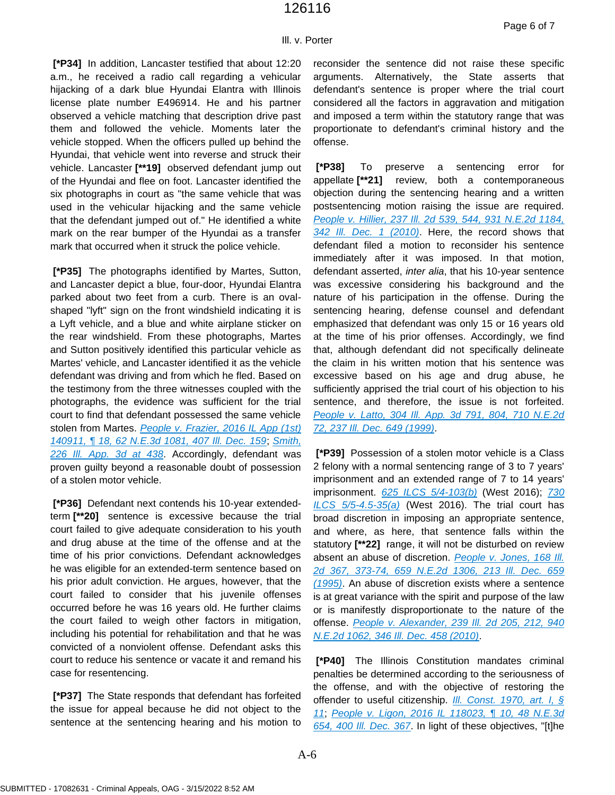Ill. v. Porter **[\*P34]** In addition, Lancaster testified that about 12:20

a.m., he received a radio call regarding a vehicular hijacking of a dark blue Hyundai Elantra with Illinois license plate number E496914. He and his partner observed a vehicle matching that description drive past them and followed the vehicle. Moments later the vehicle stopped. When the officers pulled up behind the Hyundai, that vehicle went into reverse and struck their vehicle. Lancaster **[\*\*19]** observed defendant jump out of the Hyundai and flee on foot. Lancaster identified the six photographs in court as "the same vehicle that was used in the vehicular hijacking and the same vehicle that the defendant jumped out of." He identified a white mark on the rear bumper of the Hyundai as a transfer mark that occurred when it struck the police vehicle.

**[\*P35]** The photographs identified by Martes, Sutton, and Lancaster depict a blue, four-door, Hyundai Elantra parked about two feet from a curb. There is an ovalshaped "lyft" sign on the front windshield indicating it is a Lyft vehicle, and a blue and white airplane sticker on the rear windshield. From these photographs, Martes and Sutton positively identified this particular vehicle as Martes' vehicle, and Lancaster identified it as the vehicle defendant was driving and from which he fled. Based on the testimony from the three witnesses coupled with the photographs, the evidence was sufficient for the trial court to find that defendant possessed the same vehicle stolen from Martes. *[People v. Frazier, 2016 IL App \(1st\)](https://plus.lexis.com/api/document?collection=cases&id=urn:contentItem:5KG6-MXR1-F04G-30PR-00000-00&context=1530671)  [140911, ¶ 18, 62 N.E.3d 1081, 407 Ill. Dec. 159](https://plus.lexis.com/api/document?collection=cases&id=urn:contentItem:5KG6-MXR1-F04G-30PR-00000-00&context=1530671)*; *[Smith,](https://plus.lexis.com/api/document?collection=cases&id=urn:contentItem:3RX4-3PX0-003D-H28M-00000-00&context=1530671)  [226 Ill. App. 3d at 438](https://plus.lexis.com/api/document?collection=cases&id=urn:contentItem:3RX4-3PX0-003D-H28M-00000-00&context=1530671)*. Accordingly, defendant was proven guilty beyond a reasonable doubt of possession of a stolen motor vehicle.

**[\*P36]** Defendant next contends his 10-year extendedterm **[\*\*20]** sentence is excessive because the trial court failed to give adequate consideration to his youth and drug abuse at the time of the offense and at the time of his prior convictions. Defendant acknowledges he was eligible for an extended-term sentence based on his prior adult conviction. He argues, however, that the court failed to consider that his juvenile offenses occurred before he was 16 years old. He further claims the court failed to weigh other factors in mitigation, including his potential for rehabilitation and that he was convicted of a nonviolent offense. Defendant asks this court to reduce his sentence or vacate it and remand his case for resentencing.

**[\*P37]** The State responds that defendant has forfeited the issue for appeal because he did not object to the sentence at the sentencing hearing and his motion to reconsider the sentence did not raise these specific arguments. Alternatively, the State asserts that defendant's sentence is proper where the trial court considered all the factors in aggravation and mitigation and imposed a term within the statutory range that was proportionate to defendant's criminal history and the offense.

**[\*P38]** To preserve a sentencing error for appellate **[\*\*21]** review, both a contemporaneous objection during the sentencing hearing and a written postsentencing motion raising the issue are required. *[People v. Hillier, 237 Ill. 2d 539, 544, 931 N.E.2d 1184,](https://plus.lexis.com/api/document?collection=cases&id=urn:contentItem:7YN2-4771-2RHN-8001-00000-00&context=1530671)  [342 Ill. Dec. 1 \(2010\)](https://plus.lexis.com/api/document?collection=cases&id=urn:contentItem:7YN2-4771-2RHN-8001-00000-00&context=1530671)*. Here, the record shows that defendant filed a motion to reconsider his sentence immediately after it was imposed. In that motion, defendant asserted, *inter alia*, that his 10-year sentence was excessive considering his background and the nature of his participation in the offense. During the sentencing hearing, defense counsel and defendant emphasized that defendant was only 15 or 16 years old at the time of his prior offenses. Accordingly, we find that, although defendant did not specifically delineate the claim in his written motion that his sentence was excessive based on his age and drug abuse, he sufficiently apprised the trial court of his objection to his sentence, and therefore, the issue is not forfeited. *[People v. Latto, 304 Ill. App. 3d 791, 804, 710 N.E.2d](https://plus.lexis.com/api/document?collection=cases&id=urn:contentItem:3W5B-0560-0039-401H-00000-00&context=1530671)  [72, 237 Ill. Dec. 649 \(1999\)](https://plus.lexis.com/api/document?collection=cases&id=urn:contentItem:3W5B-0560-0039-401H-00000-00&context=1530671)*.

**[\*P39]** Possession of a stolen motor vehicle is a Class 2 felony with a normal sentencing range of 3 to 7 years' imprisonment and an extended range of 7 to 14 years' imprisonment. *[625 ILCS 5/4-103\(b\)](https://plus.lexis.com/api/document?collection=statutes-legislation&id=urn:contentItem:8SCY-WGN2-8T6X-7512-00000-00&context=1530671)* (West 2016); *[730](https://plus.lexis.com/api/document?collection=statutes-legislation&id=urn:contentItem:8NRY-2272-D6RV-H25D-00000-00&context=1530671)  [ILCS 5/5-4.5-35\(a\)](https://plus.lexis.com/api/document?collection=statutes-legislation&id=urn:contentItem:8NRY-2272-D6RV-H25D-00000-00&context=1530671)* (West 2016). The trial court has broad discretion in imposing an appropriate sentence, and where, as here, that sentence falls within the statutory **[\*\*22]** range, it will not be disturbed on review absent an abuse of discretion. *[People v. Jones, 168 Ill.](https://plus.lexis.com/api/document?collection=cases&id=urn:contentItem:3RY5-81V0-003D-H1TV-00000-00&context=1530671)  [2d 367, 373-74, 659 N.E.2d 1306, 213 Ill. Dec. 659](https://plus.lexis.com/api/document?collection=cases&id=urn:contentItem:3RY5-81V0-003D-H1TV-00000-00&context=1530671)  [\(1995\)](https://plus.lexis.com/api/document?collection=cases&id=urn:contentItem:3RY5-81V0-003D-H1TV-00000-00&context=1530671)*. An abuse of discretion exists where a sentence is at great variance with the spirit and purpose of the law or is manifestly disproportionate to the nature of the offense. *[People v. Alexander, 239 Ill. 2d 205, 212, 940](https://plus.lexis.com/api/document?collection=cases&id=urn:contentItem:51H0-YDT1-652K-J006-00000-00&context=1530671)  [N.E.2d 1062, 346 Ill. Dec. 458 \(2010\)](https://plus.lexis.com/api/document?collection=cases&id=urn:contentItem:51H0-YDT1-652K-J006-00000-00&context=1530671)*.

**[\*P40]** The Illinois Constitution mandates criminal penalties be determined according to the seriousness of the offense, and with the objective of restoring the offender to useful citizenship. *[Ill. Const. 1970, art. I, §](https://plus.lexis.com/api/document?collection=statutes-legislation&id=urn:contentItem:5C66-1RR1-6R9X-J43T-00000-00&context=1530671)  [11](https://plus.lexis.com/api/document?collection=statutes-legislation&id=urn:contentItem:5C66-1RR1-6R9X-J43T-00000-00&context=1530671)*; *[People v. Ligon, 2016 IL 118023, ¶ 10, 48 N.E.3d](https://plus.lexis.com/api/document?collection=cases&id=urn:contentItem:5J46-T5F1-F04G-40NX-00000-00&context=1530671)  [654, 400 Ill. Dec. 367](https://plus.lexis.com/api/document?collection=cases&id=urn:contentItem:5J46-T5F1-F04G-40NX-00000-00&context=1530671)*. In light of these objectives, "[t]he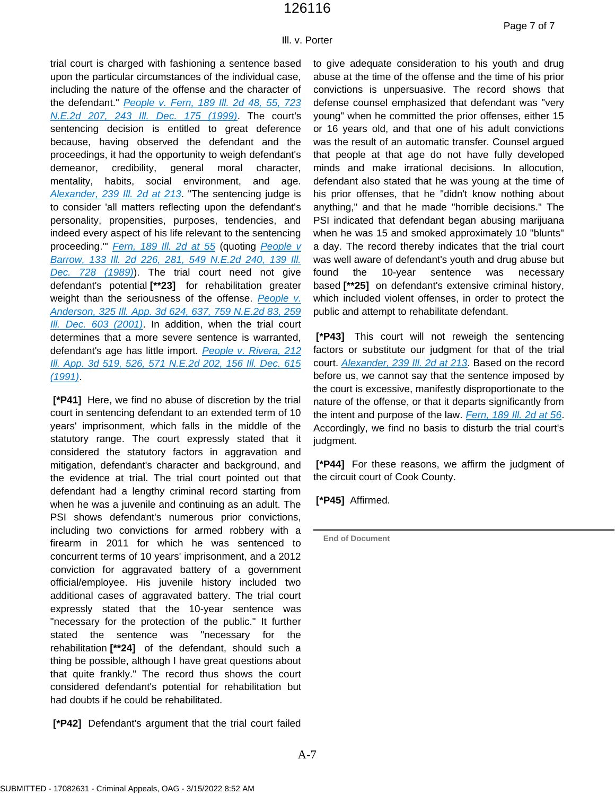Ill. v. Porter

trial court is charged with fashioning a sentence based upon the particular circumstances of the individual case, including the nature of the offense and the character of the defendant." *[People v. Fern, 189 Ill. 2d 48, 55, 723](https://plus.lexis.com/api/document?collection=cases&id=urn:contentItem:3XX7-6X20-0039-426Y-00000-00&context=1530671)  [N.E.2d 207, 243 Ill. Dec. 175 \(1999\)](https://plus.lexis.com/api/document?collection=cases&id=urn:contentItem:3XX7-6X20-0039-426Y-00000-00&context=1530671)*. The court's sentencing decision is entitled to great deference because, having observed the defendant and the proceedings, it had the opportunity to weigh defendant's demeanor, credibility, general moral character, mentality, habits, social environment, and age. *[Alexander, 239 Ill. 2d at 213](https://plus.lexis.com/api/document?collection=cases&id=urn:contentItem:51H0-YDT1-652K-J006-00000-00&context=1530671)*. "The sentencing judge is to consider 'all matters reflecting upon the defendant's personality, propensities, purposes, tendencies, and indeed every aspect of his life relevant to the sentencing proceeding.'" *[Fern, 189 Ill. 2d at 55](https://plus.lexis.com/api/document?collection=cases&id=urn:contentItem:3XX7-6X20-0039-426Y-00000-00&context=1530671)* (quoting *[People v](https://plus.lexis.com/api/document?collection=cases&id=urn:contentItem:3RX4-2000-003D-H3MS-00000-00&context=1530671)  [Barrow, 133 Ill. 2d 226, 281, 549 N.E.2d 240, 139 Ill.](https://plus.lexis.com/api/document?collection=cases&id=urn:contentItem:3RX4-2000-003D-H3MS-00000-00&context=1530671)  [Dec. 728 \(1989\)](https://plus.lexis.com/api/document?collection=cases&id=urn:contentItem:3RX4-2000-003D-H3MS-00000-00&context=1530671)*). The trial court need not give defendant's potential **[\*\*23]** for rehabilitation greater weight than the seriousness of the offense. *[People v.](https://plus.lexis.com/api/document?collection=cases&id=urn:contentItem:44BN-95H0-0039-43M8-00000-00&context=1530671)  [Anderson, 325 Ill. App. 3d 624, 637, 759 N.E.2d 83, 259](https://plus.lexis.com/api/document?collection=cases&id=urn:contentItem:44BN-95H0-0039-43M8-00000-00&context=1530671)  [Ill. Dec. 603 \(2001\)](https://plus.lexis.com/api/document?collection=cases&id=urn:contentItem:44BN-95H0-0039-43M8-00000-00&context=1530671)*. In addition, when the trial court determines that a more severe sentence is warranted, defendant's age has little import. *[People v. Rivera, 212](https://plus.lexis.com/api/document?collection=cases&id=urn:contentItem:3RX4-43C0-003D-H4HD-00000-00&context=1530671)  [Ill. App. 3d 519, 526, 571 N.E.2d 202, 156 Ill. Dec. 615](https://plus.lexis.com/api/document?collection=cases&id=urn:contentItem:3RX4-43C0-003D-H4HD-00000-00&context=1530671)  [\(1991\)](https://plus.lexis.com/api/document?collection=cases&id=urn:contentItem:3RX4-43C0-003D-H4HD-00000-00&context=1530671)*.

**[\*P41]** Here, we find no abuse of discretion by the trial court in sentencing defendant to an extended term of 10 years' imprisonment, which falls in the middle of the statutory range. The court expressly stated that it considered the statutory factors in aggravation and mitigation, defendant's character and background, and the evidence at trial. The trial court pointed out that defendant had a lengthy criminal record starting from when he was a juvenile and continuing as an adult. The PSI shows defendant's numerous prior convictions, including two convictions for armed robbery with a firearm in 2011 for which he was sentenced to concurrent terms of 10 years' imprisonment, and a 2012 conviction for aggravated battery of a government official/employee. His juvenile history included two additional cases of aggravated battery. The trial court expressly stated that the 10-year sentence was "necessary for the protection of the public." It further stated the sentence was "necessary for the rehabilitation **[\*\*24]** of the defendant, should such a thing be possible, although I have great questions about that quite frankly." The record thus shows the court considered defendant's potential for rehabilitation but had doubts if he could be rehabilitated.

**[\*P42]** Defendant's argument that the trial court failed

to give adequate consideration to his youth and drug abuse at the time of the offense and the time of his prior convictions is unpersuasive. The record shows that defense counsel emphasized that defendant was "very young" when he committed the prior offenses, either 15 or 16 years old, and that one of his adult convictions was the result of an automatic transfer. Counsel argued that people at that age do not have fully developed minds and make irrational decisions. In allocution, defendant also stated that he was young at the time of his prior offenses, that he "didn't know nothing about anything," and that he made "horrible decisions." The PSI indicated that defendant began abusing marijuana when he was 15 and smoked approximately 10 "blunts" a day. The record thereby indicates that the trial court was well aware of defendant's youth and drug abuse but found the 10-year sentence was necessary based **[\*\*25]** on defendant's extensive criminal history, which included violent offenses, in order to protect the public and attempt to rehabilitate defendant.

**[\*P43]** This court will not reweigh the sentencing factors or substitute our judgment for that of the trial court. *[Alexander, 239 Ill. 2d at 213](https://plus.lexis.com/api/document?collection=cases&id=urn:contentItem:51H0-YDT1-652K-J006-00000-00&context=1530671)*. Based on the record before us, we cannot say that the sentence imposed by the court is excessive, manifestly disproportionate to the nature of the offense, or that it departs significantly from the intent and purpose of the law. *[Fern, 189 Ill. 2d at 56](https://plus.lexis.com/api/document?collection=cases&id=urn:contentItem:3XX7-6X20-0039-426Y-00000-00&context=1530671)*. Accordingly, we find no basis to disturb the trial court's judgment.

**[\*P44]** For these reasons, we affirm the judgment of the circuit court of Cook County.

**[\*P45]** Affirmed.

**End of Document**